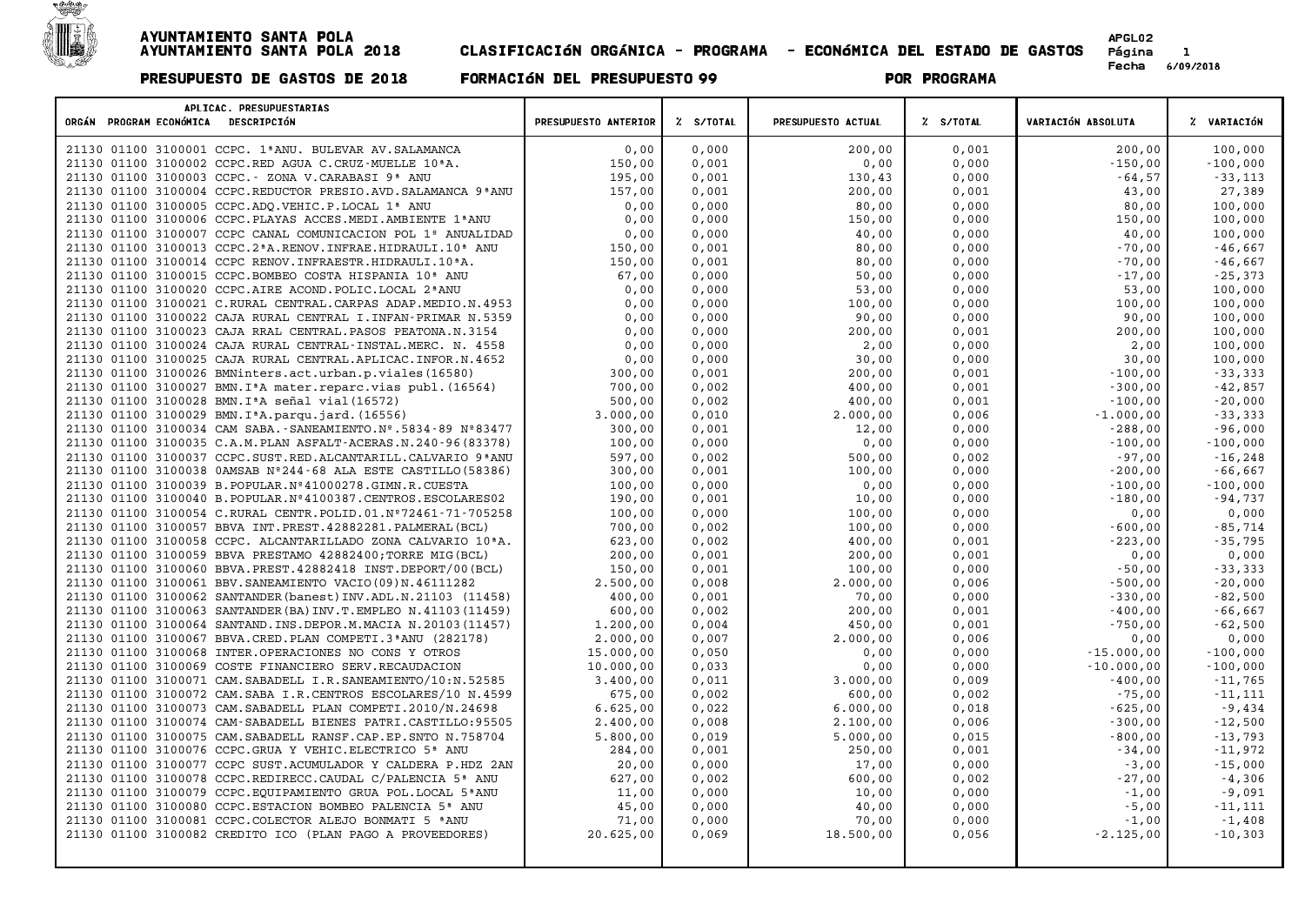

| APLICAC. PRESUPUESTARIAS<br>ORGÁN PROGRAM ECONÓMICA<br>DESCRIPCIÓN          | PRESUPUESTO ANTERIOR | Z S/TOTAL | PRESUPUESTO ACTUAL | % S/TOTAL | VARIACIÓN ABSOLUTA | % VARIACIÓN             |
|-----------------------------------------------------------------------------|----------------------|-----------|--------------------|-----------|--------------------|-------------------------|
| 21130 01100 3100001 CCPC. 1ª ANU. BULEVAR AV. SALAMANCA                     | 0,00                 | 0,000     | 200,00             | 0,001     | 200,00             | 100,000                 |
| 21130 01100 3100002 CCPC.RED AGUA C.CRUZ-MUELLE 10 <sup>ª</sup> A.          | 150,00               | 0,001     | 0,00               | 0,000     | $-150,00$          | $-100,000$              |
| 21130 01100 3100003 CCPC. - ZONA V.CARABASI 9ª ANU                          | 195,00               | 0,001     | 130,43             | 0,000     | $-64,57$           | $-33,113$               |
| 21130 01100 3100004 CCPC.REDUCTOR PRESIO.AVD.SALAMANCA 9 ANU                | 157,00               | 0,001     | 200,00             | 0,001     | 43,00              | 27,389                  |
| 01100 3100005 CCPC.ADO.VEHIC.P.LOCAL 1ª ANU<br>21130                        | 0,00                 | 0,000     | 80,00              | 0,000     | 80,00              | 100,000                 |
| 21130 01100 3100006 CCPC. PLAYAS ACCES. MEDI. AMBIENTE 1ª ANU               | 0,00                 | 0,000     | 150,00             | 0,000     | 150,00             | 100,000                 |
| 21130 01100 3100007 CCPC CANAL COMUNICACION POL 1º ANUALIDAD                | 0,00                 | 0,000     | 40,00              | 0,000     | 40,00              | 100,000                 |
| 21130 01100 3100013 CCPC.2ªA.RENOV.INFRAE.HIDRAULI.10ª ANU                  | 150,00               | 0,001     | 80,00              | 0,000     | $-70,00$           | $-46,667$               |
| 21130 01100 3100014 CCPC RENOV. INFRAESTR. HIDRAULI. 10 <sup>ª</sup> A.     | 150,00               | 0,001     | 80,00              | 0,000     | $-70,00$           | $-46,667$               |
| 21130 01100 3100015 CCPC.BOMBEO COSTA HISPANIA 10 <sup>ª</sup> ANU          | 67,00                | 0,000     | 50,00              | 0,000     | $-17,00$           | $-25,373$               |
| 01100 3100020 CCPC.AIRE ACOND. POLIC.LOCAL 2 <sup>ª</sup> ANU<br>21130      | 0,00                 | 0,000     | 53,00              | 0,000     | 53,00              | 100,000                 |
| 21130 01100 3100021 C.RURAL CENTRAL.CARPAS ADAP.MEDIO.N.4953                | 0,00                 | 0,000     | 100,00             | 0,000     | 100,00             | 100,000                 |
| 21130 01100 3100022 CAJA RURAL CENTRAL I. INFAN-PRIMAR N. 5359              | 0,00                 | 0,000     | 90,00              | 0,000     | 90,00              | 100,000                 |
| 21130 01100 3100023 CAJA RRAL CENTRAL. PASOS PEATONA.N.3154                 | 0,00                 | 0,000     | 200,00             | 0,001     | 200,00             | 100,000                 |
| 21130 01100 3100024 CAJA RURAL CENTRAL-INSTAL.MERC. N. 4558                 | 0,00                 | 0,000     | 2,00               | 0,000     | 2,00               | 100,000                 |
| 21130 01100 3100025 CAJA RURAL CENTRAL. APLICAC. INFOR.N. 4652              | 0,00                 | 0,000     | 30,00              | 0,000     | 30,00              | 100,000                 |
| 01100 3100026 BMNinters.act.urban.p.viales(16580)<br>21130                  | 300,00               | 0,001     | 200,00             | 0,001     | $-100,00$          | $-33,333$               |
| 21130 01100 3100027 BMN. I <sup>ª</sup> A mater. reparc. vias publ. (16564) | 700,00               | 0,002     | 400,00             | 0,001     | $-300,00$          | $-42,857$               |
| 21130 01100 3100028 BMN. I <sup>ª</sup> A señal vial (16572)                | 500,00               | 0,002     | 400,00             | 0,001     | $-100,00$          | $-20,000$               |
| 21130 01100 3100029 BMN. I <sup>ª</sup> A. parqu. jard. (16556)             | 3.000,00             | 0,010     | 2.000,00           | 0,006     | $-1.000,00$        | $-33,333$               |
| 21130 01100 3100034 CAM SABA. - SANEAMIENTO. Nº. 5834-89 Nº83477            | 300,00               | 0,001     | 12,00              | 0,000     | $-288,00$          | $-96,000$               |
| 21130 01100 3100035 C.A.M. PLAN ASFALT-ACERAS.N. 240-96 (83378)             | 100,00               | 0,000     | 0,00               | 0,000     | $-100,00$          | $-100,000$              |
| 01100 3100037 CCPC.SUST.RED.ALCANTARILL.CALVARIO 9ªANU<br>21130             | 597,00               | 0,002     | 500,00             | 0,002     | $-97,00$           | $-16,248$               |
| 21130 01100 3100038 0AMSAB Nº244-68 ALA ESTE CASTILLO (58386)               | 300,00               | 0,001     | 100,00             | 0,000     | $-200,00$          | $-66,667$               |
| 21130 01100 3100039 B.POPULAR.Nº41000278.GIMN.R.CUESTA                      | 100,00               | 0,000     | 0,00               | 0,000     | $-100,00$          |                         |
| 21130 01100 3100040 B. POPULAR. Nº4100387. CENTROS. ESCOLARES02             | 190,00               | 0,001     | 10,00              | 0,000     | $-180,00$          | $-100,000$<br>$-94,737$ |
|                                                                             |                      |           |                    |           |                    |                         |
| 21130 01100 3100054 C.RURAL CENTR. POLID.01. Nº72461-71-705258              | 100,00               | 0,000     | 100,00             | 0,000     | 0,00               | 0,000                   |
| 21130 01100 3100057 BBVA INT. PREST. 42882281. PALMERAL (BCL)               | 700,00               | 0,002     | 100,00             | 0,000     | $-600,00$          | $-85,714$               |
| 01100 3100058 CCPC. ALCANTARILLADO ZONA CALVARIO 10ªA.<br>21130             | 623,00               | 0,002     | 400,00             | 0,001     | $-223,00$          | $-35,795$               |
| 21130 01100 3100059 BBVA PRESTAMO 42882400; TORRE MIG (BCL)                 | 200,00               | 0,001     | 200,00             | 0,001     | 0,00               | 0,000                   |
| 21130 01100 3100060 BBVA. PREST. 42882418 INST. DEPORT/00 (BCL)             | 150,00               | 0,001     | 100,00             | 0,000     | $-50,00$           | $-33,333$               |
| 21130 01100 3100061 BBV. SANEAMIENTO VACIO (09) N. 46111282                 | 2.500,00             | 0,008     | 2.000,00           | 0,006     | $-500,00$          | $-20,000$               |
| 21130 01100 3100062 SANTANDER (banest) INV.ADL.N.21103 (11458)              | 400,00               | 0,001     | 70,00              | 0,000     | $-330,00$          | $-82,500$               |
| 21130 01100 3100063 SANTANDER (BA) INV. T. EMPLEO N. 41103 (11459)          | 600,00               | 0,002     | 200,00             | 0,001     | $-400,00$          | $-66,667$               |
| 01100 3100064 SANTAND. INS. DEPOR.M. MACIA N. 20103 (11457)<br>21130        | 1,200,00             | 0,004     | 450,00             | 0,001     | $-750,00$          | $-62,500$               |
| 21130 01100 3100067 BBVA.CRED.PLAN COMPETI.3ªANU (282178)                   | 2.000,00             | 0,007     | 2.000,00           | 0,006     | 0,00               | 0,000                   |
| 21130 01100 3100068 INTER.OPERACIONES NO CONS Y OTROS                       | 15.000,00            | 0,050     | 0,00               | 0,000     | $-15.000,00$       | $-100,000$              |
| 21130 01100 3100069 COSTE FINANCIERO SERV. RECAUDACION                      | 10.000,00            | 0,033     | 0,00               | 0,000     | $-10.000,00$       | $-100,000$              |
| 21130 01100 3100071 CAM. SABADELL I.R. SANEAMIENTO/10:N. 52585              | 3.400,00             | 0,011     | 3.000,00           | 0,009     | $-400,00$          | $-11,765$               |
| 21130 01100 3100072 CAM. SABA I.R. CENTROS ESCOLARES/10 N. 4599             | 675,00               | 0,002     | 600,00             | 0,002     | $-75,00$           | $-11,111$               |
| 01100 3100073 CAM. SABADELL PLAN COMPETI.2010/N.24698<br>21130              | 6.625,00             | 0,022     | 6.000,00           | 0,018     | $-625,00$          | $-9,434$                |
| 21130 01100 3100074 CAM-SABADELL BIENES PATRI.CASTILLO:95505                | 2.400,00             | 0,008     | 2.100,00           | 0,006     | $-300,00$          | $-12,500$               |
| 21130 01100 3100075 CAM. SABADELL RANSF. CAP. EP. SNTO N. 758704            | 5.800,00             | 0,019     | 5.000,00           | 0,015     | $-800,00$          | $-13,793$               |
| 21130 01100 3100076 CCPC.GRUA Y VEHIC.ELECTRICO 5ª ANU                      | 284,00               | 0,001     | 250,00             | 0,001     | $-34,00$           | $-11,972$               |
| 21130 01100 3100077 CCPC SUST.ACUMULADOR Y CALDERA P.HDZ 2AN                | 20,00                | 0,000     | 17,00              | 0,000     | $-3,00$            | $-15,000$               |
| 21130 01100 3100078 CCPC.REDIRECC.CAUDAL C/PALENCIA 5 <sup>ª</sup> ANU      | 627,00               | 0,002     | 600,00             | 0,002     | $-27,00$           | $-4,306$                |
| 21130 01100 3100079 CCPC.EQUIPAMIENTO GRUA POL.LOCAL 5ªANU                  | 11,00                | 0,000     | 10,00              | 0,000     | $-1,00$            | $-9,091$                |
| 21130 01100 3100080 CCPC. ESTACION BOMBEO PALENCIA 5 <sup>ª</sup> ANU       | 45,00                | 0,000     | 40,00              | 0,000     | $-5,00$            | $-11,111$               |
| 21130 01100 3100081 CCPC. COLECTOR ALEJO BONMATI 5 <sup>ª</sup> ANU         | 71,00                | 0,000     | 70,00              | 0,000     | $-1,00$            | $-1,408$                |
| 21130 01100 3100082 CREDITO ICO (PLAN PAGO A PROVEEDORES)                   | 20.625,00            | 0,069     | 18.500,00          | 0,056     | $-2.125,00$        | $-10,303$               |
|                                                                             |                      |           |                    |           |                    |                         |
|                                                                             |                      |           |                    |           |                    |                         |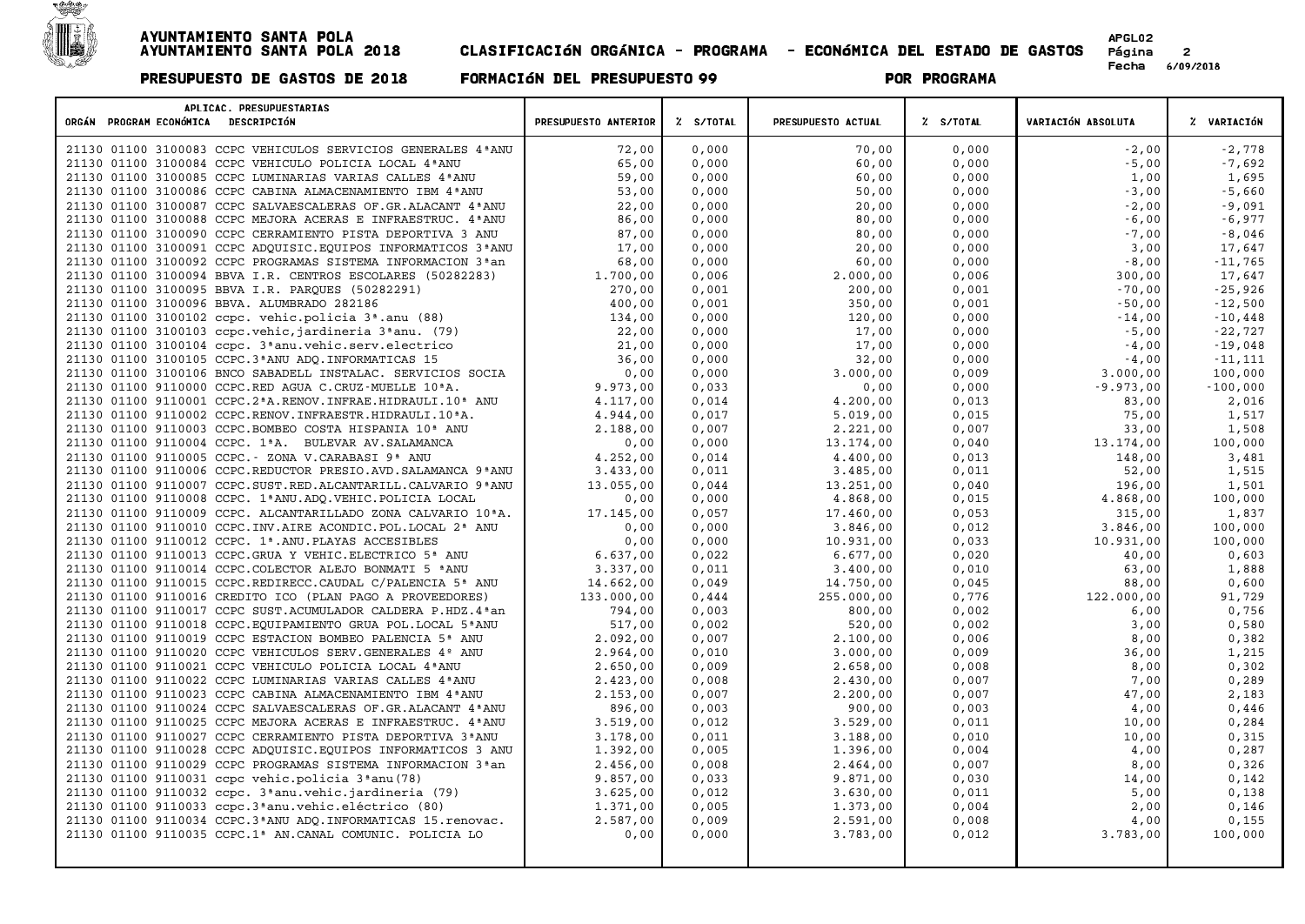

| APLICAC. PRESUPUESTARIAS<br>ORGÁN PROGRAM ECONÓMICA DESCRIPCIÓN                     | PRESUPUESTO ANTERIOR | % S/TOTAL | PRESUPUESTO ACTUAL | % S/TOTAL | VARIACIÓN ABSOLUTA | % VARIACIÓN      |
|-------------------------------------------------------------------------------------|----------------------|-----------|--------------------|-----------|--------------------|------------------|
| 21130 01100 3100083 CCPC VEHICULOS SERVICIOS GENERALES 4 ANU                        | 72,00                | 0,000     | 70,00              | 0,000     | $-2.00$            | $-2,778$         |
| 21130 01100 3100084 CCPC VEHICULO POLICIA LOCAL 4ª ANU                              | 65,00                | 0,000     | 60,00              | 0,000     | $-5,00$            | $-7,692$         |
| 21130 01100 3100085 CCPC LUMINARIAS VARIAS CALLES 4 ANU                             | 59,00                | 0,000     | 60,00              | 0,000     | 1,00               | 1,695            |
| 21130 01100 3100086 CCPC CABINA ALMACENAMIENTO IBM 4 ª ANU                          | 53,00                | 0,000     | 50,00              | 0,000     | $-3,00$            | $-5,660$         |
| 21130 01100 3100087 CCPC SALVAESCALERAS OF. GR. ALACANT 4 ª ANU                     | 22.00                | 0.000     | 20,00              | 0,000     | $-2.00$            | $-9,091$         |
| 21130 01100 3100088 CCPC MEJORA ACERAS E INFRAESTRUC. 4ªANU                         | 86,00                | 0,000     | 80,00              | 0,000     | $-6,00$            | $-6,977$         |
| 21130 01100 3100090 CCPC CERRAMIENTO PISTA DEPORTIVA 3 ANU                          | 87,00                | 0,000     | 80,00              | 0,000     | $-7,00$            | $-8,046$         |
| 21130 01100 3100091 CCPC ADQUISIC. EQUIPOS INFORMATICOS 3ª ANU                      | 17,00                | 0,000     | 20,00              | 0,000     | 3,00               | 17,647           |
| 21130 01100 3100092 CCPC PROGRAMAS SISTEMA INFORMACION 3 <sup>ª</sup> an            | 68,00                | 0,000     | 60,00              | 0,000     | $-8,00$            | $-11,765$        |
| 21130 01100 3100094 BBVA I.R. CENTROS ESCOLARES (50282283)                          | 1.700,00             | 0,006     | 2.000,00           | 0,006     | 300,00             | 17,647           |
| 21130 01100 3100095 BBVA I.R. PARQUES (50282291)                                    | 270,00               | 0,001     | 200,00             | 0,001     | $-70,00$           | $-25,926$        |
| 21130 01100 3100096 BBVA. ALUMBRADO 282186                                          | 400,00               | 0,001     | 350,00             | 0,001     | $-50,00$           | $-12,500$        |
| 21130 01100 3100102 ccpc. vehic.policia 3 <sup>ª</sup> .anu (88)                    | 134,00               | 0,000     | 120,00             | 0,000     | $-14,00$           | $-10,448$        |
| 21130 01100 3100103 ccpc.vehic, jardineria 3ªanu. (79)                              | 22,00                | 0,000     | 17,00              | 0,000     | $-5,00$            | $-22,727$        |
| 21130 01100 3100104 ccpc. 3 <sup>ª</sup> anu.vehic.serv.electrico                   | 21,00                | 0,000     | 17,00              | 0,000     | $-4,00$            | $-19,048$        |
| 21130 01100 3100105 CCPC.3 <sup>ª</sup> ANU ADQ. INFORMATICAS 15                    | 36,00                | 0,000     | 32,00              | 0,000     | $-4,00$            | $-11,111$        |
| 21130 01100 3100106 BNCO SABADELL INSTALAC. SERVICIOS SOCIA                         | 0,00                 | 0,000     | 3.000,00           | 0,009     | 3.000,00           | 100,000          |
| 21130 01100 9110000 CCPC.RED AGUA C.CRUZ-MUELLE 10ªA.                               | 9.973,00             | 0,033     | 0,00               | 0,000     | $-9.973,00$        | $-100,000$       |
| 21130 01100 9110001 CCPC.2 <sup>ª</sup> A.RENOV.INFRAE.HIDRAULI.10 <sup>ª</sup> ANU | 4.117,00             | 0,014     | 4.200,00           | 0,013     | 83,00              | 2,016            |
| 21130 01100 9110002 CCPC.RENOV.INFRAESTR.HIDRAULI.10 <sup>ª</sup> A.                | 4.944,00             | 0,017     | 5.019,00           | 0,015     | 75,00              | 1,517            |
| 21130 01100 9110003 CCPC.BOMBEO COSTA HISPANIA 10ª ANU                              | 2.188,00             | 0,007     | 2.221,00           | 0,007     | 33,00              | 1,508            |
| 21130 01100 9110004 CCPC. 1ªA. BULEVAR AV. SALAMANCA                                | 0,00                 | 0,000     | 13.174,00          | 0,040     | 13.174,00          | 100,000          |
| 21130 01100 9110005 CCPC. - ZONA V.CARABASI 9ª ANU                                  | 4.252,00             | 0,014     | 4.400,00           | 0,013     | 148,00             | 3,481            |
| 21130 01100 9110006 CCPC.REDUCTOR PRESIO.AVD.SALAMANCA 9 ANU                        | 3.433,00             | 0,011     | 3.485,00           | 0,011     | 52,00              | 1,515            |
| 21130 01100 9110007 CCPC.SUST.RED.ALCANTARILL.CALVARIO 9ª ANU                       | 13.055,00            | 0,044     | 13.251,00          | 0,040     | 196,00             | 1,501            |
| 21130 01100 9110008 CCPC. 1ªANU.ADQ.VEHIC.POLICIA LOCAL                             | 0,00                 | 0,000     | 4.868,00           | 0,015     | 4.868,00           | 100,000          |
| 21130 01100 9110009 CCPC. ALCANTARILLADO ZONA CALVARIO 10ªA.                        | 17.145,00            | 0,057     | 17.460,00          | 0,053     | 315,00             | 1,837            |
| 21130 01100 9110010 CCPC. INV. AIRE ACONDIC. POL. LOCAL 2ª ANU                      | 0,00                 | 0,000     | 3.846,00           | 0,012     | 3.846,00           | 100,000          |
| 21130 01100 9110012 CCPC. 1ª.ANU. PLAYAS ACCESIBLES                                 | 0,00                 | 0,000     | 10.931,00          | 0,033     | 10.931,00          | 100,000          |
| 21130 01100 9110013 CCPC.GRUA Y VEHIC.ELECTRICO 5ª ANU                              | 6.637,00             | 0,022     | 6.677,00           | 0,020     | 40,00              | 0,603            |
| 21130 01100 9110014 CCPC.COLECTOR ALEJO BONMATI 5 <sup>ª</sup> ANU                  | 3.337,00             | 0,011     | 3.400,00           | 0,010     | 63,00              | 1,888            |
| 21130 01100 9110015 CCPC.REDIRECC.CAUDAL C/PALENCIA 5ª ANU                          | 14.662,00            | 0,049     | 14.750,00          | 0,045     | 88,00              | 0,600            |
| 21130 01100 9110016 CREDITO ICO (PLAN PAGO A PROVEEDORES)                           | 133.000,00           | 0,444     | 255.000,00         | 0,776     | 122,000,00         | 91,729           |
| 21130 01100 9110017 CCPC SUST.ACUMULADOR CALDERA P.HDZ.4 <sup>a</sup> an            | 794,00               | 0,003     | 800,00             | 0,002     | 6,00               | 0,756            |
| 21130 01100 9110018 CCPC.EQUIPAMIENTO GRUA POL.LOCAL 5ªANU                          | 517,00               | 0,002     | 520,00             | 0,002     | 3,00               | 0,580            |
| 21130 01100 9110019 CCPC ESTACION BOMBEO PALENCIA 5 <sup>ª</sup> ANU                | 2.092,00             | 0,007     | 2.100,00           | 0,006     | 8,00               | 0,382            |
| 21130 01100 9110020 CCPC VEHICULOS SERV. GENERALES 4º ANU                           | 2.964,00             | 0,010     | 3.000,00           | 0,009     | 36,00              | 1,215            |
| 21130 01100 9110021 CCPC VEHICULO POLICIA LOCAL 4ª ANU                              | 2.650,00             | 0,009     | 2.658,00           | 0,008     | 8,00               | 0,302            |
| 21130 01100 9110022 CCPC LUMINARIAS VARIAS CALLES 4ª ANU                            | 2.423,00             | 0.008     | 2.430,00           | 0,007     | 7,00               | 0,289            |
| 21130 01100 9110023 CCPC CABINA ALMACENAMIENTO IBM 4 ª ANU                          | 2.153,00             | 0,007     | 2.200,00           | 0,007     | 47,00              | 2,183            |
| 21130 01100 9110024 CCPC SALVAESCALERAS OF.GR.ALACANT 4 ANU                         | 896,00               | 0,003     | 900,00             | 0,003     | 4,00               | 0,446            |
| 21130 01100 9110025 CCPC MEJORA ACERAS E INFRAESTRUC. 4ªANU                         | 3.519,00             | 0,012     | 3.529,00           | 0,011     | 10,00              | 0, 284           |
| 21130 01100 9110027 CCPC CERRAMIENTO PISTA DEPORTIVA 3ªANU                          | 3.178,00             | 0,011     | 3.188,00           | 0,010     | 10,00              | 0,315            |
| 21130 01100 9110028 CCPC ADQUISIC. EQUIPOS INFORMATICOS 3 ANU                       | 1.392,00             | 0,005     | 1.396,00           | 0,004     | 4,00               | 0,287            |
| 21130 01100 9110029 CCPC PROGRAMAS SISTEMA INFORMACION 3 <sup>ª</sup> an            | 2.456,00             | 0,008     | 2.464,00           | 0,007     | 8,00               | 0,326            |
| 21130 01100 9110031 ccpc vehic.policia 3ªanu (78)                                   | 9.857,00             | 0,033     | 9.871,00           | 0,030     | 14,00              | 0,142            |
| 21130 01100 9110032 ccpc. 3ªanu.vehic.jardineria (79)                               | 3.625,00             | 0,012     | 3.630,00           | 0,011     | 5,00               | 0,138            |
| 21130 01100 9110033 ccpc.3 <sup>ª</sup> anu.vehic.eléctrico (80)                    | 1.371,00             | 0,005     | 1.373,00           | 0,004     | 2,00               | 0,146            |
| 21130 01100 9110034 CCPC.3ªANU ADO.INFORMATICAS 15. renovac.                        | 2.587,00             | 0,009     | 2.591,00           | 0,008     | 4,00               | 0,155<br>100,000 |
| 21130 01100 9110035 CCPC.1 <sup>ª</sup> AN.CANAL COMUNIC. POLICIA LO                | 0,00                 | 0,000     | 3.783,00           | 0,012     | 3.783,00           |                  |
|                                                                                     |                      |           |                    |           |                    |                  |
|                                                                                     |                      |           |                    |           |                    |                  |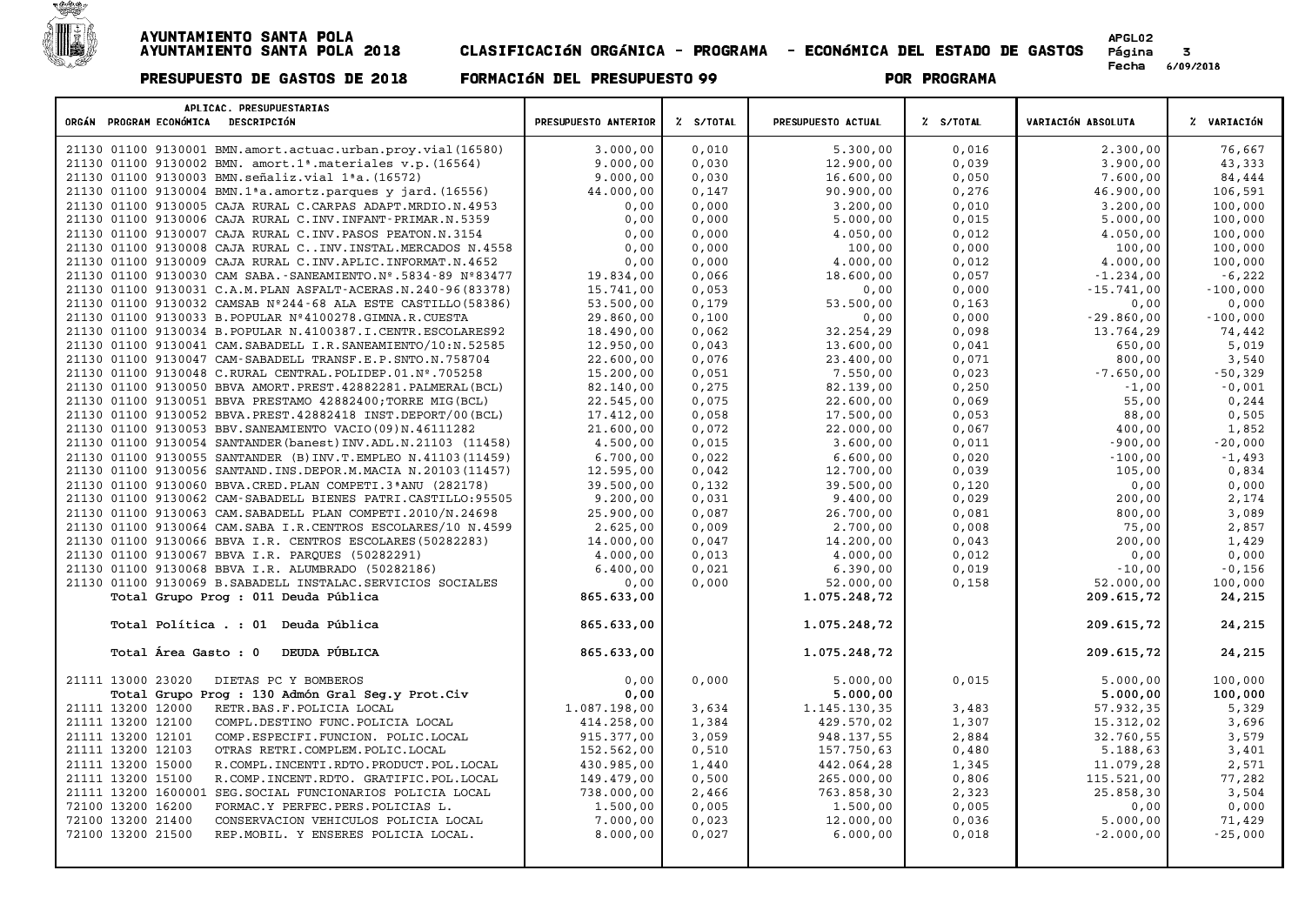

| APLICAC. PRESUPUESTARIAS<br>ORGÁN PROGRAM ECONÓMICA DESCRIPCIÓN        | PRESUPUESTO ANTERIOR | % S/TOTAL | PRESUPUESTO ACTUAL | Z S/TOTAL | VARIACIÓN ABSOLUTA | % VARIACIÓN |
|------------------------------------------------------------------------|----------------------|-----------|--------------------|-----------|--------------------|-------------|
| 21130 01100 9130001 BMN.amort.actuac.urban.proy.vial(16580)            | 3.000,00             | 0,010     | 5.300,00           | 0,016     | 2.300,00           | 76,667      |
| 21130 01100 9130002 BMN. amort.1 <sup>ª</sup> .materiales v.p. (16564) | 9.000,00             | 0,030     | 12.900,00          | 0,039     | 3.900,00           | 43,333      |
| 21130 01100 9130003 BMN.señaliz.vial 1ªa. (16572)                      | 9.000,00             | 0,030     | 16.600,00          | 0,050     | 7.600,00           | 84,444      |
| 21130 01100 9130004 BMN.1ªa.amortz.parques y jard. (16556)             | 44.000,00            | 0,147     | 90.900,00          | 0,276     | 46.900,00          | 106,591     |
| 21130 01100 9130005 CAJA RURAL C.CARPAS ADAPT.MRDIO.N.4953             | 0,00                 | 0,000     | 3.200,00           | 0,010     | 3.200,00           | 100,000     |
| 21130 01100 9130006 CAJA RURAL C. INV. INFANT-PRIMAR.N. 5359           | 0,00                 | 0,000     | 5.000,00           | 0,015     | 5.000,00           | 100,000     |
| 21130 01100 9130007 CAJA RURAL C. INV. PASOS PEATON. N. 3154           | 0,00                 | 0,000     | 4.050,00           | 0,012     | 4.050,00           | 100,000     |
| 21130 01100 9130008 CAJA RURAL C INV. INSTAL. MERCADOS N. 4558         | 0,00                 | 0,000     | 100,00             | 0,000     | 100,00             | 100,000     |
| 21130 01100 9130009 CAJA RURAL C. INV. APLIC. INFORMAT. N. 4652        | 0,00                 | 0,000     | 4.000,00           | 0,012     | 4.000,00           | 100,000     |
| 21130 01100 9130030 CAM SABA. - SANEAMIENTO. Nº.5834-89 Nº83477        | 19.834,00            | 0,066     | 18.600,00          | 0,057     | $-1.234,00$        | $-6,222$    |
| 21130 01100 9130031 C.A.M. PLAN ASFALT-ACERAS.N. 240-96 (83378)        | 15.741,00            | 0,053     | 0,00               | 0,000     | $-15.741,00$       | $-100,000$  |
| 21130 01100 9130032 CAMSAB Nº244-68 ALA ESTE CASTILLO (58386)          | 53.500,00            | 0,179     | 53.500,00          | 0,163     | 0,00               | 0,000       |
| 21130 01100 9130033 B. POPULAR Nº4100278. GIMNA.R. CUESTA              | 29.860,00            | 0,100     | 0,00               | 0,000     | $-29.860,00$       | $-100,000$  |
| 21130 01100 9130034 B. POPULAR N. 4100387. I. CENTR. ESCOLARES92       | 18.490,00            | 0,062     | 32.254,29          | 0,098     | 13.764,29          | 74,442      |
| 21130 01100 9130041 CAM. SABADELL I.R. SANEAMIENTO/10:N.52585          | 12.950,00            | 0,043     | 13.600,00          | 0,041     | 650,00             | 5,019       |
| 21130 01100 9130047 CAM-SABADELL TRANSF.E.P.SNTO.N.758704              | 22.600,00            | 0,076     | 23.400,00          | 0,071     | 800,00             | 3,540       |
| 21130 01100 9130048 C.RURAL CENTRAL. POLIDEP.01.Nº.705258              | 15.200,00            | 0,051     | 7.550,00           | 0,023     | $-7.650,00$        | $-50,329$   |
| 21130 01100 9130050 BBVA AMORT. PREST. 42882281. PALMERAL (BCL)        | 82.140,00            | 0,275     | 82.139,00          | 0,250     | $-1,00$            | $-0,001$    |
| 21130 01100 9130051 BBVA PRESTAMO 42882400; TORRE MIG (BCL)            | 22.545,00            | 0,075     | 22.600,00          | 0,069     | 55,00              | 0, 244      |
| 21130 01100 9130052 BBVA. PREST. 42882418 INST. DEPORT/00 (BCL)        | 17.412,00            | 0,058     | 17.500,00          | 0,053     | 88,00              | 0,505       |
| 21130 01100 9130053 BBV. SANEAMIENTO VACIO (09) N. 46111282            | 21,600,00            | 0,072     | 22.000,00          | 0,067     | 400,00             | 1,852       |
| 21130 01100 9130054 SANTANDER (banest) INV.ADL.N.21103 (11458)         | 4.500,00             | 0,015     | 3.600,00           | 0,011     | $-900,00$          | $-20,000$   |
| 21130 01100 9130055 SANTANDER (B) INV.T. EMPLEO N. 41103 (11459)       | 6.700,00             | 0,022     | 6.600,00           | 0,020     | $-100,00$          | $-1,493$    |
| 21130 01100 9130056 SANTAND. INS. DEPOR. M. MACIA N. 20103 (11457)     | 12.595,00            | 0,042     | 12.700,00          | 0,039     | 105,00             | 0,834       |
| 21130 01100 9130060 BBVA.CRED. PLAN COMPETI.3 ª ANU (282178)           | 39.500,00            | 0,132     | 39.500,00          | 0,120     | 0,00               | 0,000       |
| 21130 01100 9130062 CAM-SABADELL BIENES PATRI.CASTILLO:95505           | 9.200,00             | 0,031     | 9.400,00           | 0,029     | 200,00             | 2,174       |
| 21130 01100 9130063 CAM. SABADELL PLAN COMPETI.2010/N.24698            | 25,900,00            | 0.087     | 26.700,00          | 0.081     | 800,00             | 3,089       |
| 21130 01100 9130064 CAM. SABA I.R. CENTROS ESCOLARES/10 N. 4599        | 2.625,00             | 0,009     | 2.700,00           | 0,008     | 75,00              | 2,857       |
| 21130 01100 9130066 BBVA I.R. CENTROS ESCOLARES (50282283)             | 14.000,00            | 0,047     | 14.200,00          | 0,043     | 200,00             | 1,429       |
| 21130 01100 9130067 BBVA I.R. PARQUES (50282291)                       | 4.000,00             | 0,013     | 4.000,00           | 0,012     | 0,00               | 0,000       |
| 21130 01100 9130068 BBVA I.R. ALUMBRADO (50282186)                     | 6.400,00             | 0,021     | 6.390,00           | 0,019     | $-10,00$           | $-0,156$    |
| 21130 01100 9130069 B.SABADELL INSTALAC.SERVICIOS SOCIALES             | 0,00                 | 0,000     | 52.000,00          | 0,158     | 52.000,00          | 100,000     |
| Total Grupo Prog : 011 Deuda Pública                                   | 865.633,00           |           | 1.075.248,72       |           | 209.615,72         | 24,215      |
| Total Política . : 01 Deuda Pública                                    | 865.633,00           |           | 1.075.248,72       |           | 209.615,72         | 24,215      |
| DEUDA PÚBLICA<br>Total Área Gasto : 0                                  | 865.633,00           |           | 1.075.248,72       |           | 209.615,72         | 24,215      |
| 21111 13000 23020<br>DIETAS PC Y BOMBEROS                              | 0,00                 | 0,000     | 5.000,00           | 0,015     | 5.000,00           | 100,000     |
| Total Grupo Prog : 130 Admón Gral Seg.y Prot.Civ                       | 0,00                 |           | 5.000,00           |           | 5.000,00           | 100,000     |
| 21111 13200 12000<br>RETR.BAS.F.POLICIA LOCAL                          | 1.087.198,00         | 3,634     | 1.145.130,35       | 3,483     | 57.932,35          | 5,329       |
| 21111 13200 12100<br>COMPL.DESTINO FUNC.POLICIA LOCAL                  | 414.258,00           | 1,384     | 429.570,02         | 1,307     | 15.312,02          | 3,696       |
| 21111 13200 12101<br>COMP.ESPECIFI.FUNCION. POLIC.LOCAL                | 915.377,00           | 3,059     | 948.137,55         | 2,884     | 32.760,55          | 3,579       |
| 21111 13200 12103<br>OTRAS RETRI.COMPLEM.POLIC.LOCAL                   | 152.562,00           | 0,510     | 157.750,63         | 0,480     | 5.188,63           | 3,401       |
| 21111 13200 15000<br>R. COMPL. INCENTI. RDTO. PRODUCT. POL. LOCAL      | 430.985,00           | 1,440     | 442.064,28         | 1,345     | 11.079,28          | 2,571       |
| 21111 13200 15100<br>R.COMP.INCENT.RDTO. GRATIFIC.POL.LOCAL            | 149.479,00           | 0,500     | 265.000,00         | 0,806     | 115.521,00         | 77,282      |
| 21111 13200 1600001 SEG. SOCIAL FUNCIONARIOS POLICIA LOCAL             | 738.000,00           | 2,466     | 763.858,30         | 2,323     | 25.858,30          | 3,504       |
| 72100 13200 16200<br>FORMAC.Y PERFEC.PERS.POLICIAS L.                  | 1.500,00             | 0,005     | 1.500,00           | 0,005     | 0,00               | 0,000       |
| 72100 13200 21400<br>CONSERVACION VEHICULOS POLICIA LOCAL              | 7.000,00             | 0,023     | 12.000,00          | 0,036     | 5.000,00           | 71,429      |
| 72100 13200 21500<br>REP.MOBIL. Y ENSERES POLICIA LOCAL.               | 8.000,00             | 0,027     | 6.000,00           | 0,018     | $-2.000,00$        | $-25,000$   |
|                                                                        |                      |           |                    |           |                    |             |
|                                                                        |                      |           |                    |           |                    |             |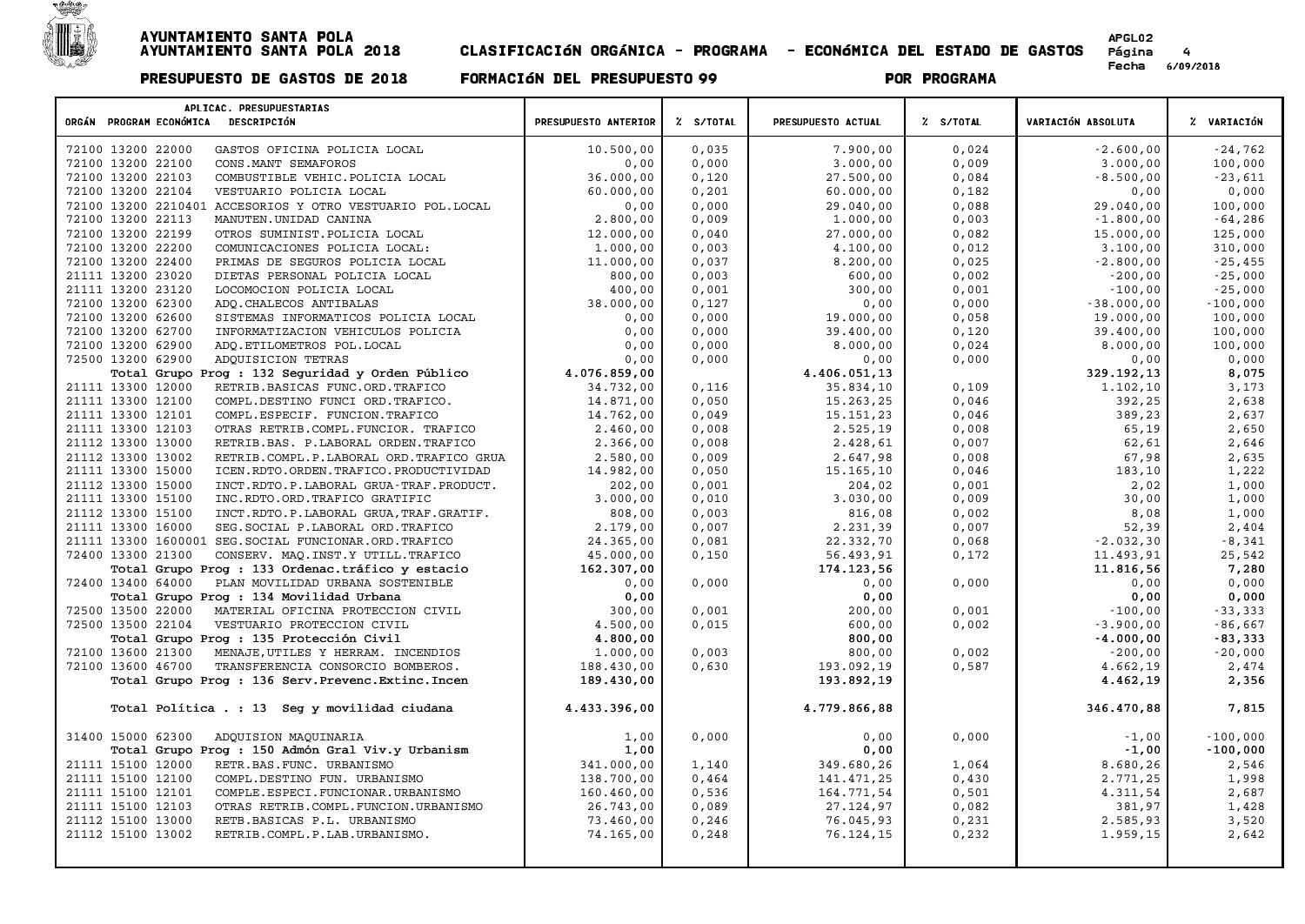

| APLICAC. PRESUPUESTARIAS<br>ORGÁN PROGRAM ECONÓMICA DESCRIPCIÓN | PRESUPUESTO ANTERIOR | Z S/TOTAL | PRESUPUESTO ACTUAL | % S/TOTAL | <b>VARIACIÓN ABSOLUTA</b> | % VARIACIÓN |
|-----------------------------------------------------------------|----------------------|-----------|--------------------|-----------|---------------------------|-------------|
| 72100 13200 22000<br>GASTOS OFICINA POLICIA LOCAL               | 10.500,00            | 0,035     | 7.900,00           | 0,024     | $-2.600,00$               | $-24,762$   |
| 72100 13200 22100<br>CONS. MANT SEMAFOROS                       | 0,00                 | 0,000     | 3.000,00           | 0,009     | 3.000,00                  | 100,000     |
| 72100 13200 22103<br>COMBUSTIBLE VEHIC. POLICIA LOCAL           | 36.000,00            | 0,120     | 27.500,00          | 0,084     | $-8.500,00$               | $-23,611$   |
| 72100 13200 22104<br>VESTUARIO POLICIA LOCAL                    | 60.000,00            | 0,201     | 60.000,00          | 0,182     | 0,00                      | 0,000       |
| 72100 13200 2210401 ACCESORIOS Y OTRO VESTUARIO POL. LOCAL      | 0,00                 | 0,000     | 29.040,00          | 0,088     | 29.040,00                 | 100,000     |
| 72100 13200 22113<br>MANUTEN. UNIDAD CANINA                     | 2.800,00             | 0,009     | 1.000,00           | 0,003     | $-1.800,00$               | $-64,286$   |
| 72100 13200 22199<br>OTROS SUMINIST. POLICIA LOCAL              | 12.000,00            | 0.040     | 27.000,00          | 0,082     | 15.000,00                 | 125,000     |
| 72100 13200 22200<br>COMUNICACIONES POLICIA LOCAL:              | 1.000,00             | 0,003     | 4.100,00           | 0,012     | 3.100,00                  | 310,000     |
| 72100 13200 22400<br>PRIMAS DE SEGUROS POLICIA LOCAL            | 11.000,00            | 0,037     | 8.200,00           | 0,025     | $-2.800,00$               | $-25,455$   |
| 21111 13200 23020<br>DIETAS PERSONAL POLICIA LOCAL              | 800,00               | 0,003     | 600,00             | 0,002     | $-200,00$                 | $-25,000$   |
| 21111 13200 23120<br>LOCOMOCION POLICIA LOCAL                   | 400,00               | 0,001     | 300,00             | 0,001     | $-100,00$                 | $-25,000$   |
| 72100 13200 62300<br>ADQ. CHALECOS ANTIBALAS                    | 38.000,00            | 0,127     | 0,00               | 0,000     | $-38.000,00$              | $-100,000$  |
| 72100 13200 62600<br>SISTEMAS INFORMATICOS POLICIA LOCAL        | 0,00                 | 0,000     | 19.000,00          | 0,058     | 19.000,00                 | 100,000     |
| 72100 13200 62700<br>INFORMATIZACION VEHICULOS POLICIA          | 0,00                 | 0,000     | 39.400,00          | 0,120     | 39.400,00                 | 100,000     |
| 72100 13200 62900<br>ADQ.ETILOMETROS POL.LOCAL                  | 0,00                 | 0,000     | 8.000,00           | 0,024     | 8.000,00                  | 100,000     |
| 72500 13200 62900<br>ADQUISICION TETRAS                         | 0,00                 | 0,000     | 0,00               | 0,000     | 0,00                      | 0,000       |
| Total Grupo Prog : 132 Seguridad y Orden Público                | 4.076.859,00         |           | 4.406.051,13       |           | 329.192,13                | 8,075       |
| 21111 13300 12000<br>RETRIB.BASICAS FUNC.ORD.TRAFICO            | 34.732,00            | 0,116     | 35.834,10          | 0,109     | 1.102,10                  | 3,173       |
| 21111 13300 12100<br>COMPL.DESTINO FUNCI ORD.TRAFICO.           | 14.871,00            | 0,050     | 15.263,25          | 0,046     | 392,25                    | 2,638       |
| 21111 13300 12101<br>COMPL.ESPECIF. FUNCION.TRAFICO             | 14.762,00            | 0,049     | 15.151,23          | 0,046     | 389,23                    | 2,637       |
| 21111 13300 12103<br>OTRAS RETRIB.COMPL.FUNCIOR. TRAFICO        | 2.460,00             | 0,008     | 2.525,19           | 0,008     | 65,19                     | 2,650       |
| 21112 13300 13000<br>RETRIB.BAS. P.LABORAL ORDEN.TRAFICO        | 2.366,00             | 0,008     | 2.428,61           | 0,007     | 62,61                     | 2,646       |
| 21112 13300 13002<br>RETRIB.COMPL.P.LABORAL ORD.TRAFICO GRUA    | 2.580,00             | 0,009     | 2.647,98           | 0,008     | 67,98                     | 2,635       |
| 21111 13300 15000<br>ICEN.RDTO.ORDEN.TRAFICO.PRODUCTIVIDAD      | 14.982,00            | 0,050     | 15.165,10          | 0,046     | 183,10                    | 1,222       |
| 21112 13300 15000<br>INCT.RDTO.P.LABORAL GRUA-TRAF.PRODUCT.     | 202,00               | 0,001     | 204,02             | 0,001     | 2,02                      | 1,000       |
| 21111 13300 15100<br>INC.RDTO.ORD.TRAFICO GRATIFIC              | 3.000,00             | 0,010     | 3.030,00           | 0,009     | 30,00                     | 1,000       |
| 21112 13300 15100<br>INCT.RDTO.P.LABORAL GRUA, TRAF.GRATIF.     | 808,00               | 0,003     | 816,08             | 0,002     | 8,08                      | 1,000       |
| 21111 13300 16000<br>SEG. SOCIAL P. LABORAL ORD. TRAFICO        | 2.179,00             | 0,007     | 2.231,39           | 0,007     | 52,39                     | 2,404       |
| 21111 13300 1600001 SEG. SOCIAL FUNCIONAR. ORD. TRAFICO         | 24.365,00            | 0,081     | 22.332,70          | 0,068     | $-2.032, 30$              | $-8,341$    |
| 72400 13300 21300<br>CONSERV. MAQ. INST.Y UTILL. TRAFICO        | 45.000,00            | 0,150     | 56.493,91          | 0,172     | 11.493,91                 | 25,542      |
| Total Grupo Prog : 133 Ordenac.tráfico y estacio                | 162.307,00           |           | 174.123,56         |           | 11.816,56                 | 7,280       |
| PLAN MOVILIDAD URBANA SOSTENIBLE<br>72400 13400 64000           | 0,00                 | 0,000     | 0,00               | 0,000     | 0,00                      | 0,000       |
| Total Grupo Prog : 134 Movilidad Urbana                         | 0,00                 |           | 0,00               |           | 0,00                      | 0,000       |
| 72500 13500 22000<br>MATERIAL OFICINA PROTECCION CIVIL          | 300,00               | 0,001     | 200,00             | 0,001     | $-100,00$                 | $-33,333$   |
| 72500 13500 22104<br>VESTUARIO PROTECCION CIVIL                 | 4.500,00             | 0,015     | 600,00             | 0,002     | $-3.900,00$               | $-86,667$   |
| Total Grupo Prog : 135 Protección Civil                         | 4.800,00             |           | 800,00             |           | $-4.000,00$               | $-83,333$   |
| 72100 13600 21300<br>MENAJE, UTILES Y HERRAM. INCENDIOS         | 1.000,00             | 0,003     | 800,00             | 0,002     | $-200,00$                 | $-20,000$   |
| 72100 13600 46700<br>TRANSFERENCIA CONSORCIO BOMBEROS.          | 188.430,00           | 0,630     | 193.092,19         | 0,587     | 4.662,19                  | 2,474       |
| Total Grupo Prog : 136 Serv. Prevenc. Extinc. Incen             | 189.430,00           |           | 193.892,19         |           | 4.462,19                  | 2,356       |
| Total Política . : 13 Seg y movilidad ciudana                   | 4.433.396,00         |           | 4.779.866,88       |           | 346.470,88                | 7,815       |
| 31400 15000 62300<br>ADQUISION MAQUINARIA                       | 1,00                 | 0,000     | 0,00               | 0,000     | $-1,00$                   | $-100,000$  |
| Total Grupo Prog : 150 Admón Gral Viv.y Urbanism                | 1,00                 |           | 0,00               |           | $-1,00$                   | $-100,000$  |
| 21111 15100 12000<br>RETR.BAS.FUNC. URBANISMO                   | 341.000,00           | 1,140     | 349.680,26         | 1,064     | 8.680,26                  | 2,546       |
| 21111 15100 12100<br>COMPL.DESTINO FUN. URBANISMO               | 138.700,00           | 0,464     | 141.471,25         | 0,430     | 2.771,25                  | 1,998       |
| 21111 15100 12101<br>COMPLE. ESPECI. FUNCIONAR. URBANISMO       | 160.460,00           | 0,536     | 164.771,54         | 0,501     | 4.311,54                  | 2,687       |
| 21111 15100 12103<br>OTRAS RETRIB.COMPL.FUNCION.URBANISMO       | 26.743,00            | 0,089     | 27.124,97          | 0,082     | 381,97                    | 1,428       |
| 21112 15100 13000<br>RETB.BASICAS P.L. URBANISMO                | 73.460,00            | 0, 246    | 76.045,93          | 0,231     | 2.585,93                  | 3,520       |
| 21112 15100 13002<br>RETRIB.COMPL.P.LAB.URBANISMO.              | 74.165,00            | 0, 248    | 76.124,15          | 0,232     | 1.959,15                  | 2,642       |
|                                                                 |                      |           |                    |           |                           |             |
|                                                                 |                      |           |                    |           |                           |             |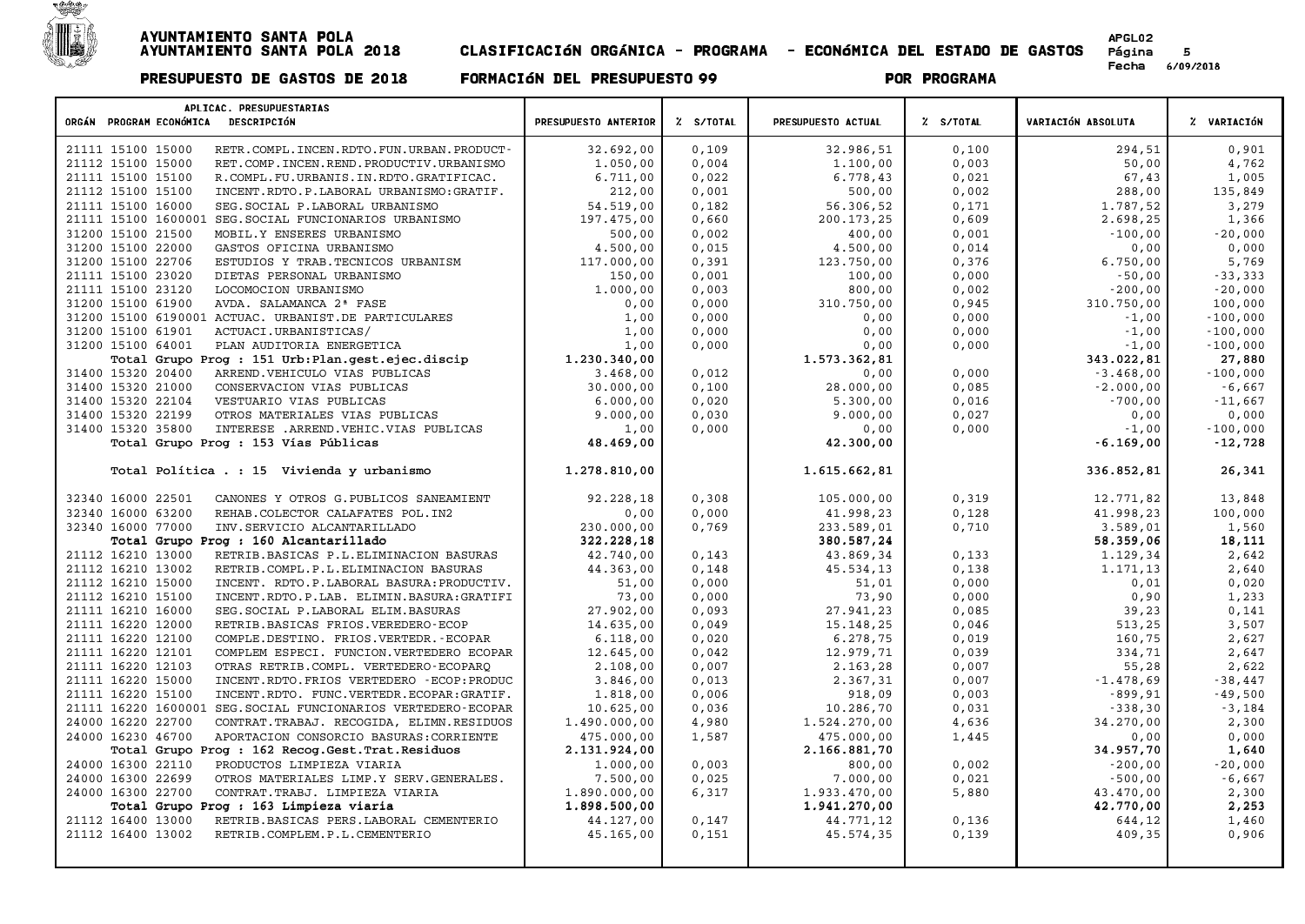

| APLICAC. PRESUPUESTARIAS<br>ORGÁN PROGRAM ECONÓMICA DESCRIPCIÓN     | PRESUPUESTO ANTERIOR | % S/TOTAL | PRESUPUESTO ACTUAL | % S/TOTAL | VARIACIÓN ABSOLUTA | % VARIACIÓN |
|---------------------------------------------------------------------|----------------------|-----------|--------------------|-----------|--------------------|-------------|
| 21111 15100 15000<br>RETR. COMPL. INCEN. RDTO. FUN. URBAN. PRODUCT- | 32.692,00            | 0,109     | 32.986,51          | 0,100     | 294,51             | 0,901       |
| 21112 15100 15000<br>RET.COMP.INCEN.REND.PRODUCTIV.URBANISMO        | 1.050,00             | 0,004     | 1,100,00           | 0,003     | 50,00              | 4,762       |
| 21111 15100 15100<br>R.COMPL.FU.URBANIS.IN.RDTO.GRATIFICAC.         | 6.711,00             | 0,022     | 6.778,43           | 0,021     | 67,43              | 1,005       |
| 21112 15100 15100<br>INCENT.RDTO.P.LABORAL URBANISMO:GRATIF.        | 212,00               | 0,001     | 500,00             | 0,002     | 288,00             | 135,849     |
| 21111 15100 16000<br>SEG. SOCIAL P. LABORAL URBANISMO               | 54.519,00            | 0,182     | 56.306,52          | 0,171     | 1.787,52           | 3,279       |
| 21111 15100 1600001 SEG. SOCIAL FUNCIONARIOS URBANISMO              | 197.475,00           | 0,660     | 200.173,25         | 0,609     | 2.698,25           | 1,366       |
| 31200 15100 21500<br>MOBIL.Y ENSERES URBANISMO                      | 500,00               | 0,002     | 400,00             | 0,001     | $-100,00$          | $-20,000$   |
| 31200 15100 22000<br>GASTOS OFICINA URBANISMO                       | 4,500,00             | 0,015     | 4.500,00           | 0,014     | 0,00               | 0,000       |
| 31200 15100 22706<br>ESTUDIOS Y TRAB. TECNICOS URBANISM             | 117.000,00           | 0,391     | 123.750,00         | 0,376     | 6.750,00           | 5,769       |
| 21111 15100 23020<br>DIETAS PERSONAL URBANISMO                      | 150,00               | 0,001     | 100,00             | 0,000     | $-50,00$           | $-33,333$   |
| 21111 15100 23120<br>LOCOMOCION URBANISMO                           | 1,000,00             | 0,003     | 800,00             | 0,002     | $-200,00$          | $-20,000$   |
| 31200 15100 61900<br>AVDA. SALAMANCA 2ª FASE                        | 0,00                 | 0,000     | 310.750,00         | 0,945     | 310.750,00         | 100,000     |
| 31200 15100 6190001 ACTUAC. URBANIST.DE PARTICULARES                | 1,00                 | 0,000     | 0,00               | 0,000     | $-1,00$            | $-100,000$  |
| 31200 15100 61901<br>ACTUACI.URBANISTICAS/                          | 1,00                 | 0,000     | 0,00               | 0,000     | $-1,00$            | $-100,000$  |
| PLAN AUDITORIA ENERGETICA<br>31200 15100 64001                      | 1,00                 | 0,000     | 0,00               | 0,000     | $-1,00$            | $-100,000$  |
| Total Grupo Prog : 151 Urb: Plan.gest.ejec.discip                   | 1.230.340,00         |           | 1.573.362,81       |           | 343.022,81         | 27,880      |
| 31400 15320 20400<br>ARREND. VEHICULO VIAS PUBLICAS                 | 3.468,00             | 0,012     | 0,00               | 0,000     | $-3.468,00$        | $-100,000$  |
| 31400 15320 21000<br>CONSERVACION VIAS PUBLICAS                     | 30.000,00            | 0,100     | 28.000,00          | 0,085     | $-2.000,00$        | $-6,667$    |
| 31400 15320 22104<br>VESTUARIO VIAS PUBLICAS                        | 6.000,00             | 0,020     | 5.300,00           | 0,016     | $-700,00$          | $-11,667$   |
| 31400 15320 22199<br>OTROS MATERIALES VIAS PUBLICAS                 | 9.000,00             | 0,030     | 9.000,00           | 0,027     | 0,00               | 0,000       |
| 31400 15320 35800<br>INTERESE .ARREND. VEHIC. VIAS PUBLICAS         | 1,00                 | 0,000     | 0,00               | 0,000     | $-1,00$            | $-100,000$  |
| Total Grupo Prog : 153 Vías Públicas                                | 48.469,00            |           | 42.300,00          |           | $-6.169,00$        | $-12,728$   |
| Total Política . : 15 Vivienda y urbanismo                          | 1.278.810,00         |           | 1.615.662,81       |           | 336.852,81         | 26,341      |
| 32340 16000 22501<br>CANONES Y OTROS G. PUBLICOS SANEAMIENT         | 92.228,18            | 0,308     | 105.000,00         | 0,319     | 12.771,82          | 13,848      |
| 32340 16000 63200<br>REHAB. COLECTOR CALAFATES POL. IN2             | 0,00                 | 0,000     | 41.998,23          | 0,128     | 41.998,23          | 100,000     |
| 32340 16000 77000<br>INV.SERVICIO ALCANTARILLADO                    | 230.000,00           | 0,769     | 233.589,01         | 0,710     | 3.589,01           | 1,560       |
| Total Grupo Prog : 160 Alcantarillado                               | 322.228.18           |           | 380.587.24         |           | 58.359,06          | 18,111      |
| 21112 16210 13000<br>RETRIB.BASICAS P.L.ELIMINACION BASURAS         | 42.740,00            | 0,143     | 43.869,34          | 0,133     | 1.129,34           | 2,642       |
| 21112 16210 13002<br>RETRIB.COMPL.P.L.ELIMINACION BASURAS           | 44.363,00            | 0,148     | 45.534,13          | 0,138     | 1.171,13           | 2,640       |
| 21112 16210 15000<br>INCENT. RDTO.P.LABORAL BASURA: PRODUCTIV.      | 51,00                | 0,000     | 51,01              | 0,000     | 0,01               | 0,020       |
| 21112 16210 15100<br>INCENT.RDTO.P.LAB. ELIMIN.BASURA:GRATIFI       | 73,00                | 0,000     | 73,90              | 0,000     | 0,90               | 1,233       |
| 21111 16210 16000<br>SEG. SOCIAL P. LABORAL ELIM. BASURAS           | 27.902,00            | 0,093     | 27.941,23          | 0,085     | 39,23              | 0,141       |
| 21111 16220 12000<br>RETRIB.BASICAS FRIOS.VEREDERO-ECOP             | 14.635,00            | 0,049     | 15.148,25          | 0,046     | 513,25             | 3,507       |
| 21111 16220 12100<br>COMPLE.DESTINO. FRIOS.VERTEDR. - ECOPAR        | 6.118,00             | 0,020     | 6.278,75           | 0,019     | 160,75             | 2,627       |
| 21111 16220 12101<br>COMPLEM ESPECI. FUNCION. VERTEDERO ECOPAR      | 12.645,00            | 0,042     | 12.979,71          | 0,039     | 334,71             | 2,647       |
| 21111 16220 12103<br>OTRAS RETRIB.COMPL. VERTEDERO-ECOPARQ          | 2,108,00             | 0,007     | 2.163,28           | 0,007     | 55,28              | 2,622       |
| 21111 16220 15000<br>INCENT.RDTO.FRIOS VERTEDERO - ECOP: PRODUC     | 3.846,00             | 0,013     | 2.367,31           | 0,007     | $-1.478,69$        | $-38,447$   |
| 21111 16220 15100<br>INCENT.RDTO. FUNC.VERTEDR.ECOPAR:GRATIF.       | 1.818,00             | 0,006     | 918,09             | 0,003     | $-899,91$          | $-49,500$   |
| 21111 16220 1600001 SEG. SOCIAL FUNCIONARIOS VERTEDERO-ECOPAR       | 10.625,00            | 0,036     | 10.286,70          | 0,031     | $-338,30$          | $-3,184$    |
| 24000 16220 22700<br>CONTRAT. TRABAJ. RECOGIDA, ELIMN. RESIDUOS     | 1.490.000,00         | 4,980     | 1.524.270,00       | 4,636     | 34.270,00          | 2,300       |
| 24000 16230 46700<br>APORTACION CONSORCIO BASURAS: CORRIENTE        | 475.000,00           | 1,587     | 475.000,00         | 1,445     | 0,00               | 0,000       |
| Total Grupo Prog : 162 Recog. Gest. Trat. Residuos                  | 2.131.924,00         |           | 2.166.881,70       |           | 34.957,70          | 1,640       |
| 24000 16300 22110<br>PRODUCTOS LIMPIEZA VIARIA                      | 1,000,00             | 0,003     | 800,00             | 0,002     | $-200,00$          | $-20,000$   |
| 24000 16300 22699<br>OTROS MATERIALES LIMP.Y SERV.GENERALES.        | 7.500,00             | 0,025     | 7.000,00           | 0,021     | $-500,00$          | $-6,667$    |
| 24000 16300 22700<br>CONTRAT. TRABJ. LIMPIEZA VIARIA                | 1.890.000,00         | 6,317     | 1.933.470,00       | 5,880     | 43.470,00          | 2,300       |
| Total Grupo Prog : 163 Limpieza viaria                              | 1.898.500,00         |           | 1.941.270,00       |           | 42.770,00          | 2,253       |
| 21112 16400 13000<br>RETRIB.BASICAS PERS.LABORAL CEMENTERIO         | 44.127,00            | 0,147     | 44.771,12          | 0,136     | 644,12             | 1,460       |
| 21112 16400 13002<br>RETRIB.COMPLEM.P.L.CEMENTERIO                  | 45.165,00            | 0,151     | 45.574,35          | 0,139     | 409,35             | 0,906       |
|                                                                     |                      |           |                    |           |                    |             |
|                                                                     |                      |           |                    |           |                    |             |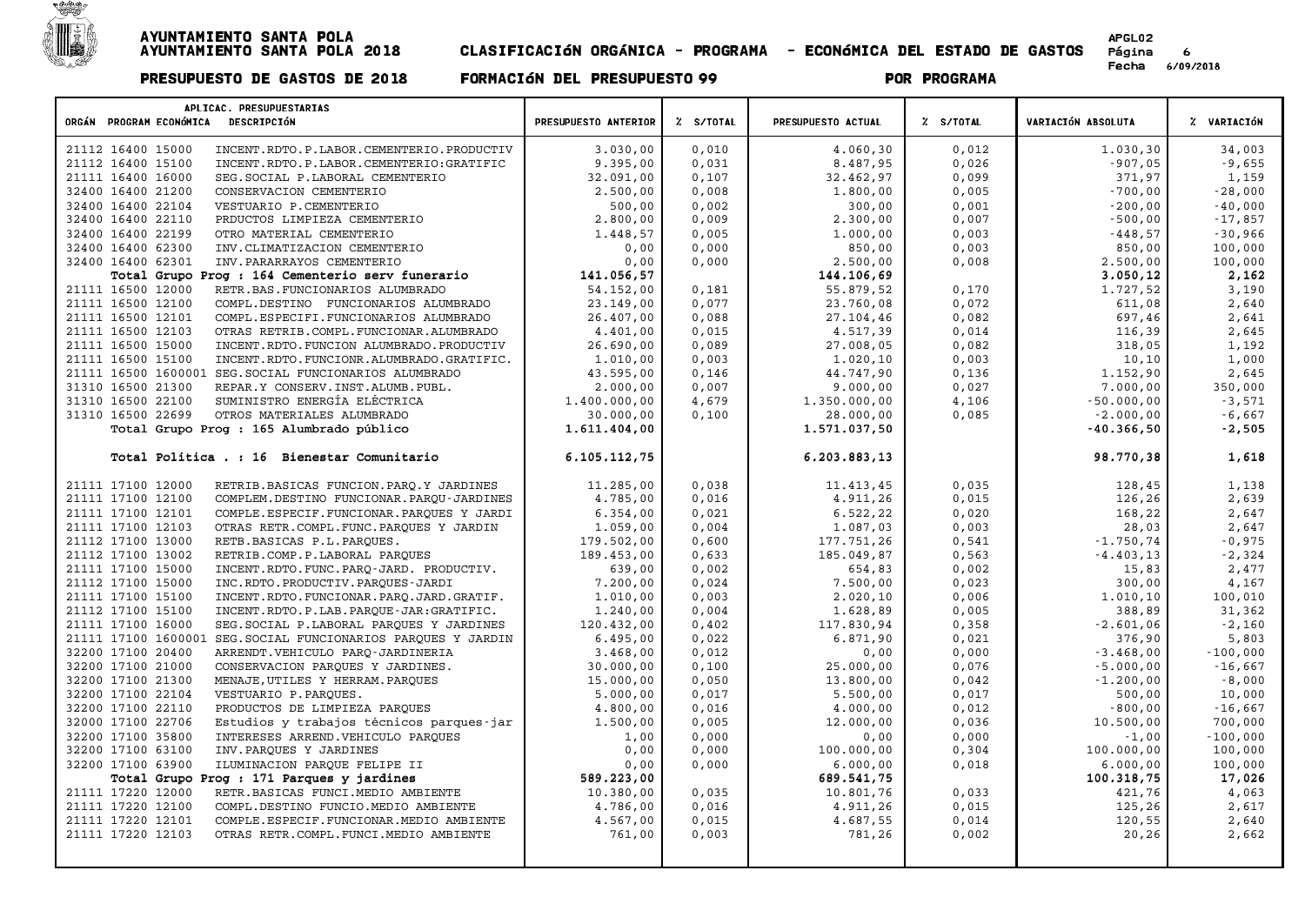

| APLICAC. PRESUPUESTARIAS<br>ORGÁN PROGRAM ECONÓMICA DESCRIPCIÓN                                       | PRESUPUESTO ANTERIOR | Z S/TOTAL      | PRESUPUESTO ACTUAL | % S/TOTAL      | VARIACIÓN ABSOLUTA  | % VARIACIÓN          |
|-------------------------------------------------------------------------------------------------------|----------------------|----------------|--------------------|----------------|---------------------|----------------------|
|                                                                                                       |                      |                |                    |                |                     |                      |
| 21112 16400 15000<br>INCENT.RDTO.P.LABOR.CEMENTERIO.PRODUCTIV                                         | 3.030,00             | 0,010          | 4.060,30           | 0,012          | 1,030,30            | 34,003               |
| 21112 16400 15100<br>INCENT.RDTO.P.LABOR.CEMENTERIO:GRATIFIC                                          | 9.395,00             | 0,031          | 8.487,95           | 0,026          | $-907,05$           | $-9,655$             |
| 21111 16400 16000<br>SEG. SOCIAL P. LABORAL CEMENTERIO                                                | 32.091,00            | 0,107          | 32.462,97          | 0,099          | 371,97              | 1,159                |
| 32400 16400 21200<br>CONSERVACION CEMENTERIO                                                          | 2.500,00             | 0,008          | 1.800,00           | 0,005          | $-700,00$           | $-28,000$            |
| 32400 16400 22104<br>VESTUARIO P.CEMENTERIO                                                           | 500,00               | 0,002          | 300,00             | 0,001          | $-200,00$           | $-40,000$            |
| 32400 16400 22110<br>PRDUCTOS LIMPIEZA CEMENTERIO                                                     | 2.800,00             | 0,009          | 2.300,00           | 0,007          | $-500,00$           | $-17,857$            |
| 32400 16400 22199<br>OTRO MATERIAL CEMENTERIO                                                         | 1.448,57<br>0,00     | 0,005          | 1,000,00<br>850,00 | 0,003          | $-448,57$<br>850,00 | $-30,966$<br>100,000 |
| 32400 16400 62300<br>INV. CLIMATIZACION CEMENTERIO<br>32400 16400 62301<br>INV. PARARRAYOS CEMENTERIO | 0,00                 | 0,000<br>0,000 | 2.500,00           | 0,003<br>0,008 | 2.500,00            | 100,000              |
| Total Grupo Prog : 164 Cementerio serv funerario                                                      | 141.056,57           |                | 144.106,69         |                | 3.050,12            | 2,162                |
| 21111 16500 12000<br>RETR.BAS.FUNCIONARIOS ALUMBRADO                                                  | 54.152,00            | 0,181          | 55.879,52          | 0,170          | 1.727,52            | 3,190                |
| 21111 16500 12100<br>COMPL.DESTINO FUNCIONARIOS ALUMBRADO                                             | 23.149,00            | 0,077          | 23.760,08          | 0,072          | 611,08              | 2,640                |
| 21111 16500 12101<br>COMPL.ESPECIFI.FUNCIONARIOS ALUMBRADO                                            | 26,407,00            | 0,088          | 27.104,46          | 0,082          | 697,46              | 2,641                |
| 21111 16500 12103<br>OTRAS RETRIB.COMPL.FUNCIONAR.ALUMBRADO                                           | 4.401,00             | 0,015          | 4.517,39           | 0,014          | 116,39              | 2,645                |
| 21111 16500 15000<br>INCENT.RDTO.FUNCION ALUMBRADO.PRODUCTIV                                          | 26.690,00            | 0,089          | 27.008,05          | 0,082          | 318,05              | 1,192                |
| 21111 16500 15100<br>INCENT.RDTO.FUNCIONR.ALUMBRADO.GRATIFIC.                                         | 1.010,00             | 0,003          | 1.020,10           | 0,003          | 10,10               | 1,000                |
| 21111 16500 1600001<br>SEG. SOCIAL FUNCIONARIOS ALUMBRADO                                             | 43.595,00            | 0,146          | 44.747,90          | 0,136          | 1.152,90            | 2,645                |
| 31310 16500 21300<br>REPAR.Y CONSERV. INST. ALUMB. PUBL.                                              | 2,000,00             | 0,007          | 9.000,00           | 0,027          | 7.000,00            | 350,000              |
| SUMINISTRO ENERGÍA ELÉCTRICA<br>31310 16500 22100                                                     | 1.400.000,00         | 4,679          | 1.350.000,00       | 4,106          | $-50.000,00$        | $-3,571$             |
| 31310 16500 22699<br>OTROS MATERIALES ALUMBRADO                                                       | 30.000,00            | 0,100          | 28.000,00          | 0,085          | $-2.000,00$         | $-6,667$             |
| Total Grupo Prog : 165 Alumbrado público                                                              | 1.611.404,00         |                | 1.571.037,50       |                | $-40.366,50$        | $-2,505$             |
| Total Política . : 16 Bienestar Comunitario                                                           | 6.105.112,75         |                | 6.203.883,13       |                | 98.770,38           | 1,618                |
| 21111 17100 12000<br>RETRIB. BASICAS FUNCION. PARO.Y JARDINES                                         | 11.285,00            | 0.038          | 11.413,45          | 0.035          | 128,45              | 1,138                |
| 21111 17100 12100<br>COMPLEM.DESTINO FUNCIONAR.PARQU-JARDINES                                         | 4.785,00             | 0,016          | 4.911,26           | 0,015          | 126,26              | 2,639                |
| 21111 17100 12101<br>COMPLE.ESPECIF.FUNCIONAR.PARQUES Y JARDI                                         | 6.354.00             | 0.021          | 6.522, 22          | 0,020          | 168,22              | 2,647                |
| 21111 17100 12103<br>OTRAS RETR.COMPL.FUNC.PARQUES Y JARDIN                                           | 1.059,00             | 0,004          | 1.087,03           | 0,003          | 28,03               | 2,647                |
| 21112 17100 13000<br>RETB.BASICAS P.L.PARQUES.                                                        | 179.502,00           | 0,600          | 177.751,26         | 0,541          | $-1.750, 74$        | $-0,975$             |
| 21112 17100 13002<br>RETRIB.COMP.P.LABORAL PARQUES                                                    | 189.453,00           | 0,633          | 185.049,87         | 0,563          | $-4.403, 13$        | $-2,324$             |
| 21111 17100 15000<br>INCENT.RDTO.FUNC.PARQ-JARD. PRODUCTIV.                                           | 639,00               | 0,002          | 654,83             | 0,002          | 15,83               | 2,477                |
| 21112 17100 15000<br>INC.RDTO.PRODUCTIV.PARQUES-JARDI                                                 | 7.200,00             | 0,024          | 7.500,00           | 0,023          | 300,00              | 4,167                |
| 21111 17100 15100<br>INCENT.RDTO.FUNCIONAR.PARQ.JARD.GRATIF.                                          | 1,010,00             | 0,003          | 2.020,10           | 0,006          | 1,010,10            | 100,010              |
| 21112 17100 15100<br>INCENT.RDTO.P.LAB.PARQUE-JAR:GRATIFIC.                                           | 1.240,00             | 0,004          | 1.628,89           | 0,005          | 388,89              | 31,362               |
| 21111 17100 16000<br>SEG. SOCIAL P. LABORAL PAROUES Y JARDINES                                        | 120.432,00           | 0,402          | 117.830,94         | 0,358          | $-2.601,06$         | $-2,160$             |
| 21111 17100 1600001<br>SEG. SOCIAL FUNCIONARIOS PARQUES Y JARDIN                                      | 6.495,00             | 0,022          | 6.871,90           | 0,021          | 376,90              | 5,803                |
| 32200 17100 20400<br>ARRENDT. VEHICULO PARO-JARDINERIA                                                | 3.468,00             | 0,012          | 0,00               | 0,000          | $-3.468,00$         | $-100,000$           |
| 32200 17100 21000<br>CONSERVACION PARQUES Y JARDINES.                                                 | 30.000,00            | 0,100          | 25.000,00          | 0,076          | $-5.000,00$         | $-16,667$            |
| 32200 17100 21300<br>MENAJE, UTILES Y HERRAM. PARQUES                                                 | 15.000,00            | 0,050          | 13.800,00          | 0,042          | $-1.200,00$         | $-8,000$             |
| 32200 17100 22104<br>VESTUARIO P.PARQUES.                                                             | 5.000,00             | 0,017          | 5.500,00           | 0,017          | 500,00              | 10,000               |
| 32200 17100 22110<br>PRODUCTOS DE LIMPIEZA PARQUES                                                    | 4,800,00             | 0,016          | 4,000,00           | 0,012          | $-800,00$           | $-16,667$            |
| 32000 17100 22706<br>Estudios y trabajos técnicos parques-jar                                         | 1.500,00             | 0,005          | 12.000,00          | 0,036          | 10.500,00           | 700,000              |
| 32200 17100 35800<br>INTERESES ARREND. VEHICULO PARQUES                                               | 1,00                 | 0,000          | 0,00               | 0,000          | $-1,00$             | $-100,000$           |
| 32200 17100 63100<br>INV. PARQUES Y JARDINES                                                          | 0,00                 | 0,000          | 100.000,00         | 0,304          | 100.000,00          | 100,000              |
| 32200 17100 63900<br>ILUMINACION PARQUE FELIPE II                                                     | 0,00                 | 0,000          | 6.000,00           | 0,018          | 6.000,00            | 100,000              |
| Total Grupo Prog : 171 Parques y jardines                                                             | 589.223,00           |                | 689.541,75         |                | 100.318,75          | 17,026               |
| 21111 17220 12000<br>RETR.BASICAS FUNCI.MEDIO AMBIENTE                                                | 10.380,00            | 0,035          | 10.801,76          | 0,033          | 421,76              | 4,063                |
| 21111 17220 12100<br>COMPL.DESTINO FUNCIO.MEDIO AMBIENTE                                              | 4.786,00             | 0,016          | 4.911,26           | 0,015          | 125,26              | 2,617                |
| 21111 17220 12101<br>COMPLE.ESPECIF.FUNCIONAR.MEDIO AMBIENTE                                          | 4.567,00             | 0,015          | 4.687,55           | 0,014          | 120,55              | 2,640<br>2,662       |
| 21111 17220 12103<br>OTRAS RETR.COMPL.FUNCI.MEDIO AMBIENTE                                            | 761,00               | 0,003          | 781,26             | 0,002          | 20,26               |                      |
|                                                                                                       |                      |                |                    |                |                     |                      |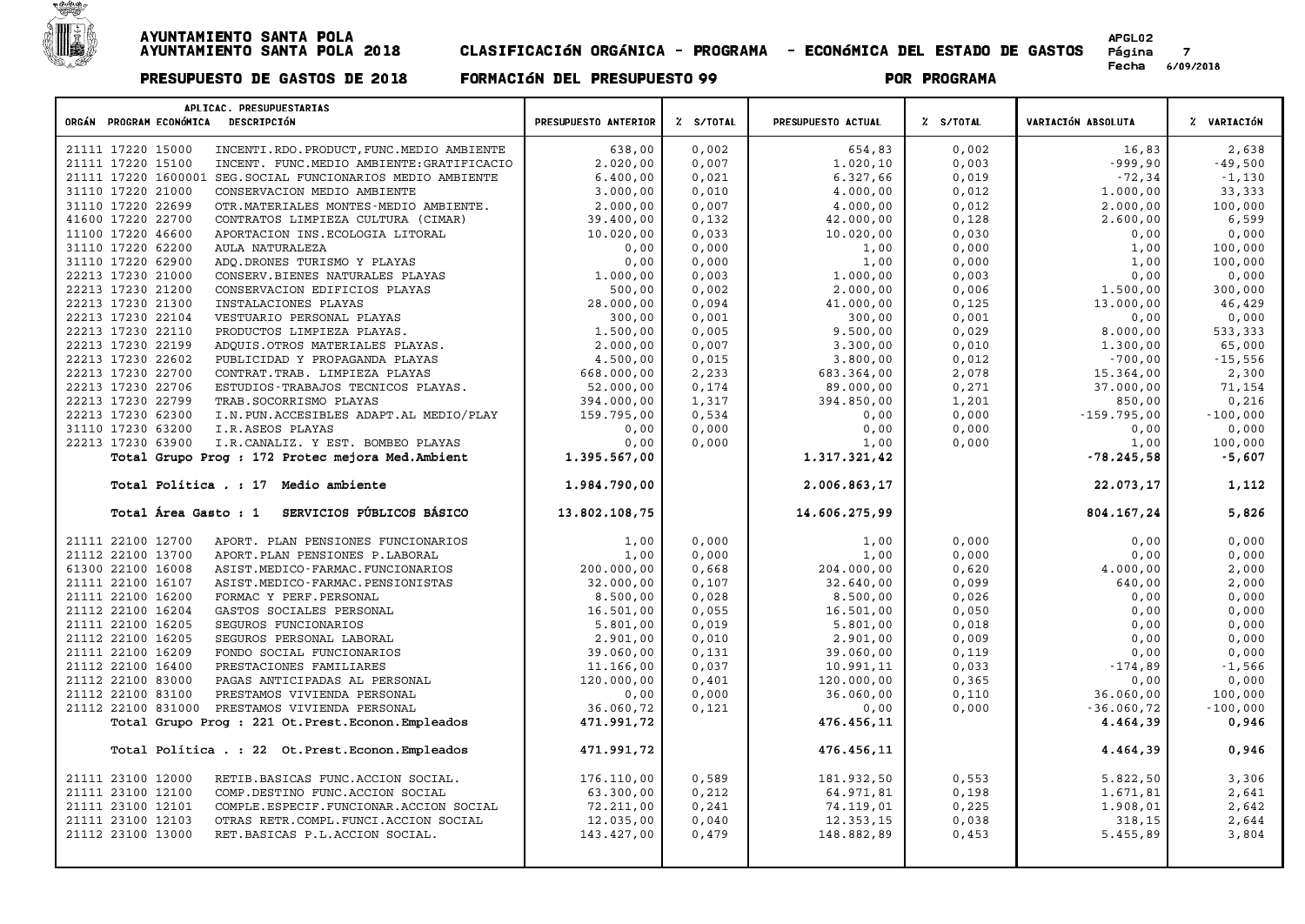

| APLICAC. PRESUPUESTARIAS<br>ORGÁN PROGRAM ECONÓMICA DESCRIPCIÓN | PRESUPUESTO ANTERIOR | % S/TOTAL | PRESUPUESTO ACTUAL | Z S/TOTAL | VARIACIÓN ABSOLUTA | % VARIACIÓN |
|-----------------------------------------------------------------|----------------------|-----------|--------------------|-----------|--------------------|-------------|
| 21111 17220 15000<br>INCENTI.RDO.PRODUCT, FUNC.MEDIO AMBIENTE   | 638,00               | 0,002     | 654,83             | 0,002     | 16,83              | 2,638       |
| 21111 17220 15100<br>INCENT. FUNC.MEDIO AMBIENTE: GRATIFICACIO  | 2.020,00             | 0,007     | 1.020,10           | 0,003     | $-999,90$          | $-49,500$   |
| 21111 17220 1600001 SEG. SOCIAL FUNCIONARIOS MEDIO AMBIENTE     | 6.400,00             | 0,021     | 6.327,66           | 0,019     | $-72, 34$          | $-1,130$    |
| 31110 17220 21000<br>CONSERVACION MEDIO AMBIENTE                | 3.000,00             | 0,010     | 4.000,00           | 0,012     | 1.000,00           | 33,333      |
| 31110 17220 22699<br>OTR. MATERIALES MONTES-MEDIO AMBIENTE.     | 2.000,00             | 0.007     | 4.000,00           | 0,012     | 2.000,00           | 100,000     |
| 41600 17220 22700<br>CONTRATOS LIMPIEZA CULTURA (CIMAR)         | 39.400,00            | 0,132     | 42.000,00          | 0,128     | 2.600,00           | 6,599       |
| 11100 17220 46600<br>APORTACION INS. ECOLOGIA LITORAL           | 10.020,00            | 0,033     | 10.020,00          | 0,030     | 0,00               | 0,000       |
| 31110 17220 62200<br>AULA NATURALEZA                            | 0,00                 | 0,000     | 1,00               | 0,000     | 1,00               | 100,000     |
| 31110 17220 62900<br>ADQ.DRONES TURISMO Y PLAYAS                | 0,00                 | 0,000     | 1,00               | 0,000     | 1,00               | 100,000     |
| 22213 17230 21000<br>CONSERV.BIENES NATURALES PLAYAS            | 1.000,00             | 0,003     | 1.000,00           | 0,003     | 0,00               | 0,000       |
| 22213 17230 21200<br>CONSERVACION EDIFICIOS PLAYAS              | 500,00               | 0,002     | 2.000,00           | 0,006     | 1.500,00           | 300,000     |
| 22213 17230 21300<br>INSTALACIONES PLAYAS                       | 28.000,00            | 0,094     | 41.000,00          | 0,125     | 13.000,00          | 46,429      |
| 22213 17230 22104<br>VESTUARIO PERSONAL PLAYAS                  | 300,00               | 0,001     | 300,00             | 0,001     | 0,00               | 0,000       |
| 22213 17230 22110<br>PRODUCTOS LIMPIEZA PLAYAS.                 | 1.500,00             | 0,005     | 9.500,00           | 0,029     | 8.000,00           | 533,333     |
| 22213 17230 22199<br>ADOUIS.OTROS MATERIALES PLAYAS.            | 2.000,00             | 0,007     | 3.300,00           | 0,010     | 1,300,00           | 65,000      |
| 22213 17230 22602<br>PUBLICIDAD Y PROPAGANDA PLAYAS             | 4.500,00             | 0,015     | 3.800,00           | 0,012     | $-700,00$          | $-15,556$   |
| 22213 17230 22700<br>CONTRAT. TRAB. LIMPIEZA PLAYAS             | 668.000,00           | 2,233     | 683.364,00         | 2,078     | 15.364,00          | 2,300       |
| 22213 17230 22706<br>ESTUDIOS-TRABAJOS TECNICOS PLAYAS.         | 52.000,00            | 0,174     | 89.000,00          | 0,271     | 37.000,00          | 71,154      |
| 22213 17230 22799<br>TRAB. SOCORRISMO PLAYAS                    | 394.000,00           | 1,317     | 394.850,00         | 1,201     | 850,00             | 0,216       |
| 22213 17230 62300<br>I.N. PUN. ACCESIBLES ADAPT. AL MEDIO/PLAY  | 159.795,00           | 0,534     | 0,00               | 0,000     | $-159.795,00$      | $-100,000$  |
| 31110 17230 63200<br>I.R.ASEOS PLAYAS                           | 0,00                 | 0,000     | 0,00               | 0,000     | 0,00               | 0,000       |
| 22213 17230 63900<br>I.R.CANALIZ. Y EST. BOMBEO PLAYAS          | 0,00                 | 0,000     | 1,00               | 0,000     | 1,00               | 100,000     |
| Total Grupo Prog : 172 Protec mejora Med. Ambient               | 1.395.567,00         |           | 1.317.321,42       |           | $-78.245,58$       | $-5,607$    |
| Total Política . : 17 Medio ambiente                            | 1.984.790,00         |           | 2.006.863,17       |           | 22.073,17          | 1,112       |
| SERVICIOS PÚBLICOS BÁSICO<br>Total Área Gasto : 1               | 13.802.108,75        |           | 14.606.275,99      |           | 804.167,24         | 5,826       |
| 21111 22100 12700<br>APORT. PLAN PENSIONES FUNCIONARIOS         | 1,00                 | 0,000     | 1,00               | 0,000     | 0,00               | 0,000       |
| 21112 22100 13700<br>APORT. PLAN PENSIONES P. LABORAL           | 1,00                 | 0,000     | 1,00               | 0,000     | 0,00               | 0,000       |
| 61300 22100 16008<br>ASIST.MEDICO-FARMAC.FUNCIONARIOS           | 200.000,00           | 0,668     | 204.000,00         | 0,620     | 4.000,00           | 2,000       |
| 21111 22100 16107<br>ASIST.MEDICO-FARMAC.PENSIONISTAS           | 32.000,00            | 0,107     | 32.640,00          | 0,099     | 640,00             | 2,000       |
| 21111 22100 16200<br>FORMAC Y PERF. PERSONAL                    | 8.500,00             | 0,028     | 8.500,00           | 0,026     | 0,00               | 0,000       |
| 21112 22100 16204<br>GASTOS SOCIALES PERSONAL                   | 16.501,00            | 0,055     | 16.501,00          | 0,050     | 0,00               | 0,000       |
| 21111 22100 16205<br>SEGUROS FUNCIONARIOS                       | 5.801,00             | 0,019     | 5.801,00           | 0,018     | 0,00               | 0,000       |
| 21112 22100 16205<br>SEGUROS PERSONAL LABORAL                   | 2.901,00             | 0,010     | 2.901,00           | 0,009     | 0,00               | 0,000       |
| 21111 22100 16209<br>FONDO SOCIAL FUNCIONARIOS                  | 39.060,00            | 0,131     | 39.060,00          | 0,119     | 0,00               | 0,000       |
| 21112 22100 16400<br>PRESTACIONES FAMILIARES                    | 11.166,00            | 0,037     | 10.991,11          | 0,033     | $-174,89$          | $-1,566$    |
| 21112 22100 83000<br>PAGAS ANTICIPADAS AL PERSONAL              | 120.000,00           | 0.401     | 120.000,00         | 0,365     | 0,00               | 0,000       |
| 21112 22100 83100<br>PRESTAMOS VIVIENDA PERSONAL                | 0,00                 | 0,000     | 36.060,00          | 0,110     | 36.060,00          | 100,000     |
| 21112 22100 831000<br>PRESTAMOS VIVIENDA PERSONAL               | 36.060,72            | 0,121     | 0,00               | 0,000     | $-36.060, 72$      | $-100,000$  |
| Total Grupo Prog : 221 Ot. Prest. Econon. Empleados             | 471.991,72           |           | 476.456,11         |           | 4.464,39           | 0,946       |
| Total Política . : 22 Ot. Prest. Econon. Empleados              | 471.991,72           |           | 476.456,11         |           | 4.464,39           | 0,946       |
| 21111 23100 12000<br>RETIB.BASICAS FUNC.ACCION SOCIAL.          | 176.110,00           | 0,589     | 181.932,50         | 0,553     | 5.822,50           | 3,306       |
| 21111 23100 12100<br>COMP.DESTINO FUNC.ACCION SOCIAL            | 63.300,00            | 0,212     | 64.971,81          | 0,198     | 1.671,81           | 2,641       |
| 21111 23100 12101<br>COMPLE.ESPECIF.FUNCIONAR.ACCION SOCIAL     | 72.211,00            | 0,241     | 74.119,01          | 0,225     | 1.908,01           | 2,642       |
| 21111 23100 12103<br>OTRAS RETR.COMPL.FUNCI.ACCION SOCIAL       | 12.035,00            | 0,040     | 12.353,15          | 0,038     | 318,15             | 2,644       |
| 21112 23100 13000<br>RET. BASICAS P.L. ACCION SOCIAL.           | 143.427,00           | 0,479     | 148.882,89         | 0,453     | 5.455,89           | 3,804       |
|                                                                 |                      |           |                    |           |                    |             |
|                                                                 |                      |           |                    |           |                    |             |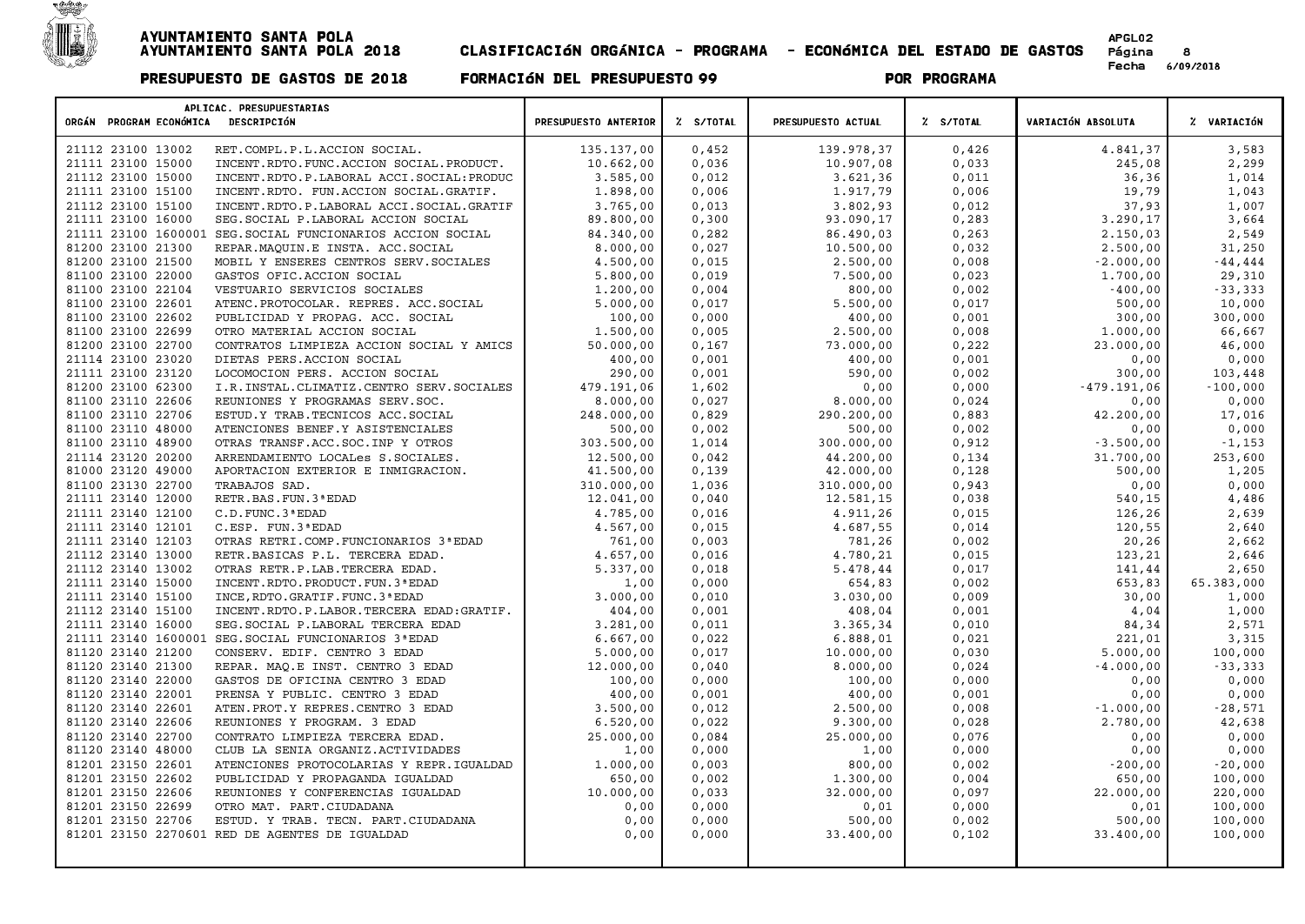

| ORGÁN PROGRAM ECONÓMICA<br>DESCRIPCIÓN<br>Z S/TOTAL<br>PRESUPUESTO ACTUAL<br>% S/TOTAL<br>VARIACIÓN ABSOLUTA<br>% VARIACIÓN<br>PRESUPUESTO ANTERIOR<br>135.137,00<br>0,452<br>139.978,37<br>0,426<br>4.841,37<br>21112 23100 13002<br>RET.COMPL.P.L.ACCION SOCIAL.<br>3,583<br>2,299<br>21111 23100 15000<br>INCENT.RDTO.FUNC.ACCION SOCIAL.PRODUCT.<br>10.662,00<br>0,036<br>10.907,08<br>0,033<br>245,08<br>1,014<br>3.585,00<br>0,012<br>3.621,36<br>0,011<br>36,36<br>21112 23100 15000<br>INCENT.RDTO.P.LABORAL ACCI.SOCIAL: PRODUC<br>1.898,00<br>1,043<br>21111 23100 15100<br>INCENT.RDTO. FUN.ACCION SOCIAL.GRATIF.<br>0,006<br>1.917,79<br>0,006<br>19,79<br>3.765,00<br>3.802,93<br>1,007<br>21112 23100 15100<br>0,013<br>0,012<br>37,93<br>INCENT.RDTO.P.LABORAL ACCI.SOCIAL.GRATIF<br>3,664<br>93.090,17<br>3.290,17<br>21111 23100 16000<br>89.800,00<br>0,300<br>0,283<br>SEG. SOCIAL P. LABORAL ACCION SOCIAL<br>2,549<br>0, 263<br>2.150,03<br>21111 23100 1600001<br>SEG. SOCIAL FUNCIONARIOS ACCION SOCIAL<br>84.340,00<br>0,282<br>86.490,03<br>31,250<br>81200 23100 21300<br>8.000,00<br>0,027<br>10.500,00<br>0,032<br>2.500,00<br>REPAR. MAQUIN.E INSTA. ACC. SOCIAL<br>$-2.000,00$<br>4.500,00<br>0,015<br>2.500,00<br>0,008<br>$-44, 444$<br>81200 23100 21500<br>MOBIL Y ENSERES CENTROS SERV. SOCIALES<br>81100 23100 22000<br>5.800,00<br>0,019<br>7.500,00<br>1.700,00<br>29,310<br>GASTOS OFIC. ACCION SOCIAL<br>0,023<br>$-400,00$<br>81100 23100 22104<br>1,200,00<br>800,00<br>0,002<br>$-33,333$<br>VESTUARIO SERVICIOS SOCIALES<br>0,004<br>500,00<br>81100 23100 22601<br>5.000,00<br>5.500,00<br>0,017<br>10,000<br>ATENC. PROTOCOLAR. REPRES. ACC. SOCIAL<br>0,017<br>300,00<br>300,000<br>81100 23100 22602<br>100,00<br>0,000<br>400,00<br>0,001<br>PUBLICIDAD Y PROPAG. ACC. SOCIAL<br>81100 23100 22699<br>1.000,00<br>66,667<br>1.500,00<br>0,005<br>2.500,00<br>0,008<br>OTRO MATERIAL ACCION SOCIAL<br>73.000,00<br>0,222<br>81200 23100 22700<br>CONTRATOS LIMPIEZA ACCION SOCIAL Y AMICS<br>50.000,00<br>0,167<br>23.000,00<br>46,000<br>400,00<br>0,000<br>21114 23100 23020<br>DIETAS PERS.ACCION SOCIAL<br>400,00<br>0,001<br>0,001<br>0,00<br>21111 23100 23120<br>290,00<br>590,00<br>LOCOMOCION PERS. ACCION SOCIAL<br>0,001<br>0,002<br>300,00<br>103,448<br>81200 23100 62300<br>$-479.191,06$<br>I.R. INSTAL. CLIMATIZ. CENTRO SERV. SOCIALES<br>479.191,06<br>1,602<br>0,00<br>0,000<br>$-100,000$<br>81100 23110 22606<br>0,027<br>0,024<br>0,000<br>REUNIONES Y PROGRAMAS SERV. SOC.<br>8.000,00<br>8.000,00<br>0,00<br>17,016<br>81100 23110 22706<br>248.000,00<br>290.200,00<br>42.200,00<br>ESTUD.Y TRAB. TECNICOS ACC. SOCIAL<br>0,829<br>0,883<br>81100 23110 48000<br>500,00<br>0,002<br>500,00<br>0,002<br>0,000<br>ATENCIONES BENEF.Y ASISTENCIALES<br>0,00<br>$-1,153$<br>81100 23110 48900<br>303.500,00<br>1,014<br>300.000,00<br>0,912<br>$-3.500,00$<br>OTRAS TRANSF.ACC.SOC.INP Y OTROS<br>44.200,00<br>31.700,00<br>21114 23120 20200<br>12.500,00<br>0,134<br>253,600<br>ARRENDAMIENTO LOCALes S.SOCIALES.<br>0,042<br>1,205<br>81000 23120 49000<br>41.500,00<br>0,139<br>42.000,00<br>0,128<br>500,00<br>APORTACION EXTERIOR E INMIGRACION.<br>0,000<br>81100 23130 22700<br>310.000,00<br>1,036<br>310.000,00<br>0,943<br>0,00<br>TRABAJOS SAD.<br>4,486<br>21111 23140 12000<br>12.041,00<br>12.581,15<br>0,038<br>540,15<br>RETR. BAS. FUN. 3 ª EDAD<br>0,040<br>2,639<br>4.785,00<br>4.911,26<br>0,015<br>126,26<br>21111 23140 12100<br>C.D. FUNC. 3 ª EDAD<br>0,016<br>2,640<br>21111 23140 12101<br>4.567,00<br>0,015<br>4.687,55<br>0,014<br>120,55<br>C.ESP. FUN.3 ª EDAD<br>2,662<br>21111 23140 12103<br>OTRAS RETRI.COMP.FUNCIONARIOS 3ª EDAD<br>761,00<br>0,003<br>781,26<br>0,002<br>20,26<br>21112 23140 13000<br>4.657,00<br>0,016<br>4.780,21<br>0,015<br>123,21<br>2,646<br>RETR.BASICAS P.L. TERCERA EDAD.<br>2,650<br>21112 23140 13002<br>OTRAS RETR.P.LAB.TERCERA EDAD.<br>5.337,00<br>0,018<br>5.478,44<br>0,017<br>141,44<br>21111 23140 15000<br>65.383,000<br>INCENT. RDTO. PRODUCT. FUN. 3 ª EDAD<br>1,00<br>0,000<br>654,83<br>0,002<br>653,83<br>21111 23140 15100<br>3.000,00<br>0,010<br>3.030,00<br>0,009<br>30,00<br>1,000<br>INCE, RDTO. GRATIF. FUNC. 3 ª EDAD<br>1,000<br>21112 23140 15100<br>404,00<br>408,04<br>4,04<br>INCENT.RDTO.P.LABOR.TERCERA EDAD:GRATIF.<br>0,001<br>0,001<br>21111 23140 16000<br>3.281,00<br>0,011<br>3.365,34<br>0,010<br>84,34<br>2,571<br>SEG. SOCIAL P. LABORAL TERCERA EDAD<br>221,01<br>3,315<br>21111 23140 1600001<br>6.667,00<br>0,022<br>6.888,01<br>0,021<br>SEG. SOCIAL FUNCIONARIOS 3ª EDAD<br>81120 23140 21200<br>5.000,00<br>0,017<br>10.000,00<br>0,030<br>5.000,00<br>100,000<br>CONSERV. EDIF. CENTRO 3 EDAD<br>81120 23140 21300<br>12.000,00<br>0,040<br>8.000,00<br>0,024<br>$-4.000,00$<br>$-33,333$<br>REPAR. MAQ.E INST. CENTRO 3 EDAD<br>81120 23140 22000<br>100,00<br>100,00<br>0,000<br>0,000<br>GASTOS DE OFICINA CENTRO 3 EDAD<br>0,000<br>0,00<br>400,00<br>400,00<br>0,000<br>81120 23140 22001<br>0,001<br>0,00<br>PRENSA Y PUBLIC. CENTRO 3 EDAD<br>0,001<br>81120 23140 22601<br>3.500,00<br>2.500,00<br>$-1.000,00$<br>$-28,571$<br>ATEN. PROT. Y REPRES. CENTRO 3 EDAD<br>0,012<br>0,008<br>42,638<br>81120 23140 22606<br>6.520,00<br>0,022<br>9.300,00<br>0,028<br>2.780,00<br>REUNIONES Y PROGRAM. 3 EDAD<br>25.000,00<br>25.000,00<br>0,000<br>81120 23140 22700<br>CONTRATO LIMPIEZA TERCERA EDAD.<br>0,084<br>0,076<br>0,00<br>81120 23140 48000<br>0,000<br>0,000<br>0,00<br>0,000<br>CLUB LA SENIA ORGANIZ.ACTIVIDADES<br>1,00<br>1,00<br>81201 23150 22601<br>1,000,00<br>0,003<br>800,00<br>0,002<br>$-200,00$<br>$-20,000$<br>ATENCIONES PROTOCOLARIAS Y REPR.IGUALDAD<br>81201 23150 22602<br>650,00<br>1.300,00<br>650,00<br>100,000<br>PUBLICIDAD Y PROPAGANDA IGUALDAD<br>0,002<br>0,004<br>32.000,00<br>22.000,00<br>81201 23150 22606<br>10.000,00<br>0,033<br>0,097<br>220,000<br>REUNIONES Y CONFERENCIAS IGUALDAD<br>0,00<br>81201 23150 22699<br>0,000<br>0,01<br>0,000<br>0,01<br>100,000<br>OTRO MAT. PART. CIUDADANA<br>81201 23150 22706<br>ESTUD. Y TRAB. TECN. PART. CIUDADANA<br>0,00<br>0,000<br>500,00<br>0,002<br>500,00<br>100,000<br>33.400,00<br>33.400,00<br>100,000<br>81201 23150 2270601 RED DE AGENTES DE IGUALDAD<br>0,00<br>0,000<br>0,102 |                          |  |  |  |
|----------------------------------------------------------------------------------------------------------------------------------------------------------------------------------------------------------------------------------------------------------------------------------------------------------------------------------------------------------------------------------------------------------------------------------------------------------------------------------------------------------------------------------------------------------------------------------------------------------------------------------------------------------------------------------------------------------------------------------------------------------------------------------------------------------------------------------------------------------------------------------------------------------------------------------------------------------------------------------------------------------------------------------------------------------------------------------------------------------------------------------------------------------------------------------------------------------------------------------------------------------------------------------------------------------------------------------------------------------------------------------------------------------------------------------------------------------------------------------------------------------------------------------------------------------------------------------------------------------------------------------------------------------------------------------------------------------------------------------------------------------------------------------------------------------------------------------------------------------------------------------------------------------------------------------------------------------------------------------------------------------------------------------------------------------------------------------------------------------------------------------------------------------------------------------------------------------------------------------------------------------------------------------------------------------------------------------------------------------------------------------------------------------------------------------------------------------------------------------------------------------------------------------------------------------------------------------------------------------------------------------------------------------------------------------------------------------------------------------------------------------------------------------------------------------------------------------------------------------------------------------------------------------------------------------------------------------------------------------------------------------------------------------------------------------------------------------------------------------------------------------------------------------------------------------------------------------------------------------------------------------------------------------------------------------------------------------------------------------------------------------------------------------------------------------------------------------------------------------------------------------------------------------------------------------------------------------------------------------------------------------------------------------------------------------------------------------------------------------------------------------------------------------------------------------------------------------------------------------------------------------------------------------------------------------------------------------------------------------------------------------------------------------------------------------------------------------------------------------------------------------------------------------------------------------------------------------------------------------------------------------------------------------------------------------------------------------------------------------------------------------------------------------------------------------------------------------------------------------------------------------------------------------------------------------------------------------------------------------------------------------------------------------------------------------------------------------------------------------------------------------------------------------------------------------------------------------------------------------------------------------------------------------------------------------------------------------------------------------------------------------------------------------------------------------------------------------------------------------------------------------------------------------------------------------------------------------------------------------------------------------------------------------------------------------------------------------------------------------------------------------------------------------------------------------------------------------------------------------------------------------------------------------------------------------------------------------------------------------------------------------------------------------------------------------------------------------------------------------------------------------------------------------------------------------------------------------------------------------------------------------------------------------------------------------------------------------------------------------------------------------------------------------------------------------------------------------------------------------------------------------------------------------------------------------------------------------------------------------------------------------------------------------------------------------------------------------------------------------------------------|--------------------------|--|--|--|
|                                                                                                                                                                                                                                                                                                                                                                                                                                                                                                                                                                                                                                                                                                                                                                                                                                                                                                                                                                                                                                                                                                                                                                                                                                                                                                                                                                                                                                                                                                                                                                                                                                                                                                                                                                                                                                                                                                                                                                                                                                                                                                                                                                                                                                                                                                                                                                                                                                                                                                                                                                                                                                                                                                                                                                                                                                                                                                                                                                                                                                                                                                                                                                                                                                                                                                                                                                                                                                                                                                                                                                                                                                                                                                                                                                                                                                                                                                                                                                                                                                                                                                                                                                                                                                                                                                                                                                                                                                                                                                                                                                                                                                                                                                                                                                                                                                                                                                                                                                                                                                                                                                                                                                                                                                                                                                                                                                                                                                                                                                                                                                                                                                                                                                                                                                                                                                                                                                                                                                                                                                                                                                                                                                                                                                                                                                                                                                            | APLICAC. PRESUPUESTARIAS |  |  |  |
|                                                                                                                                                                                                                                                                                                                                                                                                                                                                                                                                                                                                                                                                                                                                                                                                                                                                                                                                                                                                                                                                                                                                                                                                                                                                                                                                                                                                                                                                                                                                                                                                                                                                                                                                                                                                                                                                                                                                                                                                                                                                                                                                                                                                                                                                                                                                                                                                                                                                                                                                                                                                                                                                                                                                                                                                                                                                                                                                                                                                                                                                                                                                                                                                                                                                                                                                                                                                                                                                                                                                                                                                                                                                                                                                                                                                                                                                                                                                                                                                                                                                                                                                                                                                                                                                                                                                                                                                                                                                                                                                                                                                                                                                                                                                                                                                                                                                                                                                                                                                                                                                                                                                                                                                                                                                                                                                                                                                                                                                                                                                                                                                                                                                                                                                                                                                                                                                                                                                                                                                                                                                                                                                                                                                                                                                                                                                                                            |                          |  |  |  |
|                                                                                                                                                                                                                                                                                                                                                                                                                                                                                                                                                                                                                                                                                                                                                                                                                                                                                                                                                                                                                                                                                                                                                                                                                                                                                                                                                                                                                                                                                                                                                                                                                                                                                                                                                                                                                                                                                                                                                                                                                                                                                                                                                                                                                                                                                                                                                                                                                                                                                                                                                                                                                                                                                                                                                                                                                                                                                                                                                                                                                                                                                                                                                                                                                                                                                                                                                                                                                                                                                                                                                                                                                                                                                                                                                                                                                                                                                                                                                                                                                                                                                                                                                                                                                                                                                                                                                                                                                                                                                                                                                                                                                                                                                                                                                                                                                                                                                                                                                                                                                                                                                                                                                                                                                                                                                                                                                                                                                                                                                                                                                                                                                                                                                                                                                                                                                                                                                                                                                                                                                                                                                                                                                                                                                                                                                                                                                                            |                          |  |  |  |
|                                                                                                                                                                                                                                                                                                                                                                                                                                                                                                                                                                                                                                                                                                                                                                                                                                                                                                                                                                                                                                                                                                                                                                                                                                                                                                                                                                                                                                                                                                                                                                                                                                                                                                                                                                                                                                                                                                                                                                                                                                                                                                                                                                                                                                                                                                                                                                                                                                                                                                                                                                                                                                                                                                                                                                                                                                                                                                                                                                                                                                                                                                                                                                                                                                                                                                                                                                                                                                                                                                                                                                                                                                                                                                                                                                                                                                                                                                                                                                                                                                                                                                                                                                                                                                                                                                                                                                                                                                                                                                                                                                                                                                                                                                                                                                                                                                                                                                                                                                                                                                                                                                                                                                                                                                                                                                                                                                                                                                                                                                                                                                                                                                                                                                                                                                                                                                                                                                                                                                                                                                                                                                                                                                                                                                                                                                                                                                            |                          |  |  |  |
|                                                                                                                                                                                                                                                                                                                                                                                                                                                                                                                                                                                                                                                                                                                                                                                                                                                                                                                                                                                                                                                                                                                                                                                                                                                                                                                                                                                                                                                                                                                                                                                                                                                                                                                                                                                                                                                                                                                                                                                                                                                                                                                                                                                                                                                                                                                                                                                                                                                                                                                                                                                                                                                                                                                                                                                                                                                                                                                                                                                                                                                                                                                                                                                                                                                                                                                                                                                                                                                                                                                                                                                                                                                                                                                                                                                                                                                                                                                                                                                                                                                                                                                                                                                                                                                                                                                                                                                                                                                                                                                                                                                                                                                                                                                                                                                                                                                                                                                                                                                                                                                                                                                                                                                                                                                                                                                                                                                                                                                                                                                                                                                                                                                                                                                                                                                                                                                                                                                                                                                                                                                                                                                                                                                                                                                                                                                                                                            |                          |  |  |  |
|                                                                                                                                                                                                                                                                                                                                                                                                                                                                                                                                                                                                                                                                                                                                                                                                                                                                                                                                                                                                                                                                                                                                                                                                                                                                                                                                                                                                                                                                                                                                                                                                                                                                                                                                                                                                                                                                                                                                                                                                                                                                                                                                                                                                                                                                                                                                                                                                                                                                                                                                                                                                                                                                                                                                                                                                                                                                                                                                                                                                                                                                                                                                                                                                                                                                                                                                                                                                                                                                                                                                                                                                                                                                                                                                                                                                                                                                                                                                                                                                                                                                                                                                                                                                                                                                                                                                                                                                                                                                                                                                                                                                                                                                                                                                                                                                                                                                                                                                                                                                                                                                                                                                                                                                                                                                                                                                                                                                                                                                                                                                                                                                                                                                                                                                                                                                                                                                                                                                                                                                                                                                                                                                                                                                                                                                                                                                                                            |                          |  |  |  |
|                                                                                                                                                                                                                                                                                                                                                                                                                                                                                                                                                                                                                                                                                                                                                                                                                                                                                                                                                                                                                                                                                                                                                                                                                                                                                                                                                                                                                                                                                                                                                                                                                                                                                                                                                                                                                                                                                                                                                                                                                                                                                                                                                                                                                                                                                                                                                                                                                                                                                                                                                                                                                                                                                                                                                                                                                                                                                                                                                                                                                                                                                                                                                                                                                                                                                                                                                                                                                                                                                                                                                                                                                                                                                                                                                                                                                                                                                                                                                                                                                                                                                                                                                                                                                                                                                                                                                                                                                                                                                                                                                                                                                                                                                                                                                                                                                                                                                                                                                                                                                                                                                                                                                                                                                                                                                                                                                                                                                                                                                                                                                                                                                                                                                                                                                                                                                                                                                                                                                                                                                                                                                                                                                                                                                                                                                                                                                                            |                          |  |  |  |
|                                                                                                                                                                                                                                                                                                                                                                                                                                                                                                                                                                                                                                                                                                                                                                                                                                                                                                                                                                                                                                                                                                                                                                                                                                                                                                                                                                                                                                                                                                                                                                                                                                                                                                                                                                                                                                                                                                                                                                                                                                                                                                                                                                                                                                                                                                                                                                                                                                                                                                                                                                                                                                                                                                                                                                                                                                                                                                                                                                                                                                                                                                                                                                                                                                                                                                                                                                                                                                                                                                                                                                                                                                                                                                                                                                                                                                                                                                                                                                                                                                                                                                                                                                                                                                                                                                                                                                                                                                                                                                                                                                                                                                                                                                                                                                                                                                                                                                                                                                                                                                                                                                                                                                                                                                                                                                                                                                                                                                                                                                                                                                                                                                                                                                                                                                                                                                                                                                                                                                                                                                                                                                                                                                                                                                                                                                                                                                            |                          |  |  |  |
|                                                                                                                                                                                                                                                                                                                                                                                                                                                                                                                                                                                                                                                                                                                                                                                                                                                                                                                                                                                                                                                                                                                                                                                                                                                                                                                                                                                                                                                                                                                                                                                                                                                                                                                                                                                                                                                                                                                                                                                                                                                                                                                                                                                                                                                                                                                                                                                                                                                                                                                                                                                                                                                                                                                                                                                                                                                                                                                                                                                                                                                                                                                                                                                                                                                                                                                                                                                                                                                                                                                                                                                                                                                                                                                                                                                                                                                                                                                                                                                                                                                                                                                                                                                                                                                                                                                                                                                                                                                                                                                                                                                                                                                                                                                                                                                                                                                                                                                                                                                                                                                                                                                                                                                                                                                                                                                                                                                                                                                                                                                                                                                                                                                                                                                                                                                                                                                                                                                                                                                                                                                                                                                                                                                                                                                                                                                                                                            |                          |  |  |  |
|                                                                                                                                                                                                                                                                                                                                                                                                                                                                                                                                                                                                                                                                                                                                                                                                                                                                                                                                                                                                                                                                                                                                                                                                                                                                                                                                                                                                                                                                                                                                                                                                                                                                                                                                                                                                                                                                                                                                                                                                                                                                                                                                                                                                                                                                                                                                                                                                                                                                                                                                                                                                                                                                                                                                                                                                                                                                                                                                                                                                                                                                                                                                                                                                                                                                                                                                                                                                                                                                                                                                                                                                                                                                                                                                                                                                                                                                                                                                                                                                                                                                                                                                                                                                                                                                                                                                                                                                                                                                                                                                                                                                                                                                                                                                                                                                                                                                                                                                                                                                                                                                                                                                                                                                                                                                                                                                                                                                                                                                                                                                                                                                                                                                                                                                                                                                                                                                                                                                                                                                                                                                                                                                                                                                                                                                                                                                                                            |                          |  |  |  |
|                                                                                                                                                                                                                                                                                                                                                                                                                                                                                                                                                                                                                                                                                                                                                                                                                                                                                                                                                                                                                                                                                                                                                                                                                                                                                                                                                                                                                                                                                                                                                                                                                                                                                                                                                                                                                                                                                                                                                                                                                                                                                                                                                                                                                                                                                                                                                                                                                                                                                                                                                                                                                                                                                                                                                                                                                                                                                                                                                                                                                                                                                                                                                                                                                                                                                                                                                                                                                                                                                                                                                                                                                                                                                                                                                                                                                                                                                                                                                                                                                                                                                                                                                                                                                                                                                                                                                                                                                                                                                                                                                                                                                                                                                                                                                                                                                                                                                                                                                                                                                                                                                                                                                                                                                                                                                                                                                                                                                                                                                                                                                                                                                                                                                                                                                                                                                                                                                                                                                                                                                                                                                                                                                                                                                                                                                                                                                                            |                          |  |  |  |
|                                                                                                                                                                                                                                                                                                                                                                                                                                                                                                                                                                                                                                                                                                                                                                                                                                                                                                                                                                                                                                                                                                                                                                                                                                                                                                                                                                                                                                                                                                                                                                                                                                                                                                                                                                                                                                                                                                                                                                                                                                                                                                                                                                                                                                                                                                                                                                                                                                                                                                                                                                                                                                                                                                                                                                                                                                                                                                                                                                                                                                                                                                                                                                                                                                                                                                                                                                                                                                                                                                                                                                                                                                                                                                                                                                                                                                                                                                                                                                                                                                                                                                                                                                                                                                                                                                                                                                                                                                                                                                                                                                                                                                                                                                                                                                                                                                                                                                                                                                                                                                                                                                                                                                                                                                                                                                                                                                                                                                                                                                                                                                                                                                                                                                                                                                                                                                                                                                                                                                                                                                                                                                                                                                                                                                                                                                                                                                            |                          |  |  |  |
|                                                                                                                                                                                                                                                                                                                                                                                                                                                                                                                                                                                                                                                                                                                                                                                                                                                                                                                                                                                                                                                                                                                                                                                                                                                                                                                                                                                                                                                                                                                                                                                                                                                                                                                                                                                                                                                                                                                                                                                                                                                                                                                                                                                                                                                                                                                                                                                                                                                                                                                                                                                                                                                                                                                                                                                                                                                                                                                                                                                                                                                                                                                                                                                                                                                                                                                                                                                                                                                                                                                                                                                                                                                                                                                                                                                                                                                                                                                                                                                                                                                                                                                                                                                                                                                                                                                                                                                                                                                                                                                                                                                                                                                                                                                                                                                                                                                                                                                                                                                                                                                                                                                                                                                                                                                                                                                                                                                                                                                                                                                                                                                                                                                                                                                                                                                                                                                                                                                                                                                                                                                                                                                                                                                                                                                                                                                                                                            |                          |  |  |  |
|                                                                                                                                                                                                                                                                                                                                                                                                                                                                                                                                                                                                                                                                                                                                                                                                                                                                                                                                                                                                                                                                                                                                                                                                                                                                                                                                                                                                                                                                                                                                                                                                                                                                                                                                                                                                                                                                                                                                                                                                                                                                                                                                                                                                                                                                                                                                                                                                                                                                                                                                                                                                                                                                                                                                                                                                                                                                                                                                                                                                                                                                                                                                                                                                                                                                                                                                                                                                                                                                                                                                                                                                                                                                                                                                                                                                                                                                                                                                                                                                                                                                                                                                                                                                                                                                                                                                                                                                                                                                                                                                                                                                                                                                                                                                                                                                                                                                                                                                                                                                                                                                                                                                                                                                                                                                                                                                                                                                                                                                                                                                                                                                                                                                                                                                                                                                                                                                                                                                                                                                                                                                                                                                                                                                                                                                                                                                                                            |                          |  |  |  |
|                                                                                                                                                                                                                                                                                                                                                                                                                                                                                                                                                                                                                                                                                                                                                                                                                                                                                                                                                                                                                                                                                                                                                                                                                                                                                                                                                                                                                                                                                                                                                                                                                                                                                                                                                                                                                                                                                                                                                                                                                                                                                                                                                                                                                                                                                                                                                                                                                                                                                                                                                                                                                                                                                                                                                                                                                                                                                                                                                                                                                                                                                                                                                                                                                                                                                                                                                                                                                                                                                                                                                                                                                                                                                                                                                                                                                                                                                                                                                                                                                                                                                                                                                                                                                                                                                                                                                                                                                                                                                                                                                                                                                                                                                                                                                                                                                                                                                                                                                                                                                                                                                                                                                                                                                                                                                                                                                                                                                                                                                                                                                                                                                                                                                                                                                                                                                                                                                                                                                                                                                                                                                                                                                                                                                                                                                                                                                                            |                          |  |  |  |
|                                                                                                                                                                                                                                                                                                                                                                                                                                                                                                                                                                                                                                                                                                                                                                                                                                                                                                                                                                                                                                                                                                                                                                                                                                                                                                                                                                                                                                                                                                                                                                                                                                                                                                                                                                                                                                                                                                                                                                                                                                                                                                                                                                                                                                                                                                                                                                                                                                                                                                                                                                                                                                                                                                                                                                                                                                                                                                                                                                                                                                                                                                                                                                                                                                                                                                                                                                                                                                                                                                                                                                                                                                                                                                                                                                                                                                                                                                                                                                                                                                                                                                                                                                                                                                                                                                                                                                                                                                                                                                                                                                                                                                                                                                                                                                                                                                                                                                                                                                                                                                                                                                                                                                                                                                                                                                                                                                                                                                                                                                                                                                                                                                                                                                                                                                                                                                                                                                                                                                                                                                                                                                                                                                                                                                                                                                                                                                            |                          |  |  |  |
|                                                                                                                                                                                                                                                                                                                                                                                                                                                                                                                                                                                                                                                                                                                                                                                                                                                                                                                                                                                                                                                                                                                                                                                                                                                                                                                                                                                                                                                                                                                                                                                                                                                                                                                                                                                                                                                                                                                                                                                                                                                                                                                                                                                                                                                                                                                                                                                                                                                                                                                                                                                                                                                                                                                                                                                                                                                                                                                                                                                                                                                                                                                                                                                                                                                                                                                                                                                                                                                                                                                                                                                                                                                                                                                                                                                                                                                                                                                                                                                                                                                                                                                                                                                                                                                                                                                                                                                                                                                                                                                                                                                                                                                                                                                                                                                                                                                                                                                                                                                                                                                                                                                                                                                                                                                                                                                                                                                                                                                                                                                                                                                                                                                                                                                                                                                                                                                                                                                                                                                                                                                                                                                                                                                                                                                                                                                                                                            |                          |  |  |  |
|                                                                                                                                                                                                                                                                                                                                                                                                                                                                                                                                                                                                                                                                                                                                                                                                                                                                                                                                                                                                                                                                                                                                                                                                                                                                                                                                                                                                                                                                                                                                                                                                                                                                                                                                                                                                                                                                                                                                                                                                                                                                                                                                                                                                                                                                                                                                                                                                                                                                                                                                                                                                                                                                                                                                                                                                                                                                                                                                                                                                                                                                                                                                                                                                                                                                                                                                                                                                                                                                                                                                                                                                                                                                                                                                                                                                                                                                                                                                                                                                                                                                                                                                                                                                                                                                                                                                                                                                                                                                                                                                                                                                                                                                                                                                                                                                                                                                                                                                                                                                                                                                                                                                                                                                                                                                                                                                                                                                                                                                                                                                                                                                                                                                                                                                                                                                                                                                                                                                                                                                                                                                                                                                                                                                                                                                                                                                                                            |                          |  |  |  |
|                                                                                                                                                                                                                                                                                                                                                                                                                                                                                                                                                                                                                                                                                                                                                                                                                                                                                                                                                                                                                                                                                                                                                                                                                                                                                                                                                                                                                                                                                                                                                                                                                                                                                                                                                                                                                                                                                                                                                                                                                                                                                                                                                                                                                                                                                                                                                                                                                                                                                                                                                                                                                                                                                                                                                                                                                                                                                                                                                                                                                                                                                                                                                                                                                                                                                                                                                                                                                                                                                                                                                                                                                                                                                                                                                                                                                                                                                                                                                                                                                                                                                                                                                                                                                                                                                                                                                                                                                                                                                                                                                                                                                                                                                                                                                                                                                                                                                                                                                                                                                                                                                                                                                                                                                                                                                                                                                                                                                                                                                                                                                                                                                                                                                                                                                                                                                                                                                                                                                                                                                                                                                                                                                                                                                                                                                                                                                                            |                          |  |  |  |
|                                                                                                                                                                                                                                                                                                                                                                                                                                                                                                                                                                                                                                                                                                                                                                                                                                                                                                                                                                                                                                                                                                                                                                                                                                                                                                                                                                                                                                                                                                                                                                                                                                                                                                                                                                                                                                                                                                                                                                                                                                                                                                                                                                                                                                                                                                                                                                                                                                                                                                                                                                                                                                                                                                                                                                                                                                                                                                                                                                                                                                                                                                                                                                                                                                                                                                                                                                                                                                                                                                                                                                                                                                                                                                                                                                                                                                                                                                                                                                                                                                                                                                                                                                                                                                                                                                                                                                                                                                                                                                                                                                                                                                                                                                                                                                                                                                                                                                                                                                                                                                                                                                                                                                                                                                                                                                                                                                                                                                                                                                                                                                                                                                                                                                                                                                                                                                                                                                                                                                                                                                                                                                                                                                                                                                                                                                                                                                            |                          |  |  |  |
|                                                                                                                                                                                                                                                                                                                                                                                                                                                                                                                                                                                                                                                                                                                                                                                                                                                                                                                                                                                                                                                                                                                                                                                                                                                                                                                                                                                                                                                                                                                                                                                                                                                                                                                                                                                                                                                                                                                                                                                                                                                                                                                                                                                                                                                                                                                                                                                                                                                                                                                                                                                                                                                                                                                                                                                                                                                                                                                                                                                                                                                                                                                                                                                                                                                                                                                                                                                                                                                                                                                                                                                                                                                                                                                                                                                                                                                                                                                                                                                                                                                                                                                                                                                                                                                                                                                                                                                                                                                                                                                                                                                                                                                                                                                                                                                                                                                                                                                                                                                                                                                                                                                                                                                                                                                                                                                                                                                                                                                                                                                                                                                                                                                                                                                                                                                                                                                                                                                                                                                                                                                                                                                                                                                                                                                                                                                                                                            |                          |  |  |  |
|                                                                                                                                                                                                                                                                                                                                                                                                                                                                                                                                                                                                                                                                                                                                                                                                                                                                                                                                                                                                                                                                                                                                                                                                                                                                                                                                                                                                                                                                                                                                                                                                                                                                                                                                                                                                                                                                                                                                                                                                                                                                                                                                                                                                                                                                                                                                                                                                                                                                                                                                                                                                                                                                                                                                                                                                                                                                                                                                                                                                                                                                                                                                                                                                                                                                                                                                                                                                                                                                                                                                                                                                                                                                                                                                                                                                                                                                                                                                                                                                                                                                                                                                                                                                                                                                                                                                                                                                                                                                                                                                                                                                                                                                                                                                                                                                                                                                                                                                                                                                                                                                                                                                                                                                                                                                                                                                                                                                                                                                                                                                                                                                                                                                                                                                                                                                                                                                                                                                                                                                                                                                                                                                                                                                                                                                                                                                                                            |                          |  |  |  |
|                                                                                                                                                                                                                                                                                                                                                                                                                                                                                                                                                                                                                                                                                                                                                                                                                                                                                                                                                                                                                                                                                                                                                                                                                                                                                                                                                                                                                                                                                                                                                                                                                                                                                                                                                                                                                                                                                                                                                                                                                                                                                                                                                                                                                                                                                                                                                                                                                                                                                                                                                                                                                                                                                                                                                                                                                                                                                                                                                                                                                                                                                                                                                                                                                                                                                                                                                                                                                                                                                                                                                                                                                                                                                                                                                                                                                                                                                                                                                                                                                                                                                                                                                                                                                                                                                                                                                                                                                                                                                                                                                                                                                                                                                                                                                                                                                                                                                                                                                                                                                                                                                                                                                                                                                                                                                                                                                                                                                                                                                                                                                                                                                                                                                                                                                                                                                                                                                                                                                                                                                                                                                                                                                                                                                                                                                                                                                                            |                          |  |  |  |
|                                                                                                                                                                                                                                                                                                                                                                                                                                                                                                                                                                                                                                                                                                                                                                                                                                                                                                                                                                                                                                                                                                                                                                                                                                                                                                                                                                                                                                                                                                                                                                                                                                                                                                                                                                                                                                                                                                                                                                                                                                                                                                                                                                                                                                                                                                                                                                                                                                                                                                                                                                                                                                                                                                                                                                                                                                                                                                                                                                                                                                                                                                                                                                                                                                                                                                                                                                                                                                                                                                                                                                                                                                                                                                                                                                                                                                                                                                                                                                                                                                                                                                                                                                                                                                                                                                                                                                                                                                                                                                                                                                                                                                                                                                                                                                                                                                                                                                                                                                                                                                                                                                                                                                                                                                                                                                                                                                                                                                                                                                                                                                                                                                                                                                                                                                                                                                                                                                                                                                                                                                                                                                                                                                                                                                                                                                                                                                            |                          |  |  |  |
|                                                                                                                                                                                                                                                                                                                                                                                                                                                                                                                                                                                                                                                                                                                                                                                                                                                                                                                                                                                                                                                                                                                                                                                                                                                                                                                                                                                                                                                                                                                                                                                                                                                                                                                                                                                                                                                                                                                                                                                                                                                                                                                                                                                                                                                                                                                                                                                                                                                                                                                                                                                                                                                                                                                                                                                                                                                                                                                                                                                                                                                                                                                                                                                                                                                                                                                                                                                                                                                                                                                                                                                                                                                                                                                                                                                                                                                                                                                                                                                                                                                                                                                                                                                                                                                                                                                                                                                                                                                                                                                                                                                                                                                                                                                                                                                                                                                                                                                                                                                                                                                                                                                                                                                                                                                                                                                                                                                                                                                                                                                                                                                                                                                                                                                                                                                                                                                                                                                                                                                                                                                                                                                                                                                                                                                                                                                                                                            |                          |  |  |  |
|                                                                                                                                                                                                                                                                                                                                                                                                                                                                                                                                                                                                                                                                                                                                                                                                                                                                                                                                                                                                                                                                                                                                                                                                                                                                                                                                                                                                                                                                                                                                                                                                                                                                                                                                                                                                                                                                                                                                                                                                                                                                                                                                                                                                                                                                                                                                                                                                                                                                                                                                                                                                                                                                                                                                                                                                                                                                                                                                                                                                                                                                                                                                                                                                                                                                                                                                                                                                                                                                                                                                                                                                                                                                                                                                                                                                                                                                                                                                                                                                                                                                                                                                                                                                                                                                                                                                                                                                                                                                                                                                                                                                                                                                                                                                                                                                                                                                                                                                                                                                                                                                                                                                                                                                                                                                                                                                                                                                                                                                                                                                                                                                                                                                                                                                                                                                                                                                                                                                                                                                                                                                                                                                                                                                                                                                                                                                                                            |                          |  |  |  |
|                                                                                                                                                                                                                                                                                                                                                                                                                                                                                                                                                                                                                                                                                                                                                                                                                                                                                                                                                                                                                                                                                                                                                                                                                                                                                                                                                                                                                                                                                                                                                                                                                                                                                                                                                                                                                                                                                                                                                                                                                                                                                                                                                                                                                                                                                                                                                                                                                                                                                                                                                                                                                                                                                                                                                                                                                                                                                                                                                                                                                                                                                                                                                                                                                                                                                                                                                                                                                                                                                                                                                                                                                                                                                                                                                                                                                                                                                                                                                                                                                                                                                                                                                                                                                                                                                                                                                                                                                                                                                                                                                                                                                                                                                                                                                                                                                                                                                                                                                                                                                                                                                                                                                                                                                                                                                                                                                                                                                                                                                                                                                                                                                                                                                                                                                                                                                                                                                                                                                                                                                                                                                                                                                                                                                                                                                                                                                                            |                          |  |  |  |
|                                                                                                                                                                                                                                                                                                                                                                                                                                                                                                                                                                                                                                                                                                                                                                                                                                                                                                                                                                                                                                                                                                                                                                                                                                                                                                                                                                                                                                                                                                                                                                                                                                                                                                                                                                                                                                                                                                                                                                                                                                                                                                                                                                                                                                                                                                                                                                                                                                                                                                                                                                                                                                                                                                                                                                                                                                                                                                                                                                                                                                                                                                                                                                                                                                                                                                                                                                                                                                                                                                                                                                                                                                                                                                                                                                                                                                                                                                                                                                                                                                                                                                                                                                                                                                                                                                                                                                                                                                                                                                                                                                                                                                                                                                                                                                                                                                                                                                                                                                                                                                                                                                                                                                                                                                                                                                                                                                                                                                                                                                                                                                                                                                                                                                                                                                                                                                                                                                                                                                                                                                                                                                                                                                                                                                                                                                                                                                            |                          |  |  |  |
|                                                                                                                                                                                                                                                                                                                                                                                                                                                                                                                                                                                                                                                                                                                                                                                                                                                                                                                                                                                                                                                                                                                                                                                                                                                                                                                                                                                                                                                                                                                                                                                                                                                                                                                                                                                                                                                                                                                                                                                                                                                                                                                                                                                                                                                                                                                                                                                                                                                                                                                                                                                                                                                                                                                                                                                                                                                                                                                                                                                                                                                                                                                                                                                                                                                                                                                                                                                                                                                                                                                                                                                                                                                                                                                                                                                                                                                                                                                                                                                                                                                                                                                                                                                                                                                                                                                                                                                                                                                                                                                                                                                                                                                                                                                                                                                                                                                                                                                                                                                                                                                                                                                                                                                                                                                                                                                                                                                                                                                                                                                                                                                                                                                                                                                                                                                                                                                                                                                                                                                                                                                                                                                                                                                                                                                                                                                                                                            |                          |  |  |  |
|                                                                                                                                                                                                                                                                                                                                                                                                                                                                                                                                                                                                                                                                                                                                                                                                                                                                                                                                                                                                                                                                                                                                                                                                                                                                                                                                                                                                                                                                                                                                                                                                                                                                                                                                                                                                                                                                                                                                                                                                                                                                                                                                                                                                                                                                                                                                                                                                                                                                                                                                                                                                                                                                                                                                                                                                                                                                                                                                                                                                                                                                                                                                                                                                                                                                                                                                                                                                                                                                                                                                                                                                                                                                                                                                                                                                                                                                                                                                                                                                                                                                                                                                                                                                                                                                                                                                                                                                                                                                                                                                                                                                                                                                                                                                                                                                                                                                                                                                                                                                                                                                                                                                                                                                                                                                                                                                                                                                                                                                                                                                                                                                                                                                                                                                                                                                                                                                                                                                                                                                                                                                                                                                                                                                                                                                                                                                                                            |                          |  |  |  |
|                                                                                                                                                                                                                                                                                                                                                                                                                                                                                                                                                                                                                                                                                                                                                                                                                                                                                                                                                                                                                                                                                                                                                                                                                                                                                                                                                                                                                                                                                                                                                                                                                                                                                                                                                                                                                                                                                                                                                                                                                                                                                                                                                                                                                                                                                                                                                                                                                                                                                                                                                                                                                                                                                                                                                                                                                                                                                                                                                                                                                                                                                                                                                                                                                                                                                                                                                                                                                                                                                                                                                                                                                                                                                                                                                                                                                                                                                                                                                                                                                                                                                                                                                                                                                                                                                                                                                                                                                                                                                                                                                                                                                                                                                                                                                                                                                                                                                                                                                                                                                                                                                                                                                                                                                                                                                                                                                                                                                                                                                                                                                                                                                                                                                                                                                                                                                                                                                                                                                                                                                                                                                                                                                                                                                                                                                                                                                                            |                          |  |  |  |
|                                                                                                                                                                                                                                                                                                                                                                                                                                                                                                                                                                                                                                                                                                                                                                                                                                                                                                                                                                                                                                                                                                                                                                                                                                                                                                                                                                                                                                                                                                                                                                                                                                                                                                                                                                                                                                                                                                                                                                                                                                                                                                                                                                                                                                                                                                                                                                                                                                                                                                                                                                                                                                                                                                                                                                                                                                                                                                                                                                                                                                                                                                                                                                                                                                                                                                                                                                                                                                                                                                                                                                                                                                                                                                                                                                                                                                                                                                                                                                                                                                                                                                                                                                                                                                                                                                                                                                                                                                                                                                                                                                                                                                                                                                                                                                                                                                                                                                                                                                                                                                                                                                                                                                                                                                                                                                                                                                                                                                                                                                                                                                                                                                                                                                                                                                                                                                                                                                                                                                                                                                                                                                                                                                                                                                                                                                                                                                            |                          |  |  |  |
|                                                                                                                                                                                                                                                                                                                                                                                                                                                                                                                                                                                                                                                                                                                                                                                                                                                                                                                                                                                                                                                                                                                                                                                                                                                                                                                                                                                                                                                                                                                                                                                                                                                                                                                                                                                                                                                                                                                                                                                                                                                                                                                                                                                                                                                                                                                                                                                                                                                                                                                                                                                                                                                                                                                                                                                                                                                                                                                                                                                                                                                                                                                                                                                                                                                                                                                                                                                                                                                                                                                                                                                                                                                                                                                                                                                                                                                                                                                                                                                                                                                                                                                                                                                                                                                                                                                                                                                                                                                                                                                                                                                                                                                                                                                                                                                                                                                                                                                                                                                                                                                                                                                                                                                                                                                                                                                                                                                                                                                                                                                                                                                                                                                                                                                                                                                                                                                                                                                                                                                                                                                                                                                                                                                                                                                                                                                                                                            |                          |  |  |  |
|                                                                                                                                                                                                                                                                                                                                                                                                                                                                                                                                                                                                                                                                                                                                                                                                                                                                                                                                                                                                                                                                                                                                                                                                                                                                                                                                                                                                                                                                                                                                                                                                                                                                                                                                                                                                                                                                                                                                                                                                                                                                                                                                                                                                                                                                                                                                                                                                                                                                                                                                                                                                                                                                                                                                                                                                                                                                                                                                                                                                                                                                                                                                                                                                                                                                                                                                                                                                                                                                                                                                                                                                                                                                                                                                                                                                                                                                                                                                                                                                                                                                                                                                                                                                                                                                                                                                                                                                                                                                                                                                                                                                                                                                                                                                                                                                                                                                                                                                                                                                                                                                                                                                                                                                                                                                                                                                                                                                                                                                                                                                                                                                                                                                                                                                                                                                                                                                                                                                                                                                                                                                                                                                                                                                                                                                                                                                                                            |                          |  |  |  |
|                                                                                                                                                                                                                                                                                                                                                                                                                                                                                                                                                                                                                                                                                                                                                                                                                                                                                                                                                                                                                                                                                                                                                                                                                                                                                                                                                                                                                                                                                                                                                                                                                                                                                                                                                                                                                                                                                                                                                                                                                                                                                                                                                                                                                                                                                                                                                                                                                                                                                                                                                                                                                                                                                                                                                                                                                                                                                                                                                                                                                                                                                                                                                                                                                                                                                                                                                                                                                                                                                                                                                                                                                                                                                                                                                                                                                                                                                                                                                                                                                                                                                                                                                                                                                                                                                                                                                                                                                                                                                                                                                                                                                                                                                                                                                                                                                                                                                                                                                                                                                                                                                                                                                                                                                                                                                                                                                                                                                                                                                                                                                                                                                                                                                                                                                                                                                                                                                                                                                                                                                                                                                                                                                                                                                                                                                                                                                                            |                          |  |  |  |
|                                                                                                                                                                                                                                                                                                                                                                                                                                                                                                                                                                                                                                                                                                                                                                                                                                                                                                                                                                                                                                                                                                                                                                                                                                                                                                                                                                                                                                                                                                                                                                                                                                                                                                                                                                                                                                                                                                                                                                                                                                                                                                                                                                                                                                                                                                                                                                                                                                                                                                                                                                                                                                                                                                                                                                                                                                                                                                                                                                                                                                                                                                                                                                                                                                                                                                                                                                                                                                                                                                                                                                                                                                                                                                                                                                                                                                                                                                                                                                                                                                                                                                                                                                                                                                                                                                                                                                                                                                                                                                                                                                                                                                                                                                                                                                                                                                                                                                                                                                                                                                                                                                                                                                                                                                                                                                                                                                                                                                                                                                                                                                                                                                                                                                                                                                                                                                                                                                                                                                                                                                                                                                                                                                                                                                                                                                                                                                            |                          |  |  |  |
|                                                                                                                                                                                                                                                                                                                                                                                                                                                                                                                                                                                                                                                                                                                                                                                                                                                                                                                                                                                                                                                                                                                                                                                                                                                                                                                                                                                                                                                                                                                                                                                                                                                                                                                                                                                                                                                                                                                                                                                                                                                                                                                                                                                                                                                                                                                                                                                                                                                                                                                                                                                                                                                                                                                                                                                                                                                                                                                                                                                                                                                                                                                                                                                                                                                                                                                                                                                                                                                                                                                                                                                                                                                                                                                                                                                                                                                                                                                                                                                                                                                                                                                                                                                                                                                                                                                                                                                                                                                                                                                                                                                                                                                                                                                                                                                                                                                                                                                                                                                                                                                                                                                                                                                                                                                                                                                                                                                                                                                                                                                                                                                                                                                                                                                                                                                                                                                                                                                                                                                                                                                                                                                                                                                                                                                                                                                                                                            |                          |  |  |  |
|                                                                                                                                                                                                                                                                                                                                                                                                                                                                                                                                                                                                                                                                                                                                                                                                                                                                                                                                                                                                                                                                                                                                                                                                                                                                                                                                                                                                                                                                                                                                                                                                                                                                                                                                                                                                                                                                                                                                                                                                                                                                                                                                                                                                                                                                                                                                                                                                                                                                                                                                                                                                                                                                                                                                                                                                                                                                                                                                                                                                                                                                                                                                                                                                                                                                                                                                                                                                                                                                                                                                                                                                                                                                                                                                                                                                                                                                                                                                                                                                                                                                                                                                                                                                                                                                                                                                                                                                                                                                                                                                                                                                                                                                                                                                                                                                                                                                                                                                                                                                                                                                                                                                                                                                                                                                                                                                                                                                                                                                                                                                                                                                                                                                                                                                                                                                                                                                                                                                                                                                                                                                                                                                                                                                                                                                                                                                                                            |                          |  |  |  |
|                                                                                                                                                                                                                                                                                                                                                                                                                                                                                                                                                                                                                                                                                                                                                                                                                                                                                                                                                                                                                                                                                                                                                                                                                                                                                                                                                                                                                                                                                                                                                                                                                                                                                                                                                                                                                                                                                                                                                                                                                                                                                                                                                                                                                                                                                                                                                                                                                                                                                                                                                                                                                                                                                                                                                                                                                                                                                                                                                                                                                                                                                                                                                                                                                                                                                                                                                                                                                                                                                                                                                                                                                                                                                                                                                                                                                                                                                                                                                                                                                                                                                                                                                                                                                                                                                                                                                                                                                                                                                                                                                                                                                                                                                                                                                                                                                                                                                                                                                                                                                                                                                                                                                                                                                                                                                                                                                                                                                                                                                                                                                                                                                                                                                                                                                                                                                                                                                                                                                                                                                                                                                                                                                                                                                                                                                                                                                                            |                          |  |  |  |
|                                                                                                                                                                                                                                                                                                                                                                                                                                                                                                                                                                                                                                                                                                                                                                                                                                                                                                                                                                                                                                                                                                                                                                                                                                                                                                                                                                                                                                                                                                                                                                                                                                                                                                                                                                                                                                                                                                                                                                                                                                                                                                                                                                                                                                                                                                                                                                                                                                                                                                                                                                                                                                                                                                                                                                                                                                                                                                                                                                                                                                                                                                                                                                                                                                                                                                                                                                                                                                                                                                                                                                                                                                                                                                                                                                                                                                                                                                                                                                                                                                                                                                                                                                                                                                                                                                                                                                                                                                                                                                                                                                                                                                                                                                                                                                                                                                                                                                                                                                                                                                                                                                                                                                                                                                                                                                                                                                                                                                                                                                                                                                                                                                                                                                                                                                                                                                                                                                                                                                                                                                                                                                                                                                                                                                                                                                                                                                            |                          |  |  |  |
|                                                                                                                                                                                                                                                                                                                                                                                                                                                                                                                                                                                                                                                                                                                                                                                                                                                                                                                                                                                                                                                                                                                                                                                                                                                                                                                                                                                                                                                                                                                                                                                                                                                                                                                                                                                                                                                                                                                                                                                                                                                                                                                                                                                                                                                                                                                                                                                                                                                                                                                                                                                                                                                                                                                                                                                                                                                                                                                                                                                                                                                                                                                                                                                                                                                                                                                                                                                                                                                                                                                                                                                                                                                                                                                                                                                                                                                                                                                                                                                                                                                                                                                                                                                                                                                                                                                                                                                                                                                                                                                                                                                                                                                                                                                                                                                                                                                                                                                                                                                                                                                                                                                                                                                                                                                                                                                                                                                                                                                                                                                                                                                                                                                                                                                                                                                                                                                                                                                                                                                                                                                                                                                                                                                                                                                                                                                                                                            |                          |  |  |  |
|                                                                                                                                                                                                                                                                                                                                                                                                                                                                                                                                                                                                                                                                                                                                                                                                                                                                                                                                                                                                                                                                                                                                                                                                                                                                                                                                                                                                                                                                                                                                                                                                                                                                                                                                                                                                                                                                                                                                                                                                                                                                                                                                                                                                                                                                                                                                                                                                                                                                                                                                                                                                                                                                                                                                                                                                                                                                                                                                                                                                                                                                                                                                                                                                                                                                                                                                                                                                                                                                                                                                                                                                                                                                                                                                                                                                                                                                                                                                                                                                                                                                                                                                                                                                                                                                                                                                                                                                                                                                                                                                                                                                                                                                                                                                                                                                                                                                                                                                                                                                                                                                                                                                                                                                                                                                                                                                                                                                                                                                                                                                                                                                                                                                                                                                                                                                                                                                                                                                                                                                                                                                                                                                                                                                                                                                                                                                                                            |                          |  |  |  |
|                                                                                                                                                                                                                                                                                                                                                                                                                                                                                                                                                                                                                                                                                                                                                                                                                                                                                                                                                                                                                                                                                                                                                                                                                                                                                                                                                                                                                                                                                                                                                                                                                                                                                                                                                                                                                                                                                                                                                                                                                                                                                                                                                                                                                                                                                                                                                                                                                                                                                                                                                                                                                                                                                                                                                                                                                                                                                                                                                                                                                                                                                                                                                                                                                                                                                                                                                                                                                                                                                                                                                                                                                                                                                                                                                                                                                                                                                                                                                                                                                                                                                                                                                                                                                                                                                                                                                                                                                                                                                                                                                                                                                                                                                                                                                                                                                                                                                                                                                                                                                                                                                                                                                                                                                                                                                                                                                                                                                                                                                                                                                                                                                                                                                                                                                                                                                                                                                                                                                                                                                                                                                                                                                                                                                                                                                                                                                                            |                          |  |  |  |
|                                                                                                                                                                                                                                                                                                                                                                                                                                                                                                                                                                                                                                                                                                                                                                                                                                                                                                                                                                                                                                                                                                                                                                                                                                                                                                                                                                                                                                                                                                                                                                                                                                                                                                                                                                                                                                                                                                                                                                                                                                                                                                                                                                                                                                                                                                                                                                                                                                                                                                                                                                                                                                                                                                                                                                                                                                                                                                                                                                                                                                                                                                                                                                                                                                                                                                                                                                                                                                                                                                                                                                                                                                                                                                                                                                                                                                                                                                                                                                                                                                                                                                                                                                                                                                                                                                                                                                                                                                                                                                                                                                                                                                                                                                                                                                                                                                                                                                                                                                                                                                                                                                                                                                                                                                                                                                                                                                                                                                                                                                                                                                                                                                                                                                                                                                                                                                                                                                                                                                                                                                                                                                                                                                                                                                                                                                                                                                            |                          |  |  |  |
|                                                                                                                                                                                                                                                                                                                                                                                                                                                                                                                                                                                                                                                                                                                                                                                                                                                                                                                                                                                                                                                                                                                                                                                                                                                                                                                                                                                                                                                                                                                                                                                                                                                                                                                                                                                                                                                                                                                                                                                                                                                                                                                                                                                                                                                                                                                                                                                                                                                                                                                                                                                                                                                                                                                                                                                                                                                                                                                                                                                                                                                                                                                                                                                                                                                                                                                                                                                                                                                                                                                                                                                                                                                                                                                                                                                                                                                                                                                                                                                                                                                                                                                                                                                                                                                                                                                                                                                                                                                                                                                                                                                                                                                                                                                                                                                                                                                                                                                                                                                                                                                                                                                                                                                                                                                                                                                                                                                                                                                                                                                                                                                                                                                                                                                                                                                                                                                                                                                                                                                                                                                                                                                                                                                                                                                                                                                                                                            |                          |  |  |  |
|                                                                                                                                                                                                                                                                                                                                                                                                                                                                                                                                                                                                                                                                                                                                                                                                                                                                                                                                                                                                                                                                                                                                                                                                                                                                                                                                                                                                                                                                                                                                                                                                                                                                                                                                                                                                                                                                                                                                                                                                                                                                                                                                                                                                                                                                                                                                                                                                                                                                                                                                                                                                                                                                                                                                                                                                                                                                                                                                                                                                                                                                                                                                                                                                                                                                                                                                                                                                                                                                                                                                                                                                                                                                                                                                                                                                                                                                                                                                                                                                                                                                                                                                                                                                                                                                                                                                                                                                                                                                                                                                                                                                                                                                                                                                                                                                                                                                                                                                                                                                                                                                                                                                                                                                                                                                                                                                                                                                                                                                                                                                                                                                                                                                                                                                                                                                                                                                                                                                                                                                                                                                                                                                                                                                                                                                                                                                                                            |                          |  |  |  |
|                                                                                                                                                                                                                                                                                                                                                                                                                                                                                                                                                                                                                                                                                                                                                                                                                                                                                                                                                                                                                                                                                                                                                                                                                                                                                                                                                                                                                                                                                                                                                                                                                                                                                                                                                                                                                                                                                                                                                                                                                                                                                                                                                                                                                                                                                                                                                                                                                                                                                                                                                                                                                                                                                                                                                                                                                                                                                                                                                                                                                                                                                                                                                                                                                                                                                                                                                                                                                                                                                                                                                                                                                                                                                                                                                                                                                                                                                                                                                                                                                                                                                                                                                                                                                                                                                                                                                                                                                                                                                                                                                                                                                                                                                                                                                                                                                                                                                                                                                                                                                                                                                                                                                                                                                                                                                                                                                                                                                                                                                                                                                                                                                                                                                                                                                                                                                                                                                                                                                                                                                                                                                                                                                                                                                                                                                                                                                                            |                          |  |  |  |
|                                                                                                                                                                                                                                                                                                                                                                                                                                                                                                                                                                                                                                                                                                                                                                                                                                                                                                                                                                                                                                                                                                                                                                                                                                                                                                                                                                                                                                                                                                                                                                                                                                                                                                                                                                                                                                                                                                                                                                                                                                                                                                                                                                                                                                                                                                                                                                                                                                                                                                                                                                                                                                                                                                                                                                                                                                                                                                                                                                                                                                                                                                                                                                                                                                                                                                                                                                                                                                                                                                                                                                                                                                                                                                                                                                                                                                                                                                                                                                                                                                                                                                                                                                                                                                                                                                                                                                                                                                                                                                                                                                                                                                                                                                                                                                                                                                                                                                                                                                                                                                                                                                                                                                                                                                                                                                                                                                                                                                                                                                                                                                                                                                                                                                                                                                                                                                                                                                                                                                                                                                                                                                                                                                                                                                                                                                                                                                            |                          |  |  |  |
|                                                                                                                                                                                                                                                                                                                                                                                                                                                                                                                                                                                                                                                                                                                                                                                                                                                                                                                                                                                                                                                                                                                                                                                                                                                                                                                                                                                                                                                                                                                                                                                                                                                                                                                                                                                                                                                                                                                                                                                                                                                                                                                                                                                                                                                                                                                                                                                                                                                                                                                                                                                                                                                                                                                                                                                                                                                                                                                                                                                                                                                                                                                                                                                                                                                                                                                                                                                                                                                                                                                                                                                                                                                                                                                                                                                                                                                                                                                                                                                                                                                                                                                                                                                                                                                                                                                                                                                                                                                                                                                                                                                                                                                                                                                                                                                                                                                                                                                                                                                                                                                                                                                                                                                                                                                                                                                                                                                                                                                                                                                                                                                                                                                                                                                                                                                                                                                                                                                                                                                                                                                                                                                                                                                                                                                                                                                                                                            |                          |  |  |  |
|                                                                                                                                                                                                                                                                                                                                                                                                                                                                                                                                                                                                                                                                                                                                                                                                                                                                                                                                                                                                                                                                                                                                                                                                                                                                                                                                                                                                                                                                                                                                                                                                                                                                                                                                                                                                                                                                                                                                                                                                                                                                                                                                                                                                                                                                                                                                                                                                                                                                                                                                                                                                                                                                                                                                                                                                                                                                                                                                                                                                                                                                                                                                                                                                                                                                                                                                                                                                                                                                                                                                                                                                                                                                                                                                                                                                                                                                                                                                                                                                                                                                                                                                                                                                                                                                                                                                                                                                                                                                                                                                                                                                                                                                                                                                                                                                                                                                                                                                                                                                                                                                                                                                                                                                                                                                                                                                                                                                                                                                                                                                                                                                                                                                                                                                                                                                                                                                                                                                                                                                                                                                                                                                                                                                                                                                                                                                                                            |                          |  |  |  |
|                                                                                                                                                                                                                                                                                                                                                                                                                                                                                                                                                                                                                                                                                                                                                                                                                                                                                                                                                                                                                                                                                                                                                                                                                                                                                                                                                                                                                                                                                                                                                                                                                                                                                                                                                                                                                                                                                                                                                                                                                                                                                                                                                                                                                                                                                                                                                                                                                                                                                                                                                                                                                                                                                                                                                                                                                                                                                                                                                                                                                                                                                                                                                                                                                                                                                                                                                                                                                                                                                                                                                                                                                                                                                                                                                                                                                                                                                                                                                                                                                                                                                                                                                                                                                                                                                                                                                                                                                                                                                                                                                                                                                                                                                                                                                                                                                                                                                                                                                                                                                                                                                                                                                                                                                                                                                                                                                                                                                                                                                                                                                                                                                                                                                                                                                                                                                                                                                                                                                                                                                                                                                                                                                                                                                                                                                                                                                                            |                          |  |  |  |
|                                                                                                                                                                                                                                                                                                                                                                                                                                                                                                                                                                                                                                                                                                                                                                                                                                                                                                                                                                                                                                                                                                                                                                                                                                                                                                                                                                                                                                                                                                                                                                                                                                                                                                                                                                                                                                                                                                                                                                                                                                                                                                                                                                                                                                                                                                                                                                                                                                                                                                                                                                                                                                                                                                                                                                                                                                                                                                                                                                                                                                                                                                                                                                                                                                                                                                                                                                                                                                                                                                                                                                                                                                                                                                                                                                                                                                                                                                                                                                                                                                                                                                                                                                                                                                                                                                                                                                                                                                                                                                                                                                                                                                                                                                                                                                                                                                                                                                                                                                                                                                                                                                                                                                                                                                                                                                                                                                                                                                                                                                                                                                                                                                                                                                                                                                                                                                                                                                                                                                                                                                                                                                                                                                                                                                                                                                                                                                            |                          |  |  |  |
|                                                                                                                                                                                                                                                                                                                                                                                                                                                                                                                                                                                                                                                                                                                                                                                                                                                                                                                                                                                                                                                                                                                                                                                                                                                                                                                                                                                                                                                                                                                                                                                                                                                                                                                                                                                                                                                                                                                                                                                                                                                                                                                                                                                                                                                                                                                                                                                                                                                                                                                                                                                                                                                                                                                                                                                                                                                                                                                                                                                                                                                                                                                                                                                                                                                                                                                                                                                                                                                                                                                                                                                                                                                                                                                                                                                                                                                                                                                                                                                                                                                                                                                                                                                                                                                                                                                                                                                                                                                                                                                                                                                                                                                                                                                                                                                                                                                                                                                                                                                                                                                                                                                                                                                                                                                                                                                                                                                                                                                                                                                                                                                                                                                                                                                                                                                                                                                                                                                                                                                                                                                                                                                                                                                                                                                                                                                                                                            |                          |  |  |  |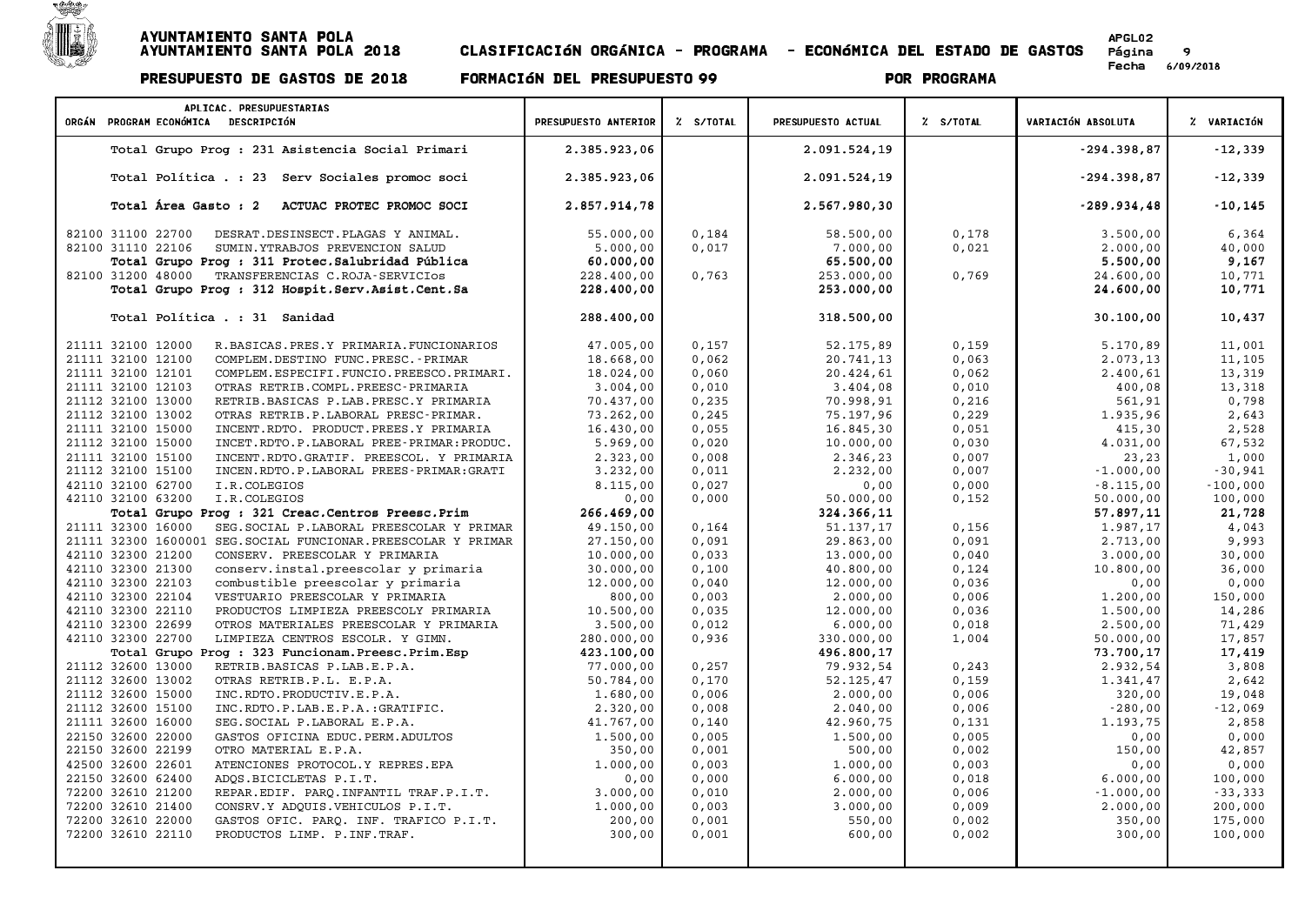

Página 9<br>Fecha 6/09/2018

| APLICAC. PRESUPUESTARIAS<br>ORGÁN PROGRAM ECONÓMICA DESCRIPCIÓN                         | PRESUPUESTO ANTERIOR | Z S/TOTAL | PRESUPUESTO ACTUAL      | Z S/TOTAL | VARIACIÓN ABSOLUTA    | % VARIACIÓN       |
|-----------------------------------------------------------------------------------------|----------------------|-----------|-------------------------|-----------|-----------------------|-------------------|
|                                                                                         |                      |           |                         |           |                       |                   |
| Total Grupo Prog : 231 Asistencia Social Primari                                        | 2.385.923,06         |           | 2.091.524,19            |           | $-294.398.87$         | $-12,339$         |
| Total Política . : 23 Serv Sociales promoc soci                                         | 2.385.923,06         |           | 2.091.524,19            |           | $-294.398,87$         | $-12,339$         |
| Total Área Gasto : 2<br>ACTUAC PROTEC PROMOC SOCI                                       | 2.857.914,78         |           | 2.567.980,30            |           | $-289.934,48$         | $-10, 145$        |
| 82100 31100 22700<br>DESRAT.DESINSECT.PLAGAS Y ANIMAL.                                  | 55.000,00            | 0,184     | 58.500,00               | 0,178     | 3.500,00              | 6,364             |
| 82100 31110 22106<br>SUMIN.YTRABJOS PREVENCION SALUD                                    | 5.000,00             | 0,017     | 7.000,00                | 0,021     | 2.000,00              | 40,000            |
| Total Grupo Prog : 311 Protec. Salubridad Pública                                       | 60.000,00            |           | 65.500,00               |           | 5.500,00              | 9,167             |
| 82100 31200 48000<br>TRANSFERENCIAS C.ROJA-SERVICIOS                                    | 228.400,00           | 0,763     | 253.000,00              | 0,769     | 24.600,00             | 10,771            |
| Total Grupo Prog : 312 Hospit. Serv. Asist. Cent. Sa                                    | 228.400,00           |           | 253.000,00              |           | 24.600,00             | 10,771            |
| Total Política . : 31 Sanidad                                                           | 288.400,00           |           | 318.500,00              |           | 30.100,00             | 10,437            |
|                                                                                         |                      |           |                         |           |                       |                   |
| 21111 32100 12000<br>R.BASICAS.PRES.Y PRIMARIA.FUNCIONARIOS                             | 47.005,00            | 0,157     | 52.175,89               | 0,159     | 5.170,89              | 11,001            |
| 21111 32100 12100<br>COMPLEM.DESTINO FUNC.PRESC. - PRIMAR                               | 18.668,00            | 0,062     | 20.741,13               | 0,063     | 2.073,13              | 11,105            |
| 21111 32100 12101<br>COMPLEM.ESPECIFI.FUNCIO.PREESCO.PRIMARI.                           | 18.024,00            | 0,060     | 20.424,61               | 0,062     | 2.400,61              | 13,319            |
| 21111 32100 12103<br>OTRAS RETRIB.COMPL.PREESC-PRIMARIA                                 | 3.004,00             | 0,010     | 3.404,08                | 0,010     | 400,08                | 13,318            |
| 21112 32100 13000<br>RETRIB.BASICAS P.LAB.PRESC.Y PRIMARIA                              | 70.437,00            | 0, 235    | 70.998,91               | 0,216     | 561,91                | 0,798             |
| 21112 32100 13002<br>OTRAS RETRIB.P.LABORAL PRESC-PRIMAR.                               | 73.262,00            | 0, 245    | 75.197,96               | 0,229     | 1.935,96              | 2,643             |
| 21111 32100 15000<br>INCENT.RDTO. PRODUCT.PREES.Y PRIMARIA                              | 16.430,00            | 0,055     | 16.845,30               | 0,051     | 415,30                | 2,528             |
| 21112 32100 15000<br>INCET.RDTO.P.LABORAL PREE-PRIMAR:PRODUC.                           | 5.969,00             | 0,020     | 10.000,00               | 0,030     | 4.031,00              | 67,532            |
| 21111 32100 15100<br>INCENT.RDTO.GRATIF. PREESCOL. Y PRIMARIA                           | 2.323,00             | 0,008     | 2.346,23                | 0,007     | 23,23                 | 1,000             |
| 21112 32100 15100<br>INCEN.RDTO.P.LABORAL PREES-PRIMAR:GRATI                            | 3.232,00             | 0,011     | 2.232,00                | 0,007     | $-1.000,00$           | $-30,941$         |
| 42110 32100 62700<br>I.R.COLEGIOS                                                       | 8.115,00             | 0,027     | 0,00<br>50.000,00       | 0,000     | $-8.115,00$           | $-100,000$        |
| 42110 32100 63200<br>I.R.COLEGIOS<br>Total Grupo Prog : 321 Creac. Centros Preesc. Prim | 0,00<br>266.469,00   | 0,000     |                         | 0,152     | 50.000,00             | 100,000<br>21,728 |
| 21111 32300 16000<br>SEG. SOCIAL P. LABORAL PREESCOLAR Y PRIMAR                         | 49.150,00            | 0,164     | 324.366,11<br>51.137,17 | 0,156     | 57.897,11<br>1.987,17 | 4,043             |
| 21111 32300 1600001 SEG. SOCIAL FUNCIONAR. PREESCOLAR Y PRIMAR                          | 27.150,00            | 0,091     | 29.863,00               | 0,091     | 2.713,00              | 9,993             |
| 42110 32300 21200<br>CONSERV. PREESCOLAR Y PRIMARIA                                     | 10.000,00            | 0,033     | 13.000,00               | 0,040     | 3.000,00              | 30,000            |
| 42110 32300 21300<br>conserv.instal.preescolar y primaria                               | 30.000,00            | 0,100     | 40.800,00               | 0,124     | 10.800,00             | 36,000            |
| 42110 32300 22103<br>combustible preescolar y primaria                                  | 12.000,00            | 0,040     | 12.000,00               | 0,036     | 0,00                  | 0,000             |
| 42110 32300 22104<br>VESTUARIO PREESCOLAR Y PRIMARIA                                    | 800,00               | 0,003     | 2.000,00                | 0,006     | 1,200,00              | 150,000           |
| 42110 32300 22110<br>PRODUCTOS LIMPIEZA PREESCOLY PRIMARIA                              | 10.500,00            | 0,035     | 12.000,00               | 0,036     | 1.500,00              | 14,286            |
| 42110 32300 22699<br>OTROS MATERIALES PREESCOLAR Y PRIMARIA                             | 3.500,00             | 0,012     | 6.000,00                | 0,018     | 2.500,00              | 71,429            |
| 42110 32300 22700<br>LIMPIEZA CENTROS ESCOLR. Y GIMN.                                   | 280.000,00           | 0,936     | 330.000,00              | 1,004     | 50.000,00             | 17,857            |
| Total Grupo Prog : 323 Funcionam. Preesc. Prim. Esp                                     | 423.100,00           |           | 496.800,17              |           | 73.700,17             | 17,419            |
| 21112 32600 13000<br>RETRIB.BASICAS P.LAB.E.P.A.                                        | 77.000,00            | 0, 257    | 79.932,54               | 0, 243    | 2.932,54              | 3,808             |
| 21112 32600 13002<br>OTRAS RETRIB.P.L. E.P.A.                                           | 50.784,00            | 0,170     | 52.125,47               | 0,159     | 1.341,47              | 2,642             |
| 21112 32600 15000<br>INC.RDTO.PRODUCTIV.E.P.A.                                          | 1,680,00             | 0,006     | 2.000,00                | 0,006     | 320,00                | 19,048            |
| 21112 32600 15100<br>INC.RDTO.P.LAB.E.P.A.:GRATIFIC.                                    | 2.320,00             | 0,008     | 2.040,00                | 0,006     | $-280,00$             | $-12,069$         |
| 21111 32600 16000<br>SEG. SOCIAL P. LABORAL E.P.A.                                      | 41.767,00            | 0,140     | 42.960,75               | 0,131     | 1.193,75              | 2,858             |
| 22150 32600 22000<br>GASTOS OFICINA EDUC. PERM. ADULTOS                                 | 1.500,00             | 0.005     | 1.500,00                | 0,005     | 0,00                  | 0,000             |
| 22150 32600 22199<br>OTRO MATERIAL E.P.A.                                               | 350,00               | 0,001     | 500,00                  | 0,002     | 150,00                | 42,857            |
| 42500 32600 22601<br>ATENCIONES PROTOCOL.Y REPRES.EPA                                   | 1,000,00             | 0.003     | 1,000,00                | 0,003     | 0,00                  | 0,000             |
| 22150 32600 62400<br>ADQS.BICICLETAS P.I.T.                                             | 0,00                 | 0,000     | 6.000,00                | 0,018     | 6.000,00              | 100,000           |
| 72200 32610 21200<br>REPAR.EDIF. PARQ.INFANTIL TRAF.P.I.T.                              | 3.000,00             | 0,010     | 2.000,00                | 0,006     | $-1.000,00$           | $-33,333$         |
| 72200 32610 21400<br>CONSRV.Y ADQUIS.VEHICULOS P.I.T.                                   | 1.000,00             | 0,003     | 3.000,00                | 0,009     | 2.000,00              | 200,000           |
| 72200 32610 22000<br>GASTOS OFIC. PARQ. INF. TRAFICO P.I.T.                             | 200,00               | 0,001     | 550,00                  | 0,002     | 350,00                | 175,000           |
| 72200 32610 22110<br>PRODUCTOS LIMP. P. INF. TRAF.                                      | 300,00               | 0,001     | 600,00                  | 0,002     | 300,00                | 100,000           |
|                                                                                         |                      |           |                         |           |                       |                   |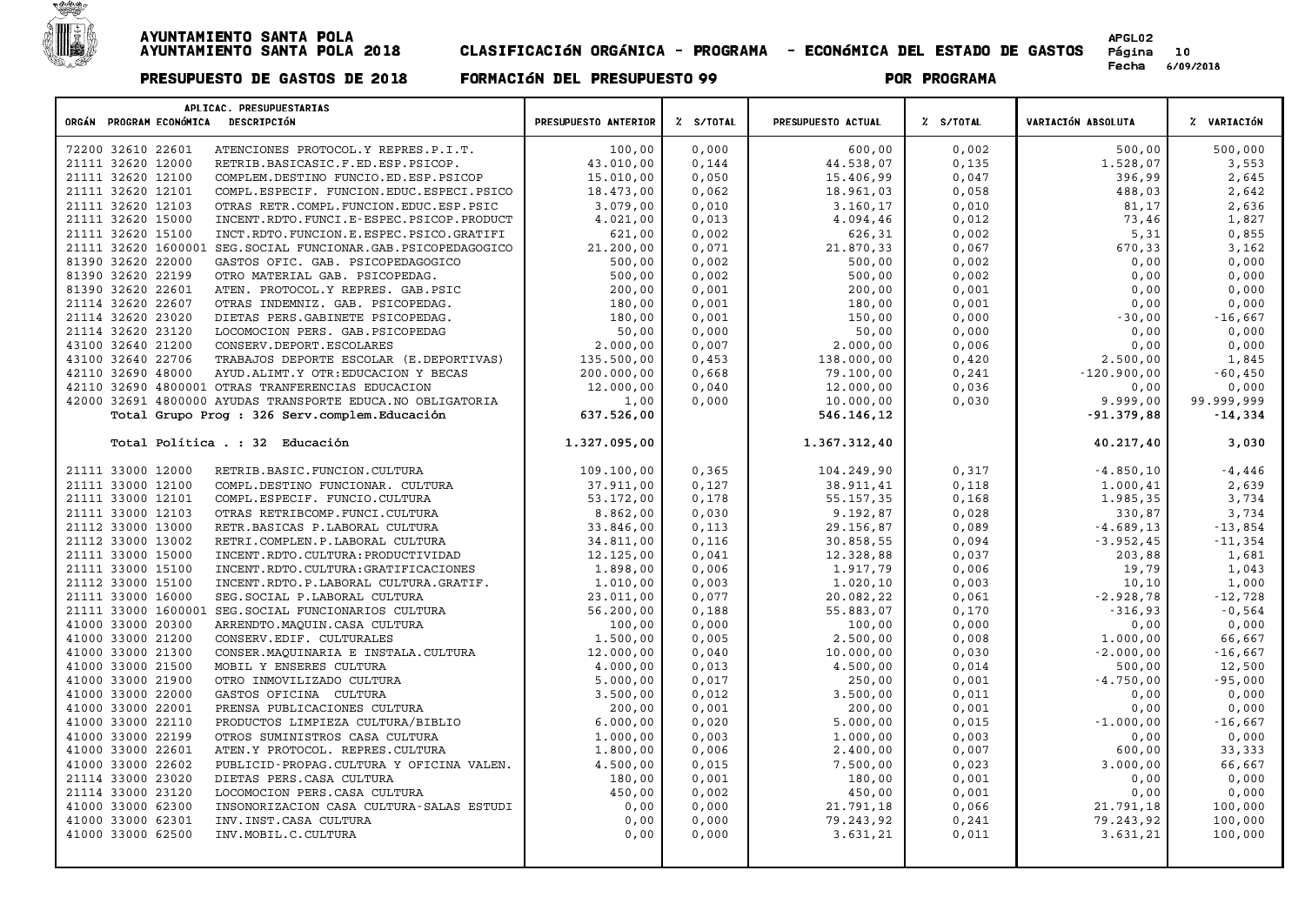

| APLICAC. PRESUPUESTARIAS<br>ORGÁN PROGRAM ECONÓMICA DESCRIPCIÓN    | PRESUPUESTO ANTERIOR | % S/TOTAL | PRESUPUESTO ACTUAL | % S/TOTAL | VARIACIÓN ABSOLUTA | % VARIACIÓN |
|--------------------------------------------------------------------|----------------------|-----------|--------------------|-----------|--------------------|-------------|
| 72200 32610 22601<br>ATENCIONES PROTOCOL.Y REPRES.P.I.T.           | 100,00               | 0,000     | 600,00             | 0,002     | 500,00             | 500,000     |
| 21111 32620 12000<br>RETRIB.BASICASIC.F.ED.ESP.PSICOP.             | 43.010,00            | 0,144     | 44.538,07          | 0,135     | 1.528,07           | 3,553       |
| 21111 32620 12100<br>COMPLEM.DESTINO FUNCIO.ED.ESP.PSICOP          | 15.010,00            | 0,050     | 15.406,99          | 0,047     | 396,99             | 2,645       |
| 21111 32620 12101<br>COMPL.ESPECIF. FUNCION.EDUC.ESPECI.PSICO      | 18.473,00            | 0,062     | 18.961,03          | 0,058     | 488,03             | 2,642       |
| 21111 32620 12103<br>OTRAS RETR.COMPL.FUNCION.EDUC.ESP.PSIC        | 3.079,00             | 0,010     | 3.160,17           | 0,010     | 81,17              | 2,636       |
| 21111 32620 15000<br>INCENT.RDTO.FUNCI.E-ESPEC.PSICOP.PRODUCT      | 4.021,00             | 0,013     | 4.094,46           | 0,012     | 73,46              | 1,827       |
| 21111 32620 15100<br>INCT. RDTO. FUNCION.E. ESPEC. PSICO. GRATIFI  | 621,00               | 0,002     | 626,31             | 0,002     | 5,31               | 0,855       |
| 21111 32620 1600001<br>SEG. SOCIAL FUNCIONAR. GAB. PSICOPEDAGOGICO | 21.200,00            | 0,071     | 21.870,33          | 0,067     | 670,33             | 3,162       |
| 81390 32620 22000<br>GASTOS OFIC. GAB. PSICOPEDAGOGICO             | 500,00               | 0,002     | 500,00             | 0,002     | 0,00               | 0,000       |
| 81390 32620 22199<br>OTRO MATERIAL GAB. PSICOPEDAG.                | 500,00               | 0,002     | 500,00             | 0,002     | 0,00               | 0,000       |
| 81390 32620 22601<br>ATEN. PROTOCOL.Y REPRES. GAB.PSIC             | 200,00               | 0,001     | 200,00             | 0,001     | 0,00               | 0,000       |
| 21114 32620 22607<br>OTRAS INDEMNIZ. GAB. PSICOPEDAG.              | 180,00               | 0,001     | 180,00             | 0,001     | 0,00               | 0,000       |
| 21114 32620 23020<br>DIETAS PERS.GABINETE PSICOPEDAG.              | 180,00               | 0,001     | 150,00             | 0,000     | $-30,00$           | $-16,667$   |
| 21114 32620 23120<br>LOCOMOCION PERS. GAB. PSICOPEDAG              | 50,00                | 0,000     | 50,00              | 0,000     | 0,00               | 0,000       |
| 43100 32640 21200<br>CONSERV.DEPORT.ESCOLARES                      | 2.000,00             | 0,007     | 2.000,00           | 0,006     | 0,00               | 0,000       |
| 43100 32640 22706<br>TRABAJOS DEPORTE ESCOLAR (E.DEPORTIVAS)       | 135.500,00           | 0,453     | 138.000,00         | 0,420     | 2.500,00           | 1,845       |
| 42110 32690 48000<br>AYUD.ALIMT.Y OTR: EDUCACION Y BECAS           | 200.000,00           | 0,668     | 79.100,00          | 0,241     | $-120.900,00$      | $-60,450$   |
| 42110 32690 4800001 OTRAS TRANFERENCIAS EDUCACION                  | 12.000,00            | 0,040     | 12.000,00          | 0,036     | 0,00               | 0,000       |
| 42000 32691 4800000 AYUDAS TRANSPORTE EDUCA.NO OBLIGATORIA         | 1,00                 | 0,000     | 10.000,00          | 0,030     | 9.999,00           | 99.999,999  |
| Total Grupo Prog : 326 Serv.complem.Educación                      | 637.526,00           |           | 546.146,12         |           | $-91.379,88$       | $-14,334$   |
| Total Política . : 32 Educación                                    | 1.327.095,00         |           | 1.367.312,40       |           | 40.217,40          | 3,030       |
| 21111 33000 12000<br>RETRIB.BASIC.FUNCION.CULTURA                  | 109,100,00           | 0,365     | 104.249,90         | 0,317     | $-4.850, 10$       | $-4,446$    |
| 21111 33000 12100<br>COMPL.DESTINO FUNCIONAR. CULTURA              | 37.911,00            | 0,127     | 38.911,41          | 0,118     | 1.000,41           | 2,639       |
| 21111 33000 12101<br>COMPL.ESPECIF. FUNCIO.CULTURA                 | 53.172,00            | 0,178     | 55.157,35          | 0,168     | 1.985,35           | 3,734       |
| 21111 33000 12103<br>OTRAS RETRIBCOMP. FUNCI.CULTURA               | 8.862,00             | 0,030     | 9.192,87           | 0,028     | 330,87             | 3,734       |
| 21112 33000 13000<br>RETR. BASICAS P. LABORAL CULTURA              | 33.846,00            | 0,113     | 29.156,87          | 0,089     | $-4.689, 13$       | $-13,854$   |
| 21112 33000 13002<br>RETRI.COMPLEN.P.LABORAL CULTURA               | 34.811,00            | 0,116     | 30.858,55          | 0,094     | $-3.952, 45$       | $-11,354$   |
| 21111 33000 15000<br>INCENT.RDTO.CULTURA: PRODUCTIVIDAD            | 12.125,00            | 0,041     | 12.328,88          | 0,037     | 203,88             | 1,681       |
| 21111 33000 15100<br>INCENT.RDTO.CULTURA:GRATIFICACIONES           | 1,898,00             | 0,006     | 1.917,79           | 0,006     | 19,79              | 1,043       |
| 21112 33000 15100<br>INCENT.RDTO.P.LABORAL CULTURA.GRATIF.         | 1.010,00             | 0,003     | 1.020,10           | 0,003     | 10,10              | 1,000       |
| 21111 33000 16000<br>SEG. SOCIAL P. LABORAL CULTURA                | 23.011,00            | 0,077     | 20.082,22          | 0,061     | $-2.928,78$        | $-12,728$   |
| 21111 33000 1600001<br>SEG. SOCIAL FUNCIONARIOS CULTURA            | 56.200,00            | 0,188     | 55.883,07          | 0,170     | $-316,93$          | $-0,564$    |
| 41000 33000 20300<br>ARRENDTO.MAQUIN.CASA CULTURA                  | 100,00               | 0,000     | 100,00             | 0,000     | 0,00               | 0,000       |
| 41000 33000 21200<br>CONSERV. EDIF. CULTURALES                     | 1.500,00             | 0,005     | 2.500,00           | 0,008     | 1.000,00           | 66,667      |
| 41000 33000 21300<br>CONSER. MAQUINARIA E INSTALA. CULTURA         | 12.000,00            | 0,040     | 10.000,00          | 0,030     | $-2.000,00$        | $-16,667$   |
| 41000 33000 21500<br>MOBIL Y ENSERES CULTURA                       | 4.000,00             | 0,013     | 4.500,00           | 0,014     | 500,00             | 12,500      |
| 41000 33000 21900<br>OTRO INMOVILIZADO CULTURA                     | 5.000,00             | 0,017     | 250,00             | 0,001     | $-4.750,00$        | $-95,000$   |
| 41000 33000 22000<br>GASTOS OFICINA CULTURA                        | 3.500,00             | 0,012     | 3.500,00           | 0,011     | 0,00               | 0,000       |
| 41000 33000 22001<br>PRENSA PUBLICACIONES CULTURA                  | 200,00               | 0,001     | 200,00             | 0,001     | 0,00               | 0,000       |
| 41000 33000 22110<br>PRODUCTOS LIMPIEZA CULTURA/BIBLIO             | 6.000,00             | 0,020     | 5.000,00           | 0,015     | $-1.000,00$        | $-16,667$   |
| 41000 33000 22199<br>OTROS SUMINISTROS CASA CULTURA                | 1,000,00             | 0,003     | 1,000,00           | 0,003     | 0,00               | 0,000       |
| 41000 33000 22601<br>ATEN.Y PROTOCOL. REPRES.CULTURA               | 1.800,00             | 0,006     | 2.400,00           | 0,007     | 600,00             | 33,333      |
| 41000 33000 22602<br>PUBLICID-PROPAG.CULTURA Y OFICINA VALEN.      | 4.500,00             | 0,015     | 7.500,00           | 0,023     | 3.000,00           | 66,667      |
| 21114 33000 23020<br>DIETAS PERS. CASA CULTURA                     | 180,00               | 0,001     | 180,00             | 0,001     | 0,00               | 0,000       |
| 21114 33000 23120<br>LOCOMOCION PERS. CASA CULTURA                 | 450,00               | 0,002     | 450,00             | 0,001     | 0,00               | 0,000       |
| 41000 33000 62300<br>INSONORIZACION CASA CULTURA-SALAS ESTUDI      | 0,00                 | 0,000     | 21.791,18          | 0,066     | 21.791,18          | 100,000     |
| 41000 33000 62301<br>INV. INST. CASA CULTURA                       | 0,00                 | 0,000     | 79.243,92          | 0,241     | 79.243,92          | 100,000     |
| 41000 33000 62500<br>INV. MOBIL. C. CULTURA                        | 0,00                 | 0,000     | 3.631,21           | 0,011     | 3.631,21           | 100,000     |
|                                                                    |                      |           |                    |           |                    |             |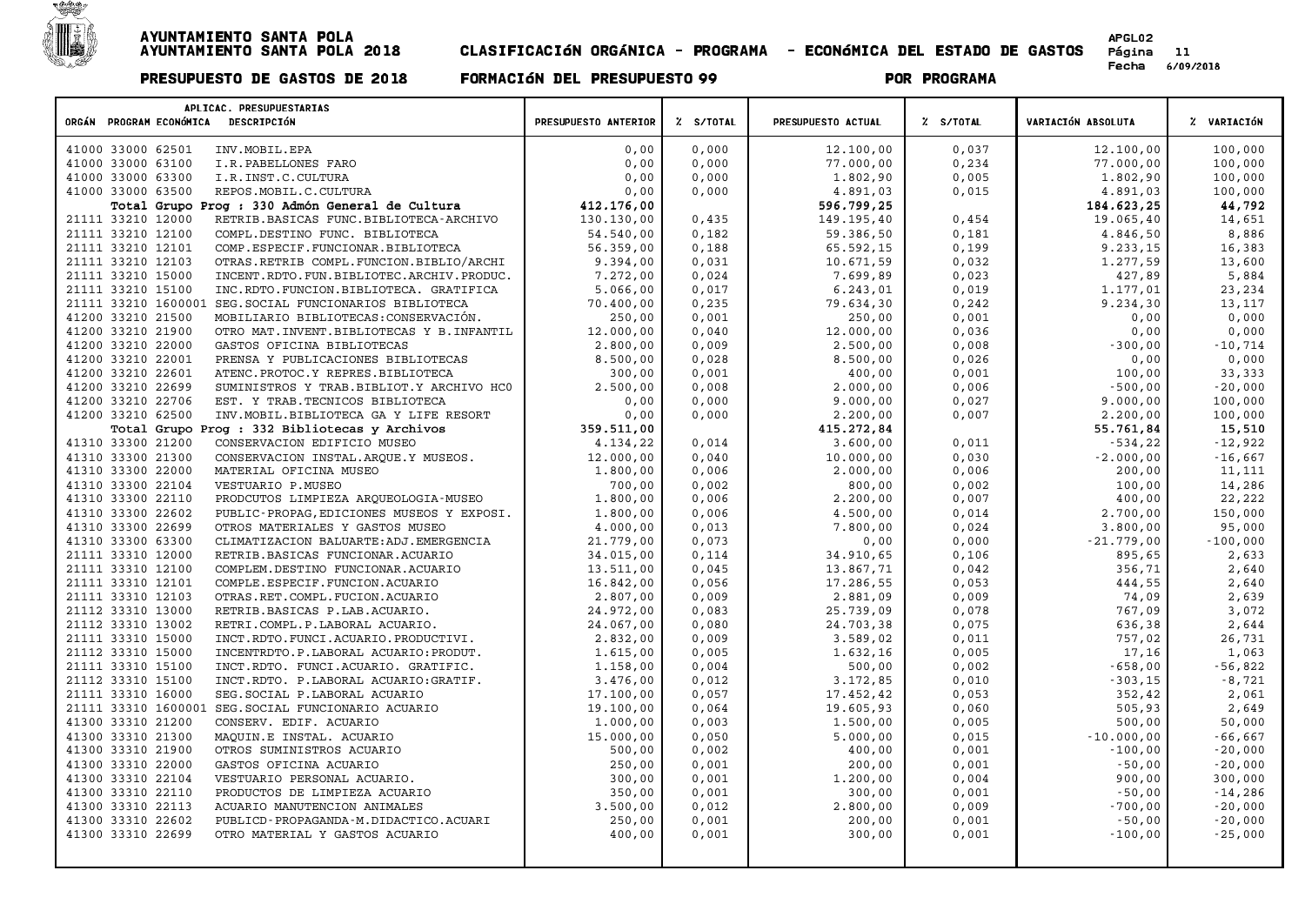

| APLICAC. PRESUPUESTARIAS                                         |                      |           |                    |           |                    |             |
|------------------------------------------------------------------|----------------------|-----------|--------------------|-----------|--------------------|-------------|
| ORGÁN PROGRAM ECONÓMICA DESCRIPCIÓN                              | PRESUPUESTO ANTERIOR | % S/TOTAL | PRESUPUESTO ACTUAL | % S/TOTAL | VARIACIÓN ABSOLUTA | % VARIACIÓN |
| 41000 33000 62501<br>INV.MOBIL.EPA                               | 0,00                 | 0,000     | 12.100,00          | 0,037     | 12.100,00          | 100,000     |
| 41000 33000 63100<br>I.R.PABELLONES FARO                         | 0,00                 | 0,000     | 77.000,00          | 0,234     | 77.000,00          | 100,000     |
| 41000 33000 63300<br>I.R. INST.C. CULTURA                        | 0,00                 | 0,000     | 1.802,90           | 0,005     | 1.802,90           | 100,000     |
| 41000 33000 63500<br>REPOS.MOBIL.C.CULTURA                       | 0,00                 | 0,000     | 4.891,03           | 0,015     | 4.891,03           | 100,000     |
| Total Grupo Prog : 330 Admón General de Cultura                  | 412.176,00           |           | 596.799,25         |           | 184.623,25         | 44,792      |
| 21111 33210 12000<br>RETRIB.BASICAS FUNC.BIBLIOTECA-ARCHIVO      | 130.130,00           | 0,435     | 149.195,40         | 0,454     | 19.065,40          | 14,651      |
| 21111 33210 12100<br>COMPL.DESTINO FUNC. BIBLIOTECA              | 54.540,00            | 0,182     | 59.386,50          | 0,181     | 4.846,50           | 8,886       |
| 21111 33210 12101<br>COMP.ESPECIF.FUNCIONAR.BIBLIOTECA           | 56.359,00            | 0,188     | 65.592,15          | 0,199     | 9.233,15           | 16,383      |
| 21111 33210 12103<br>OTRAS.RETRIB COMPL.FUNCION.BIBLIO/ARCHI     | 9.394,00             | 0,031     | 10.671,59          | 0,032     | 1.277,59           | 13,600      |
| 21111 33210 15000<br>INCENT.RDTO.FUN.BIBLIOTEC.ARCHIV.PRODUC.    | 7.272,00             | 0,024     | 7.699,89           | 0,023     | 427,89             | 5,884       |
| 21111 33210 15100<br>INC.RDTO.FUNCION.BIBLIOTECA. GRATIFICA      | 5.066,00             | 0,017     | 6.243,01           | 0,019     | 1.177,01           | 23,234      |
| 21111 33210 1600001<br>SEG. SOCIAL FUNCIONARIOS BIBLIOTECA       | 70.400,00            | 0,235     | 79.634,30          | 0,242     | 9.234,30           | 13,117      |
| 41200 33210 21500<br>MOBILIARIO BIBLIOTECAS: CONSERVACIÓN.       | 250,00               | 0,001     | 250,00             | 0,001     | 0,00               | 0,000       |
| 41200 33210 21900<br>OTRO MAT. INVENT. BIBLIOTECAS Y B. INFANTIL | 12.000,00            | 0,040     | 12.000,00          | 0,036     | 0,00               | 0,000       |
| 41200 33210 22000<br>GASTOS OFICINA BIBLIOTECAS                  | 2.800,00             | 0,009     | 2.500,00           | 0,008     | $-300,00$          | $-10,714$   |
| 41200 33210 22001<br>PRENSA Y PUBLICACIONES BIBLIOTECAS          | 8.500,00             | 0,028     | 8.500,00           | 0,026     | 0,00               | 0,000       |
| 41200 33210 22601<br>ATENC. PROTOC.Y REPRES. BIBLIOTECA          | 300,00               | 0,001     | 400,00             | 0,001     | 100,00             | 33,333      |
| 41200 33210 22699<br>SUMINISTROS Y TRAB. BIBLIOT. Y ARCHIVO HCO  | 2.500,00             | 0,008     | 2.000,00           | 0,006     | $-500,00$          | $-20,000$   |
| 41200 33210 22706<br>EST. Y TRAB. TECNICOS BIBLIOTECA            | 0,00                 | 0,000     | 9.000,00           | 0,027     | 9.000,00           | 100,000     |
| 41200 33210 62500<br>INV. MOBIL. BIBLIOTECA GA Y LIFE RESORT     | 0,00                 | 0,000     | 2.200,00           | 0,007     | 2.200,00           | 100,000     |
| Total Grupo Prog : 332 Bibliotecas y Archivos                    | 359.511,00           |           | 415.272,84         |           | 55.761,84          | 15,510      |
| 41310 33300 21200<br>CONSERVACION EDIFICIO MUSEO                 | 4.134,22             | 0,014     | 3.600,00           | 0,011     | $-534,22$          | $-12,922$   |
| 41310 33300 21300<br>CONSERVACION INSTAL. ARQUE. Y MUSEOS.       | 12.000,00            | 0,040     | 10.000,00          | 0,030     | $-2.000,00$        | $-16,667$   |
| 41310 33300 22000<br>MATERIAL OFICINA MUSEO                      | 1,800,00             | 0,006     | 2.000,00           | 0,006     | 200,00             | 11,111      |
| 41310 33300 22104<br>VESTUARIO P.MUSEO                           | 700,00               | 0,002     | 800,00             | 0,002     | 100,00             | 14,286      |
| 41310 33300 22110<br>PRODCUTOS LIMPIEZA ARQUEOLOGIA-MUSEO        | 1.800,00             | 0,006     | 2.200,00           | 0,007     | 400,00             | 22,222      |
| 41310 33300 22602<br>PUBLIC-PROPAG, EDICIONES MUSEOS Y EXPOSI.   | 1,800,00             | 0,006     | 4.500,00           | 0,014     | 2.700,00           | 150,000     |
| 41310 33300 22699<br>OTROS MATERIALES Y GASTOS MUSEO             | 4.000,00             | 0,013     | 7.800,00           | 0,024     | 3.800,00           | 95,000      |
| 41310 33300 63300<br>CLIMATIZACION BALUARTE: ADJ. EMERGENCIA     | 21.779,00            | 0,073     | 0,00               | 0,000     | $-21.779,00$       | $-100,000$  |
| 21111 33310 12000<br>RETRIB.BASICAS FUNCIONAR.ACUARIO            | 34.015,00            | 0,114     | 34.910,65          | 0,106     | 895,65             | 2,633       |
| 21111 33310 12100<br>COMPLEM.DESTINO FUNCIONAR.ACUARIO           | 13.511,00            | 0,045     | 13.867,71          | 0,042     | 356,71             | 2,640       |
| 21111 33310 12101<br>COMPLE.ESPECIF.FUNCION.ACUARIO              | 16.842,00            | 0,056     | 17.286,55          | 0,053     | 444,55             | 2,640       |
| 21111 33310 12103<br>OTRAS.RET.COMPL.FUCION.ACUARIO              | 2.807,00             | 0,009     | 2.881,09           | 0,009     | 74,09              | 2,639       |
| 21112 33310 13000<br>RETRIB.BASICAS P.LAB.ACUARIO.               | 24.972,00            | 0,083     | 25.739,09          | 0,078     | 767,09             | 3,072       |
| 21112 33310 13002<br>RETRI.COMPL.P.LABORAL ACUARIO.              | 24.067,00            | 0,080     | 24.703,38          | 0,075     | 636,38             | 2,644       |
| 21111 33310 15000<br>INCT.RDTO.FUNCI.ACUARIO.PRODUCTIVI.         | 2.832,00             | 0,009     | 3.589,02           | 0,011     | 757,02             | 26,731      |
| 21112 33310 15000<br>INCENTRDTO.P.LABORAL ACUARIO: PRODUT.       | 1,615,00             | 0,005     | 1.632,16           | 0,005     | 17,16              | 1,063       |
| 21111 33310 15100<br>INCT.RDTO. FUNCI.ACUARIO. GRATIFIC.         | 1.158,00             | 0,004     | 500,00             | 0,002     | $-658,00$          | $-56,822$   |
| 21112 33310 15100<br>INCT.RDTO. P.LABORAL ACUARIO: GRATIF.       | 3.476,00             | 0,012     | 3.172,85           | 0,010     | $-303, 15$         | $-8,721$    |
| 21111 33310 16000<br>SEG. SOCIAL P. LABORAL ACUARIO              | 17.100,00            | 0,057     | 17.452,42          | 0,053     | 352,42             | 2,061       |
| 21111 33310 1600001<br>SEG. SOCIAL FUNCIONARIO ACUARIO           | 19.100,00            | 0,064     | 19.605,93          | 0,060     | 505,93             | 2,649       |
| 41300 33310 21200<br>CONSERV. EDIF. ACUARIO                      | 1.000,00             | 0,003     | 1.500,00           | 0,005     | 500,00             | 50,000      |
| 41300 33310 21300<br>MAQUIN.E INSTAL. ACUARIO                    | 15.000,00            | 0,050     | 5.000,00           | 0,015     | $-10.000,00$       | $-66,667$   |
| 41300 33310 21900<br>OTROS SUMINISTROS ACUARIO                   | 500,00               | 0,002     | 400,00             | 0,001     | $-100,00$          | $-20,000$   |
| 41300 33310 22000<br>GASTOS OFICINA ACUARIO                      | 250,00               | 0,001     | 200,00             | 0,001     | $-50,00$           | $-20,000$   |
| 41300 33310 22104<br>VESTUARIO PERSONAL ACUARIO.                 | 300,00               | 0,001     | 1.200,00           | 0,004     | 900,00             | 300,000     |
| 41300 33310 22110<br>PRODUCTOS DE LIMPIEZA ACUARIO               | 350,00               | 0,001     | 300,00             | 0,001     | $-50,00$           | $-14,286$   |
| 41300 33310 22113<br>ACUARIO MANUTENCION ANIMALES                | 3.500,00             | 0,012     | 2.800,00           | 0,009     | $-700,00$          | $-20,000$   |
| 41300 33310 22602<br>PUBLICD - PROPAGANDA - M. DIDACTICO. ACUARI | 250,00               | 0,001     | 200,00             | 0,001     | $-50,00$           | $-20,000$   |
| 41300 33310 22699<br>OTRO MATERIAL Y GASTOS ACUARIO              | 400,00               | 0,001     | 300,00             | 0,001     | $-100,00$          | $-25,000$   |
|                                                                  |                      |           |                    |           |                    |             |
|                                                                  |                      |           |                    |           |                    |             |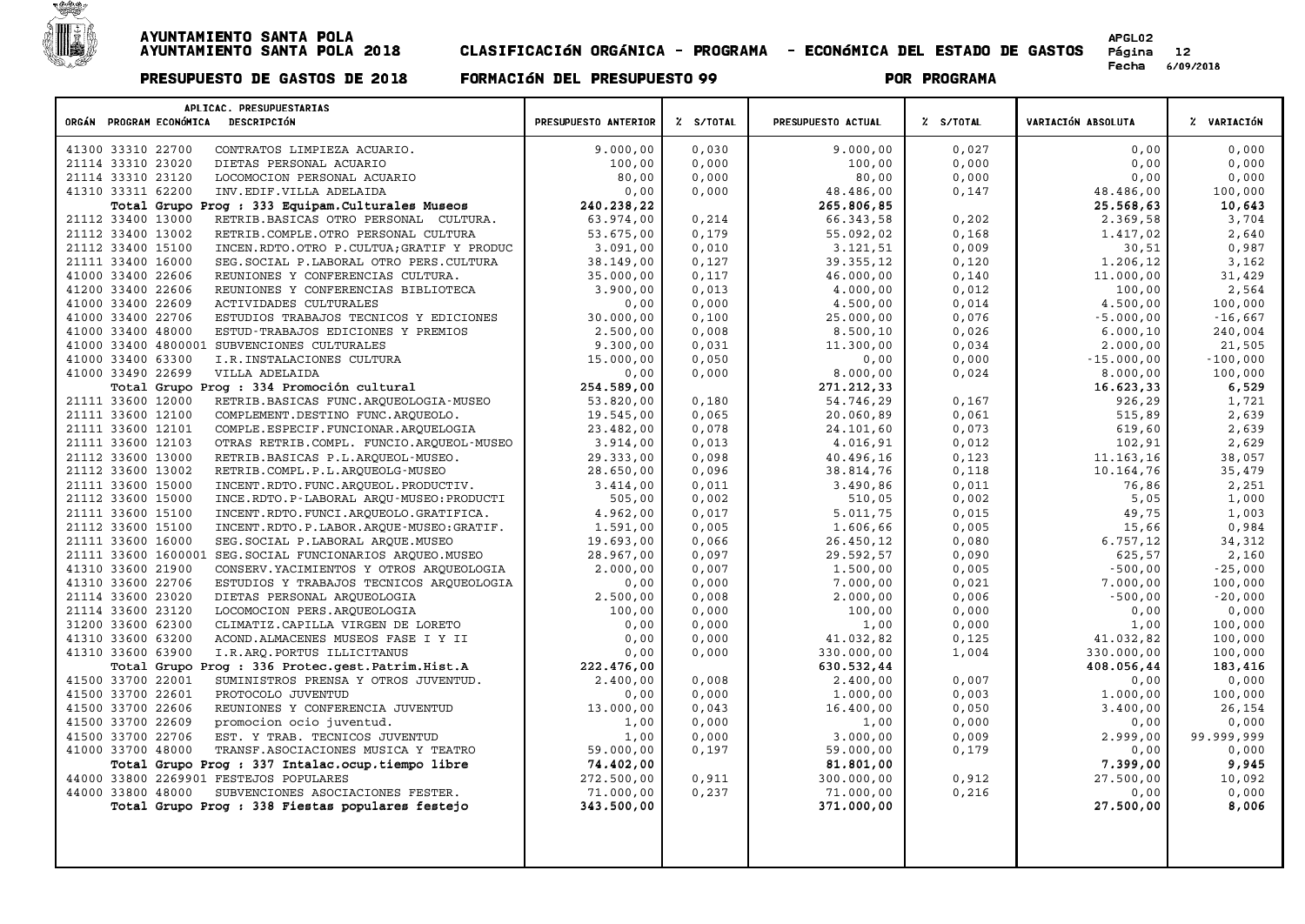

| APLICAC. PRESUPUESTARIAS<br>ORGÁN PROGRAM ECONÓMICA DESCRIPCIÓN                               | PRESUPUESTO ANTERIOR    | Z S/TOTAL      | PRESUPUESTO ACTUAL      | % S/TOTAL      | VARIACIÓN ABSOLUTA | % VARIACIÓN    |
|-----------------------------------------------------------------------------------------------|-------------------------|----------------|-------------------------|----------------|--------------------|----------------|
| 41300 33310 22700<br>CONTRATOS LIMPIEZA ACUARIO.                                              | 9.000,00                | 0,030          | 9.000,00                | 0,027          | 0,00               | 0,000          |
| 21114 33310 23020<br>DIETAS PERSONAL ACUARIO                                                  | 100,00                  | 0,000          | 100,00                  | 0,000          | 0,00               | 0,000          |
| 21114 33310 23120<br>LOCOMOCION PERSONAL ACUARIO                                              | 80,00                   | 0,000          | 80,00                   | 0,000          | 0,00               | 0,000          |
| 41310 33311 62200<br>INV.EDIF.VILLA ADELAIDA                                                  | 0,00                    | 0,000          | 48.486,00               | 0,147          | 48.486,00          | 100,000        |
| Total Grupo Prog : 333 Equipam. Culturales Museos                                             | 240.238.22              |                | 265.806.85              |                | 25.568,63          | 10,643         |
| 21112 33400 13000<br>RETRIB. BASICAS OTRO PERSONAL CULTURA.                                   | 63.974,00               | 0,214          | 66.343,58               | 0,202          | 2.369,58           | 3,704          |
| 21112 33400 13002<br>RETRIB.COMPLE.OTRO PERSONAL CULTURA                                      | 53.675,00               | 0,179          | 55.092,02               | 0,168          | 1.417,02           | 2,640          |
| 21112 33400 15100<br>INCEN.RDTO.OTRO P.CULTUA; GRATIF Y PRODUC                                | 3.091,00                | 0,010          | 3.121,51                | 0,009          | 30,51              | 0,987          |
| 21111 33400 16000<br>SEG. SOCIAL P. LABORAL OTRO PERS. CULTURA                                | 38.149,00               | 0,127          | 39.355,12               | 0,120          | 1,206,12           | 3,162          |
| 41000 33400 22606<br>REUNIONES Y CONFERENCIAS CULTURA.                                        | 35.000,00               | 0,117          | 46.000,00               | 0,140          | 11.000,00          | 31,429         |
| 41200 33400 22606<br>REUNIONES Y CONFERENCIAS BIBLIOTECA                                      | 3.900,00                | 0,013          | 4,000,00                | 0,012          | 100,00             | 2,564          |
| 41000 33400 22609<br>ACTIVIDADES CULTURALES                                                   | 0,00                    | 0,000          | 4.500,00                | 0,014          | 4.500,00           | 100,000        |
| 41000 33400 22706<br>ESTUDIOS TRABAJOS TECNICOS Y EDICIONES                                   | 30.000,00               | 0,100          | 25.000,00               | 0,076          | $-5.000,00$        | $-16,667$      |
| 41000 33400 48000<br>ESTUD-TRABAJOS EDICIONES Y PREMIOS                                       | 2.500,00                | 0,008          | 8.500,10                | 0,026          | 6.000, 10          | 240,004        |
| 41000 33400 4800001 SUBVENCIONES CULTURALES                                                   | 9.300,00                | 0,031          | 11.300,00               | 0,034          | 2,000,00           | 21,505         |
| 41000 33400 63300<br>I.R. INSTALACIONES CULTURA                                               | 15.000,00               | 0,050          | 0,00                    | 0,000          | $-15.000,00$       | $-100,000$     |
| 41000 33490 22699<br>VILLA ADELAIDA                                                           | 0,00                    | 0,000          | 8.000,00                | 0,024          | 8.000,00           | 100,000        |
| Total Grupo Prog : 334 Promoción cultural                                                     | 254.589,00              |                | 271.212,33              |                | 16.623,33          | 6,529          |
| 21111 33600 12000<br>RETRIB. BASICAS FUNC. ARQUEOLOGIA-MUSEO<br>21111 33600 12100             | 53.820,00<br>19.545,00  | 0,180<br>0,065 | 54.746,29<br>20.060,89  | 0,167<br>0,061 | 926,29<br>515,89   | 1,721<br>2,639 |
| COMPLEMENT.DESTINO FUNC.ARQUEOLO.<br>21111 33600 12101<br>COMPLE.ESPECIF.FUNCIONAR.ARQUELOGIA | 23.482,00               | 0,078          | 24.101,60               | 0,073          | 619,60             | 2,639          |
| 21111 33600 12103<br>OTRAS RETRIB.COMPL. FUNCIO.ARQUEOL-MUSEO                                 | 3.914,00                | 0,013          | 4.016,91                | 0,012          | 102,91             | 2,629          |
| 21112 33600 13000<br>RETRIB.BASICAS P.L.ARQUEOL-MUSEO.                                        | 29.333,00               | 0,098          | 40.496,16               | 0,123          | 11.163,16          | 38,057         |
| 21112 33600 13002<br>RETRIB.COMPL.P.L.ARQUEOLG-MUSEO                                          | 28.650,00               | 0,096          | 38.814,76               | 0,118          | 10.164,76          | 35,479         |
| 21111 33600 15000<br>INCENT.RDTO.FUNC.ARQUEOL.PRODUCTIV.                                      | 3.414,00                | 0.011          | 3.490,86                | 0.011          | 76,86              | 2,251          |
| 21112 33600 15000<br>INCE.RDTO.P-LABORAL ARQU-MUSEO:PRODUCTI                                  | 505,00                  | 0,002          | 510,05                  | 0,002          | 5,05               | 1,000          |
| 21111 33600 15100<br>INCENT.RDTO.FUNCI.ARQUEOLO.GRATIFICA.                                    | 4.962,00                | 0,017          | 5.011,75                | 0,015          | 49,75              | 1,003          |
| 21112 33600 15100<br>INCENT.RDTO.P.LABOR.ARQUE-MUSEO:GRATIF.                                  | 1.591,00                | 0,005          | 1.606,66                | 0,005          | 15,66              | 0,984          |
| 21111 33600 16000<br>SEG. SOCIAL P. LABORAL ARQUE. MUSEO                                      | 19.693,00               | 0,066          | 26.450,12               | 0,080          | 6.757, 12          | 34,312         |
| 21111 33600 1600001 SEG. SOCIAL FUNCIONARIOS ARQUEO. MUSEO                                    | 28.967,00               | 0,097          | 29.592,57               | 0,090          | 625,57             | 2,160          |
| 41310 33600 21900<br>CONSERV. YACIMIENTOS Y OTROS ARQUEOLOGIA                                 | 2.000,00                | 0,007          | 1,500,00                | 0,005          | $-500,00$          | $-25,000$      |
| 41310 33600 22706<br>ESTUDIOS Y TRABAJOS TECNICOS ARQUEOLOGIA                                 | 0,00                    | 0,000          | 7.000,00                | 0,021          | 7.000,00           | 100,000        |
| 21114 33600 23020<br>DIETAS PERSONAL ARQUEOLOGIA                                              | 2.500,00                | 0,008          | 2.000,00                | 0,006          | $-500,00$          | $-20,000$      |
| 21114 33600 23120<br>LOCOMOCION PERS.AROUEOLOGIA                                              | 100,00                  | 0,000          | 100,00                  | 0,000          | 0,00               | 0,000          |
| 31200 33600 62300<br>CLIMATIZ.CAPILLA VIRGEN DE LORETO                                        | 0,00                    | 0,000          | 1,00                    | 0,000          | 1,00               | 100,000        |
| 41310 33600 63200<br>ACOND.ALMACENES MUSEOS FASE I Y II                                       | 0,00                    | 0,000          | 41.032,82               | 0,125          | 41.032,82          | 100,000        |
| 41310 33600 63900<br>I.R.ARO.PORTUS ILLICITANUS                                               | 0,00                    | 0,000          | 330.000,00              | 1,004          | 330.000,00         | 100,000        |
| Total Grupo Prog : 336 Protec.gest.Patrim.Hist.A                                              | 222.476,00              |                | 630.532,44              |                | 408.056,44         | 183,416        |
| 41500 33700 22001<br>SUMINISTROS PRENSA Y OTROS JUVENTUD.                                     | 2.400,00                | 0.008          | 2.400.00                | 0.007          | 0.00               | 0,000          |
| 41500 33700 22601<br>PROTOCOLO JUVENTUD                                                       | 0,00                    | 0,000          | 1.000,00                | 0,003          | 1.000,00           | 100,000        |
| 41500 33700 22606<br>REUNIONES Y CONFERENCIA JUVENTUD                                         | 13.000,00               | 0,043          | 16.400,00               | 0,050          | 3.400,00           | 26,154         |
| 41500 33700 22609<br>promocion ocio juventud.                                                 | 1,00                    | 0,000          | 1,00                    | 0,000          | 0,00               | 0,000          |
| 41500 33700 22706<br>EST. Y TRAB. TECNICOS JUVENTUD                                           | 1,00                    | 0,000          | 3.000,00                | 0,009          | 2.999,00           | 99.999,999     |
| 41000 33700 48000<br>TRANSF.ASOCIACIONES MUSICA Y TEATRO                                      | 59.000,00<br>74.402,00  | 0,197          | 59.000,00               | 0,179          | 0,00<br>7.399,00   | 0,000<br>9,945 |
| Total Grupo Prog : 337 Intalac.ocup.tiempo libre<br>44000 33800 2269901 FESTEJOS POPULARES    |                         | 0,911          | 81.801,00               | 0,912          | 27.500,00          | 10,092         |
| 44000 33800 48000<br>SUBVENCIONES ASOCIACIONES FESTER.                                        | 272.500,00<br>71.000,00 | 0,237          | 300.000,00<br>71.000,00 | 0,216          | 0,00               | 0,000          |
| Total Grupo Prog : 338 Fiestas populares festejo                                              | 343.500,00              |                | 371.000,00              |                | 27.500,00          | 8,006          |
|                                                                                               |                         |                |                         |                |                    |                |
|                                                                                               |                         |                |                         |                |                    |                |
|                                                                                               |                         |                |                         |                |                    |                |
|                                                                                               |                         |                |                         |                |                    |                |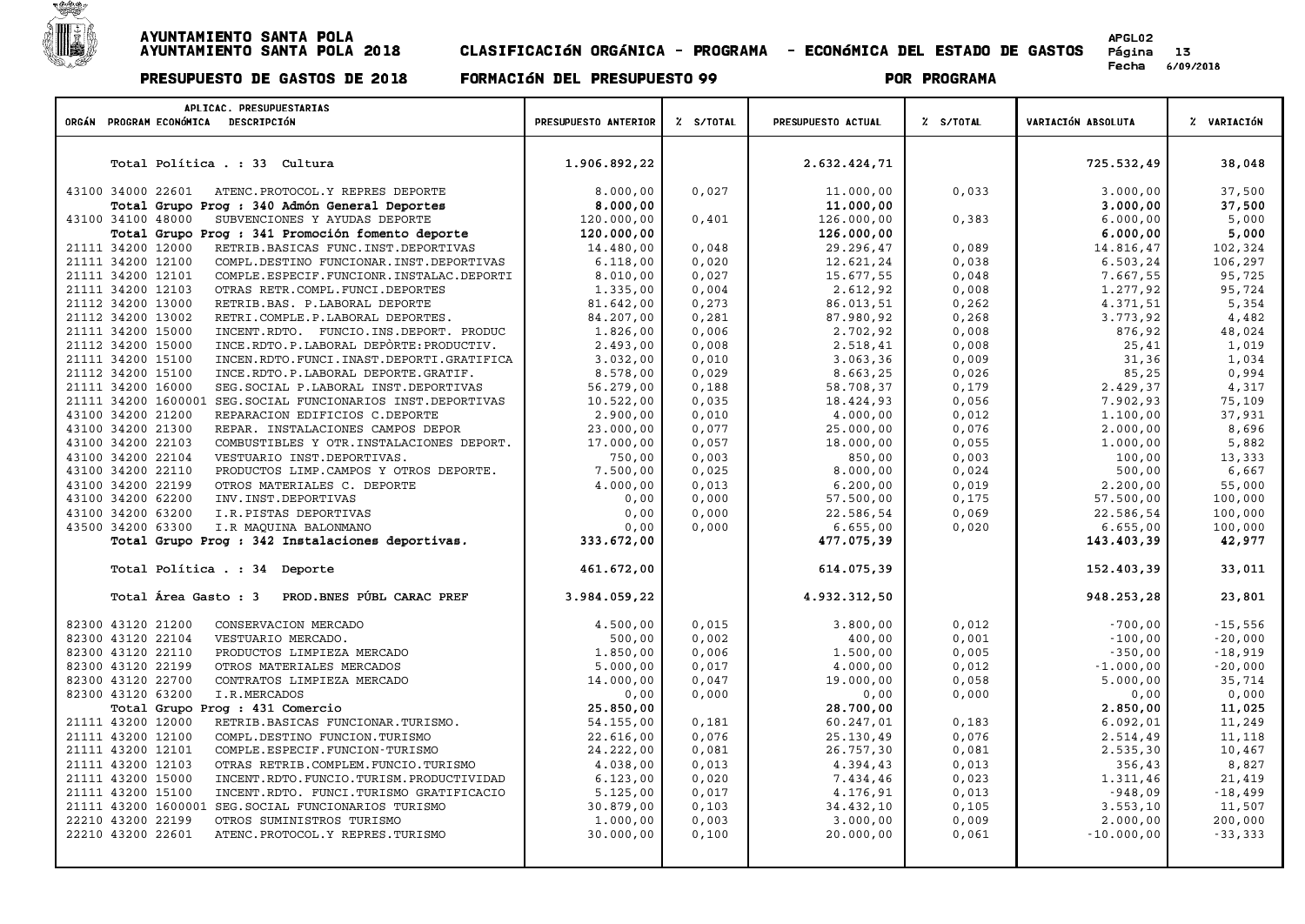

| APLICAC. PRESUPUESTARIAS<br>ORGÁN PROGRAM ECONÓMICA DESCRIPCIÓN                                              | PRESUPUESTO ANTERIOR   | % S/TOTAL      | PRESUPUESTO ACTUAL     | % S/TOTAL      | VARIACIÓN ABSOLUTA   | % VARIACIÓN      |
|--------------------------------------------------------------------------------------------------------------|------------------------|----------------|------------------------|----------------|----------------------|------------------|
|                                                                                                              |                        |                |                        |                |                      |                  |
|                                                                                                              |                        |                |                        |                |                      |                  |
| Total Política . : 33 Cultura                                                                                | 1.906.892,22           |                | 2.632.424,71           |                | 725.532,49           | 38,048           |
| 43100 34000 22601<br>ATENC. PROTOCOL. Y REPRES DEPORTE                                                       |                        | 0.027          |                        |                |                      |                  |
| Total Grupo Prog : 340 Admón General Deportes                                                                | 8,000,00<br>8.000,00   |                | 11.000,00<br>11.000,00 | 0,033          | 3.000,00<br>3.000,00 | 37,500<br>37,500 |
| SUBVENCIONES Y AYUDAS DEPORTE<br>43100 34100 48000                                                           | 120.000,00             | 0,401          | 126.000,00             | 0,383          | 6.000,00             | 5,000            |
| Total Grupo Prog : 341 Promoción fomento deporte                                                             | 120.000,00             |                | 126.000,00             |                | 6.000,00             | 5,000            |
| 21111 34200 12000<br>RETRIB.BASICAS FUNC.INST.DEPORTIVAS                                                     | 14.480,00              | 0,048          | 29.296,47              | 0,089          | 14.816,47            | 102,324          |
| 21111 34200 12100<br>COMPL.DESTINO FUNCIONAR.INST.DEPORTIVAS                                                 | 6.118,00               | 0,020          | 12.621,24              | 0,038          | 6.503,24             | 106,297          |
| 21111 34200 12101<br>COMPLE.ESPECIF.FUNCIONR.INSTALAC.DEPORTI                                                | 8.010,00               | 0,027          | 15.677,55              | 0,048          | 7.667,55             | 95,725           |
| 21111 34200 12103<br>OTRAS RETR.COMPL.FUNCI.DEPORTES                                                         | 1.335,00               | 0,004          | 2.612,92               | 0,008          | 1.277,92             | 95,724           |
| 21112 34200 13000<br>RETRIB.BAS. P.LABORAL DEPORTE                                                           | 81.642,00              | 0,273          | 86.013,51              | 0,262          | 4.371,51             | 5,354            |
| 21112 34200 13002<br>RETRI.COMPLE.P.LABORAL DEPORTES.                                                        | 84.207,00              | 0,281          | 87.980,92              | 0,268          | 3.773,92             | 4,482            |
| 21111 34200 15000<br>INCENT.RDTO. FUNCIO.INS.DEPORT. PRODUC                                                  | 1.826,00               | 0,006          | 2.702,92               | 0,008          | 876,92               | 48,024           |
| 21112 34200 15000<br>INCE.RDTO.P.LABORAL DEPÒRTE: PRODUCTIV.                                                 | 2.493,00               | 0,008          | 2.518,41               | 0,008          | 25,41                | 1,019            |
| 21111 34200 15100<br>INCEN.RDTO.FUNCI.INAST.DEPORTI.GRATIFICA<br>21112 34200 15100                           | 3.032,00<br>8.578,00   | 0,010<br>0,029 | 3.063,36               | 0,009<br>0,026 | 31,36<br>85,25       | 1,034<br>0,994   |
| INCE.RDTO.P.LABORAL DEPORTE.GRATIF.<br>21111 34200 16000<br>SEG. SOCIAL P. LABORAL INST. DEPORTIVAS          | 56.279,00              | 0,188          | 8.663,25<br>58.708,37  | 0,179          | 2.429,37             | 4,317            |
| 21111 34200 1600001 SEG. SOCIAL FUNCIONARIOS INST. DEPORTIVAS                                                | 10.522,00              | 0,035          | 18.424,93              | 0,056          | 7.902,93             | 75,109           |
| 43100 34200 21200<br>REPARACION EDIFICIOS C.DEPORTE                                                          | 2.900,00               | 0,010          | 4.000,00               | 0,012          | 1.100,00             | 37,931           |
| 43100 34200 21300<br>REPAR. INSTALACIONES CAMPOS DEPOR                                                       | 23.000,00              | 0,077          | 25.000,00              | 0,076          | 2.000,00             | 8,696            |
| 43100 34200 22103<br>COMBUSTIBLES Y OTR. INSTALACIONES DEPORT.                                               | 17.000,00              | 0,057          | 18.000,00              | 0,055          | 1.000,00             | 5,882            |
| 43100 34200 22104<br>VESTUARIO INST.DEPORTIVAS.                                                              | 750,00                 | 0,003          | 850,00                 | 0,003          | 100,00               | 13,333           |
| 43100 34200 22110<br>PRODUCTOS LIMP. CAMPOS Y OTROS DEPORTE.                                                 | 7.500,00               | 0,025          | 8.000,00               | 0,024          | 500,00               | 6,667            |
| 43100 34200 22199<br>OTROS MATERIALES C. DEPORTE                                                             | 4,000,00               | 0,013          | 6.200,00               | 0,019          | 2,200,00             | 55,000           |
| 43100 34200 62200<br>INV. INST. DEPORTIVAS                                                                   | 0,00                   | 0,000          | 57.500,00              | 0,175          | 57.500,00            | 100,000          |
| 43100 34200 63200<br>I.R.PISTAS DEPORTIVAS                                                                   | 0,00                   | 0,000          | 22.586,54              | 0,069          | 22.586,54            | 100,000          |
| 43500 34200 63300<br>I.R MAQUINA BALONMANO                                                                   | 0,00                   | 0,000          | 6.655,00               | 0,020          | 6.655,00             | 100,000          |
| Total Grupo Prog : 342 Instalaciones deportivas.                                                             | 333.672,00             |                | 477.075,39             |                | 143.403,39           | 42,977           |
| Total Política . : 34 Deporte                                                                                | 461.672,00             |                | 614.075,39             |                | 152.403,39           | 33,011           |
|                                                                                                              |                        |                |                        |                |                      |                  |
| PROD. BNES PÚBL CARAC PREF<br>Total Área Gasto: 3                                                            | 3.984.059,22           |                | 4.932.312,50           |                | 948.253,28           | 23,801           |
| 82300 43120 21200<br>CONSERVACION MERCADO                                                                    | 4.500,00               | 0.015          | 3.800,00               | 0,012          | $-700,00$            | $-15,556$        |
| 82300 43120 22104<br>VESTUARIO MERCADO.                                                                      | 500,00                 | 0,002          | 400,00                 | 0,001          | $-100,00$            | $-20,000$        |
| 82300 43120 22110<br>PRODUCTOS LIMPIEZA MERCADO                                                              | 1.850,00               | 0,006          | 1.500,00               | 0,005          | $-350,00$            | $-18,919$        |
| 82300 43120 22199<br>OTROS MATERIALES MERCADOS                                                               | 5.000,00               | 0,017          | 4.000,00               | 0,012          | $-1.000,00$          | $-20,000$        |
| 82300 43120 22700<br>CONTRATOS LIMPIEZA MERCADO                                                              | 14.000,00              | 0,047          | 19.000,00              | 0,058          | 5.000,00             | 35,714           |
| 82300 43120 63200<br>I.R.MERCADOS                                                                            | 0,00                   | 0,000          | 0,00                   | 0,000          | 0,00                 | 0,000            |
| Total Grupo Prog : 431 Comercio                                                                              | 25.850,00              |                | 28.700,00              |                | 2.850,00<br>6.092,01 | 11,025           |
| 21111 43200 12000<br>RETRIB.BASICAS FUNCIONAR.TURISMO.<br>21111 43200 12100<br>COMPL.DESTINO FUNCION.TURISMO | 54.155,00<br>22.616,00 | 0,181<br>0,076 | 60.247,01<br>25.130,49 | 0,183<br>0,076 |                      | 11,249<br>11,118 |
| 21111 43200 12101<br>COMPLE.ESPECIF.FUNCION-TURISMO                                                          | 24.222,00              | 0,081          | 26.757,30              | 0,081          | 2.514,49<br>2.535,30 | 10,467           |
| 21111 43200 12103<br>OTRAS RETRIB.COMPLEM.FUNCIO.TURISMO                                                     | 4.038,00               | 0,013          | 4.394,43               | 0,013          | 356,43               | 8,827            |
| 21111 43200 15000<br>INCENT.RDTO.FUNCIO.TURISM.PRODUCTIVIDAD                                                 | 6.123,00               | 0,020          | 7.434,46               | 0,023          | 1.311,46             | 21,419           |
| 21111 43200 15100<br>INCENT.RDTO. FUNCI.TURISMO GRATIFICACIO                                                 | 5.125,00               | 0,017          | 4.176,91               | 0,013          | $-948,09$            | $-18,499$        |
| 21111 43200 1600001<br>SEG. SOCIAL FUNCIONARIOS TURISMO                                                      | 30.879,00              | 0,103          | 34.432,10              | 0,105          | 3.553, 10            | 11,507           |
| 22210 43200 22199<br>OTROS SUMINISTROS TURISMO                                                               | 1.000,00               | 0,003          | 3.000,00               | 0,009          | 2.000,00             | 200,000          |
| 22210 43200 22601<br>ATENC. PROTOCOL. Y REPRES. TURISMO                                                      | 30.000,00              | 0,100          | 20.000,00              | 0,061          | $-10.000,00$         | $-33,333$        |
|                                                                                                              |                        |                |                        |                |                      |                  |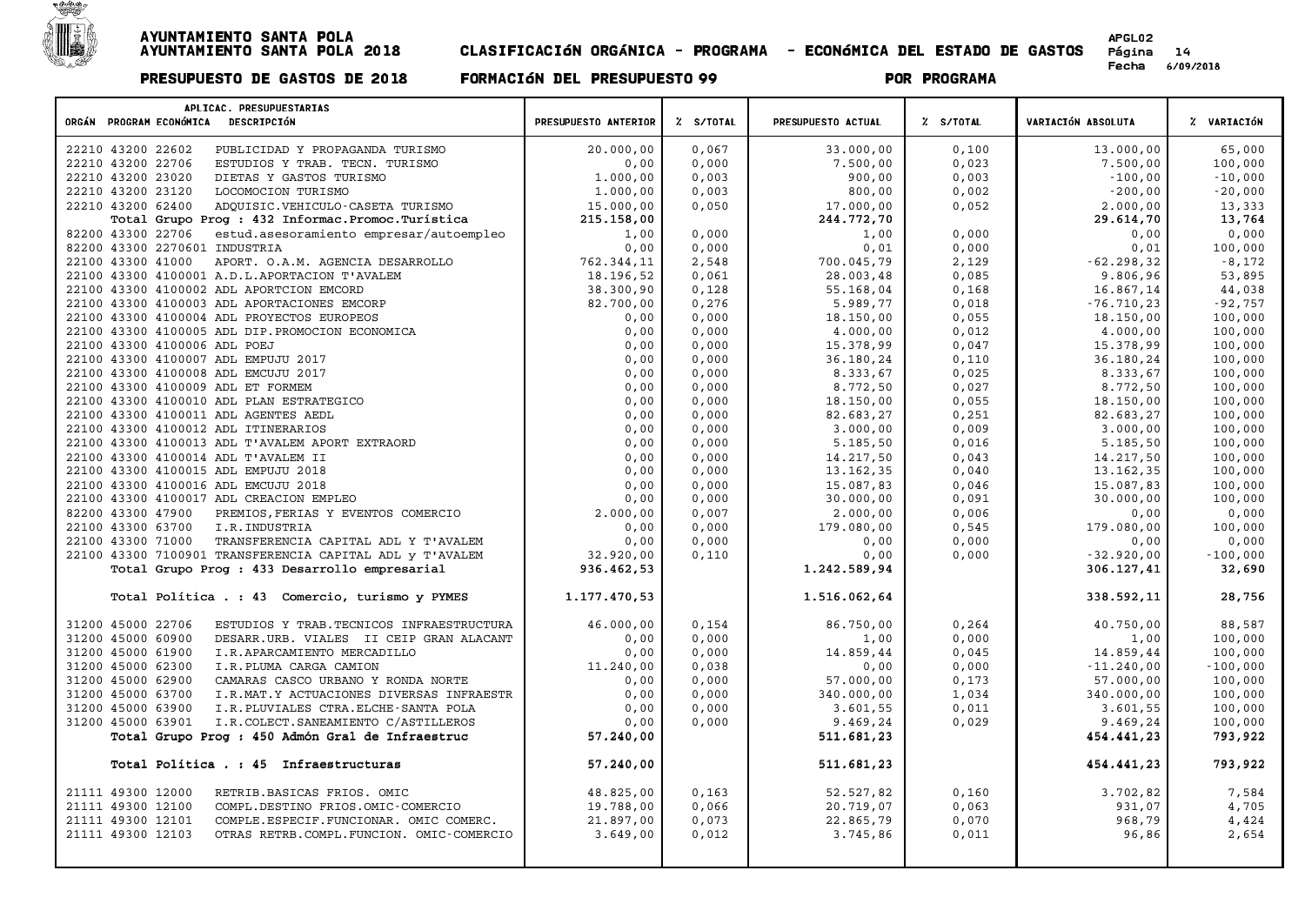

| APLICAC. PRESUPUESTARIAS                                                  |                      |                |                       |                |                        |                  |
|---------------------------------------------------------------------------|----------------------|----------------|-----------------------|----------------|------------------------|------------------|
| ORGÁN PROGRAM ECONÓMICA DESCRIPCIÓN                                       | PRESUPUESTO ANTERIOR | % S/TOTAL      | PRESUPUESTO ACTUAL    | % S/TOTAL      | VARIACIÓN ABSOLUTA     | % VARIACIÓN      |
| 22210 43200 22602<br>PUBLICIDAD Y PROPAGANDA TURISMO                      | 20.000,00            | 0,067          | 33.000,00             | 0,100          | 13.000,00              | 65,000           |
| 22210 43200 22706<br>ESTUDIOS Y TRAB. TECN. TURISMO                       | 0,00                 | 0,000          | 7.500,00              | 0,023          | 7.500,00               | 100,000          |
| 22210 43200 23020<br>DIETAS Y GASTOS TURISMO                              | 1,000,00             | 0,003          | 900,00                | 0,003          | $-100,00$              | $-10,000$        |
| 22210 43200 23120<br>LOCOMOCION TURISMO                                   | 1,000,00             | 0,003          | 800,00                | 0,002          | $-200,00$              | $-20,000$        |
| 22210 43200 62400<br>ADOUISIC.VEHICULO-CASETA TURISMO                     | 15.000,00            | 0,050          | 17.000,00             | 0,052          | 2.000,00               | 13,333           |
| Total Grupo Prog : 432 Informac. Promoc. Turística                        | 215.158,00           |                | 244.772,70            |                | 29.614,70              | 13,764           |
| 82200 43300 22706<br>estud.asesoramiento empresar/autoempleo              | 1,00                 | 0,000          | 1,00                  | 0,000          | 0,00                   | 0,000            |
| 82200 43300 2270601 INDUSTRIA                                             | 0,00                 | 0,000          | 0,01                  | 0,000          | 0,01                   | 100,000          |
| 22100 43300 41000<br>APORT. O.A.M. AGENCIA DESARROLLO                     | 762.344,11           | 2,548          | 700.045,79            | 2,129          | $-62.298, 32$          | $-8,172$         |
| 22100 43300 4100001 A.D.L.APORTACION T'AVALEM                             | 18.196,52            | 0,061          | 28.003,48             | 0,085          | 9.806,96               | 53,895           |
| 22100 43300 4100002 ADL APORTCION EMCORD                                  | 38.300,90            | 0,128          | 55.168,04             | 0,168          | 16.867,14              | 44,038           |
| 22100 43300 4100003 ADL APORTACIONES EMCORP                               | 82.700,00            | 0,276          | 5.989,77              | 0,018          | $-76.710, 23$          | $-92,757$        |
| 22100 43300 4100004 ADL PROYECTOS EUROPEOS                                | 0,00                 | 0.000          | 18.150,00             | 0,055          | 18.150,00              | 100,000          |
| 22100 43300 4100005 ADL DIP. PROMOCION ECONOMICA                          | 0,00                 | 0,000          | 4.000,00              | 0,012          | 4.000,00               | 100,000          |
| 22100 43300 4100006 ADL POEJ                                              | 0,00                 | 0,000          | 15.378,99             | 0,047          | 15.378,99              | 100,000          |
| 22100 43300 4100007 ADL EMPUJU 2017                                       | 0,00                 | 0,000          | 36.180,24             | 0,110          | 36.180,24              | 100,000          |
| 22100 43300 4100008 ADL EMCUJU 2017                                       | 0,00                 | 0,000          | 8.333,67              | 0,025          | 8.333,67               | 100,000          |
| 22100 43300 4100009 ADL ET FORMEM                                         | 0,00                 | 0,000          | 8.772,50              | 0,027          | 8.772,50               | 100,000          |
| 22100 43300 4100010 ADL PLAN ESTRATEGICO                                  | 0,00                 | 0,000          | 18.150,00             | 0,055          | 18.150,00              | 100,000          |
| 22100 43300 4100011 ADL AGENTES AEDL                                      | 0,00                 | 0,000          | 82.683,27             | 0,251          | 82.683,27              | 100,000          |
| 22100 43300 4100012 ADL ITINERARIOS                                       | 0,00                 | 0,000          | 3.000,00              | 0,009          | 3.000,00               | 100,000          |
| 22100 43300 4100013 ADL T'AVALEM APORT EXTRAORD                           | 0,00                 | 0,000          | 5.185,50              | 0,016          | 5.185,50               | 100,000          |
| 22100 43300 4100014 ADL T'AVALEM II                                       | 0,00<br>0,00         | 0,000          | 14.217,50             | 0,043          | 14.217,50              | 100,000          |
| 22100 43300 4100015 ADL EMPUJU 2018                                       |                      | 0,000          | 13.162,35             | 0,040          | 13.162,35              | 100,000          |
| 22100 43300 4100016 ADL EMCUJU 2018                                       | 0,00                 | 0,000          | 15.087,83             | 0,046          | 15.087,83<br>30.000,00 | 100,000          |
| 22100 43300 4100017 ADL CREACION EMPLEO<br>82200 43300 47900              | 0,00                 | 0,000<br>0,007 | 30.000,00<br>2.000,00 | 0,091<br>0,006 |                        | 100,000          |
| PREMIOS, FERIAS Y EVENTOS COMERCIO<br>22100 43300 63700<br>I.R. INDUSTRIA | 2.000,00<br>0,00     | 0,000          | 179.080,00            | 0,545          | 0,00                   | 0,000<br>100,000 |
| 22100 43300 71000<br>TRANSFERENCIA CAPITAL ADL Y T'AVALEM                 | 0,00                 | 0,000          | 0,00                  | 0,000          | 179.080,00<br>0,00     | 0,000            |
| 22100 43300 7100901 TRANSFERENCIA CAPITAL ADL Y T'AVALEM                  | 32.920,00            | 0,110          | 0,00                  | 0,000          | $-32.920,00$           | $-100,000$       |
| Total Grupo Prog : 433 Desarrollo empresarial                             | 936.462,53           |                | 1.242.589,94          |                | 306.127,41             | 32,690           |
|                                                                           |                      |                |                       |                |                        |                  |
| Total Política . : 43 Comercio, turismo y PYMES                           | 1.177.470,53         |                | 1.516.062,64          |                | 338.592,11             | 28,756           |
| 31200 45000 22706<br>ESTUDIOS Y TRAB. TECNICOS INFRAESTRUCTURA            | 46.000,00            | 0,154          | 86.750,00             | 0, 264         | 40.750,00              | 88,587           |
| 31200 45000 60900<br>DESARR.URB. VIALES II CEIP GRAN ALACANT              | 0,00                 | 0,000          | 1,00                  | 0,000          | 1,00                   | 100,000          |
| 31200 45000 61900<br>I.R.APARCAMIENTO MERCADILLO                          | 0,00                 | 0,000          | 14.859,44             | 0,045          | 14.859,44              | 100,000          |
| 31200 45000 62300<br>I.R.PLUMA CARGA CAMION                               | 11.240,00            | 0,038          | 0,00                  | 0,000          | $-11.240,00$           | $-100,000$       |
| 31200 45000 62900<br>CAMARAS CASCO URBANO Y RONDA NORTE                   | 0,00                 | 0,000          | 57.000,00             | 0,173          | 57.000,00              | 100,000          |
| 31200 45000 63700<br>I.R.MAT.Y ACTUACIONES DIVERSAS INFRAESTR             | 0,00                 | 0,000          | 340.000,00            | 1,034          | 340.000,00             | 100,000          |
| 31200 45000 63900<br>I.R. PLUVIALES CTRA. ELCHE-SANTA POLA                | 0,00                 | 0,000          | 3.601,55              | 0,011          | 3.601.55               | 100,000          |
| 31200 45000 63901<br>I.R. COLECT. SANEAMIENTO C/ASTILLEROS                | 0,00                 | 0,000          | 9.469,24              | 0,029          | 9.469,24               | 100,000          |
| Total Grupo Prog : 450 Admón Gral de Infraestruc                          | 57.240,00            |                | 511.681,23            |                | 454.441,23             | 793,922          |
|                                                                           |                      |                |                       |                |                        |                  |
| Total Política . : 45 Infraestructuras                                    | 57.240,00            |                | 511.681,23            |                | 454.441,23             | 793,922          |
| 21111 49300 12000<br>RETRIB.BASICAS FRIOS. OMIC                           | 48.825,00            | 0,163          | 52.527,82             | 0,160          | 3.702,82               | 7,584            |
| 21111 49300 12100<br>COMPL.DESTINO FRIOS.OMIC-COMERCIO                    | 19.788,00            | 0,066          | 20.719,07             | 0,063          | 931,07                 | 4,705            |
| 21111 49300 12101<br>COMPLE.ESPECIF.FUNCIONAR. OMIC COMERC.               | 21.897,00            | 0,073          | 22.865,79             | 0,070          | 968,79                 | 4,424            |
| 21111 49300 12103<br>OTRAS RETRB.COMPL.FUNCION. OMIC-COMERCIO             | 3.649,00             | 0,012          | 3.745,86              | 0,011          | 96,86                  | 2,654            |
|                                                                           |                      |                |                       |                |                        |                  |
|                                                                           |                      |                |                       |                |                        |                  |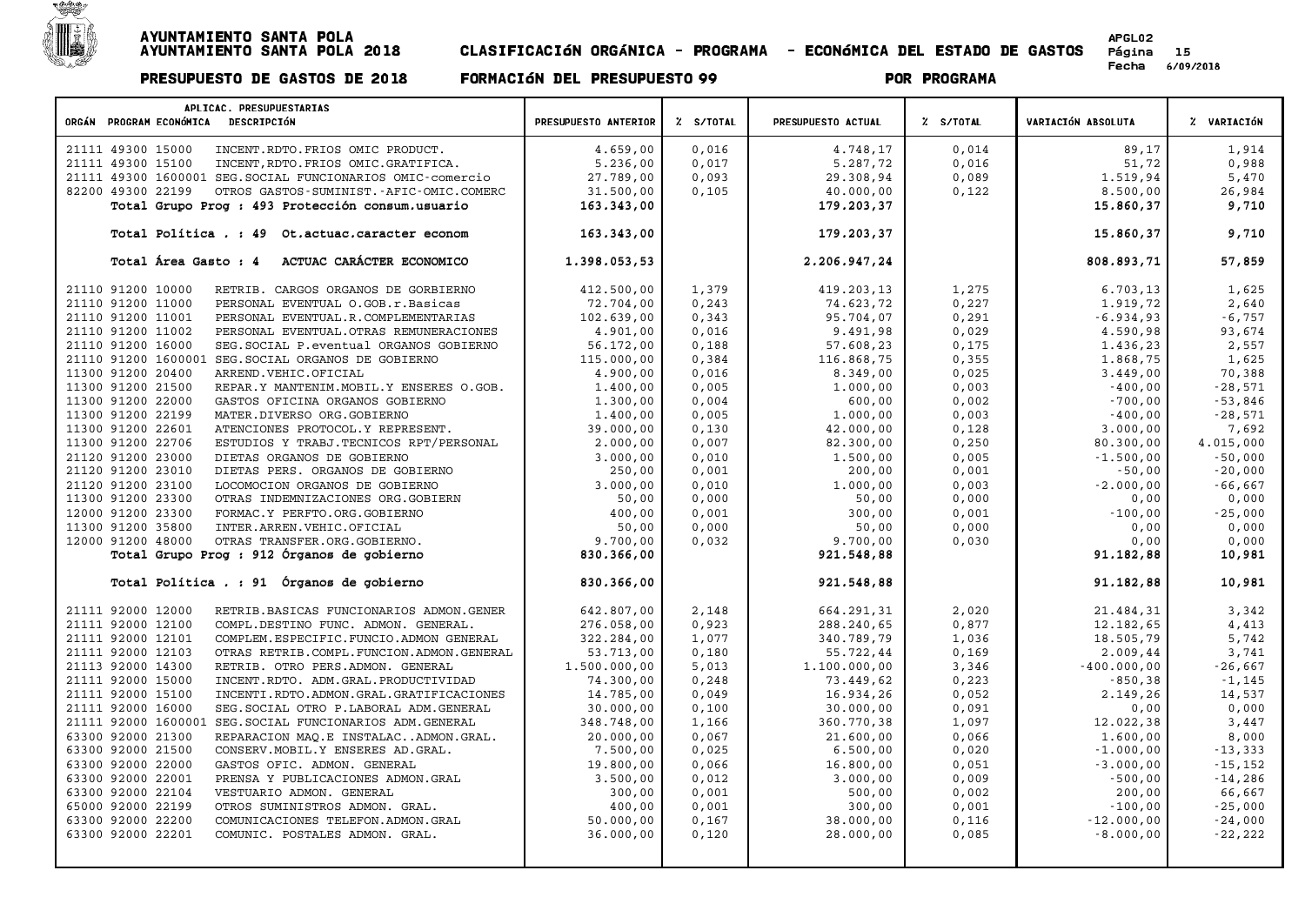

| APLICAC. PRESUPUESTARIAS<br>ORGÁN PROGRAM ECONÓMICA DESCRIPCIÓN                     | PRESUPUESTO ANTERIOR  | % S/TOTAL      | PRESUPUESTO ACTUAL    | % S/TOTAL      | VARIACIÓN ABSOLUTA       | % VARIACIÓN             |
|-------------------------------------------------------------------------------------|-----------------------|----------------|-----------------------|----------------|--------------------------|-------------------------|
| 21111 49300 15000<br>INCENT.RDTO.FRIOS OMIC PRODUCT.                                | 4.659,00              | 0,016          | 4.748,17              | 0,014          | 89,17                    | 1,914                   |
| 21111 49300 15100<br>INCENT, RDTO. FRIOS OMIC. GRATIFICA.                           | 5.236,00              | 0,017          | 5.287,72              | 0,016          | 51,72                    | 0,988                   |
| 21111 49300 1600001 SEG. SOCIAL FUNCIONARIOS OMIC-comercio                          | 27.789,00             | 0,093          | 29.308,94             | 0,089          | 1.519,94                 | 5,470                   |
| 82200 49300 22199<br>OTROS GASTOS-SUMINIST.-AFIC-OMIC.COMERC                        | 31.500,00             | 0,105          | 40.000,00             | 0,122          | 8.500,00                 | 26,984                  |
| Total Grupo Prog : 493 Protección consum.usuario                                    | 163.343,00            |                | 179.203,37            |                | 15.860,37                | 9,710                   |
|                                                                                     |                       |                |                       |                |                          |                         |
| Total Política . : 49 Ot.actuac.caracter econom                                     | 163.343,00            |                | 179.203,37            |                | 15.860,37                | 9,710                   |
| Total Área Gasto : 4<br>ACTUAC CARÁCTER ECONOMICO                                   | 1.398.053,53          |                | 2.206.947,24          |                | 808.893,71               | 57,859                  |
| 21110 91200 10000<br>RETRIB. CARGOS ORGANOS DE GORBIERNO                            | 412.500,00            | 1,379          | 419.203,13            | 1,275          | 6.703, 13                | 1,625                   |
| 21110 91200 11000<br>PERSONAL EVENTUAL O.GOB.r.Basicas                              | 72.704,00             | 0, 243         | 74.623,72             | 0,227          | 1.919,72                 | 2,640                   |
| 21110 91200 11001<br>PERSONAL EVENTUAL.R.COMPLEMENTARIAS                            | 102.639,00            | 0,343          | 95.704,07             | 0, 291         | $-6.934,93$              | $-6,757$                |
| 21110 91200 11002<br>PERSONAL EVENTUAL. OTRAS REMUNERACIONES                        | 4.901,00              | 0,016          | 9.491,98              | 0,029          | 4.590,98                 | 93,674                  |
| 21110 91200 16000<br>SEG. SOCIAL P. eventual ORGANOS GOBIERNO                       | 56.172,00             | 0,188          | 57.608,23             | 0,175          | 1.436,23                 | 2,557                   |
| 21110 91200 1600001 SEG. SOCIAL ORGANOS DE GOBIERNO                                 | 115.000,00            | 0,384          | 116.868,75            | 0,355          | 1.868,75                 | 1,625                   |
| 11300 91200 20400<br>ARREND. VEHIC. OFICIAL                                         | 4.900,00              | 0,016          | 8.349,00              | 0,025          | 3.449,00                 | 70,388                  |
| 11300 91200 21500<br>REPAR.Y MANTENIM. MOBIL.Y ENSERES O.GOB.                       | 1,400,00              | 0,005          | 1.000,00              | 0,003          | $-400,00$                | $-28,571$               |
| 11300 91200 22000<br>GASTOS OFICINA ORGANOS GOBIERNO                                | 1.300,00              | 0,004          | 600,00                | 0,002          | $-700,00$                | $-53,846$               |
| 11300 91200 22199<br>MATER.DIVERSO ORG.GOBIERNO                                     | 1.400,00              | 0,005          | 1.000,00              | 0,003          | $-400,00$                | $-28,571$               |
| 11300 91200 22601<br>ATENCIONES PROTOCOL.Y REPRESENT.                               | 39.000,00             | 0,130          | 42.000,00             | 0,128          | 3.000,00                 | 7,692                   |
| 11300 91200 22706<br>ESTUDIOS Y TRABJ. TECNICOS RPT/PERSONAL<br>21120 91200 23000   | 2.000,00              | 0,007<br>0,010 | 82.300,00             | 0,250          | 80.300,00<br>$-1.500,00$ | 4.015,000<br>$-50,000$  |
| DIETAS ORGANOS DE GOBIERNO<br>21120 91200 23010<br>DIETAS PERS. ORGANOS DE GOBIERNO | 3.000,00<br>250,00    | 0,001          | 1.500,00<br>200,00    | 0,005<br>0,001 | $-50,00$                 | $-20,000$               |
| 21120 91200 23100<br>LOCOMOCION ORGANOS DE GOBIERNO                                 | 3.000,00              | 0,010          | 1.000,00              | 0,003          | $-2.000,00$              | $-66,667$               |
| 11300 91200 23300<br>OTRAS INDEMNIZACIONES ORG.GOBIERN                              | 50,00                 | 0,000          | 50,00                 | 0,000          | 0,00                     | 0,000                   |
| 12000 91200 23300<br>FORMAC.Y PERFTO.ORG.GOBIERNO                                   | 400,00                | 0,001          | 300,00                | 0,001          | $-100,00$                | $-25,000$               |
| 11300 91200 35800<br>INTER.ARREN.VEHIC.OFICIAL                                      | 50,00                 | 0,000          | 50,00                 | 0,000          | 0,00                     | 0,000                   |
| 12000 91200 48000<br>OTRAS TRANSFER.ORG.GOBIERNO.                                   | 9.700,00              | 0,032          | 9.700,00              | 0,030          | 0,00                     | 0,000                   |
| Total Grupo Prog : 912 Órganos de gobierno                                          | 830.366,00            |                | 921.548,88            |                | 91.182,88                | 10,981                  |
| Total Política . : 91 Órganos de gobierno                                           | 830.366,00            |                | 921.548,88            |                | 91.182,88                | 10,981                  |
| 21111 92000 12000<br>RETRIB.BASICAS FUNCIONARIOS ADMON.GENER                        | 642.807,00            | 2,148          | 664.291,31            | 2,020          | 21.484,31                | 3,342                   |
| 21111 92000 12100<br>COMPL.DESTINO FUNC. ADMON. GENERAL.                            | 276.058,00            | 0,923          | 288.240,65            | 0,877          | 12.182,65                | 4,413                   |
| 21111 92000 12101<br>COMPLEM. ESPECIFIC. FUNCIO. ADMON GENERAL                      | 322.284,00            | 1,077          | 340.789,79            | 1,036          | 18.505,79                | 5,742                   |
| 21111 92000 12103<br>OTRAS RETRIB.COMPL.FUNCION.ADMON.GENERAL                       | 53.713,00             | 0,180          | 55.722,44             | 0,169          | 2.009, 44                | 3,741                   |
| 21113 92000 14300<br>RETRIB. OTRO PERS.ADMON. GENERAL                               | 1.500.000,00          | 5,013          | 1.100.000,00          | 3,346          | $-400.000,00$            | $-26,667$               |
| 21111 92000 15000<br>INCENT.RDTO. ADM.GRAL.PRODUCTIVIDAD                            | 74.300,00             | 0, 248         | 73.449,62             | 0,223          | $-850, 38$               | $-1, 145$               |
| 21111 92000 15100<br>INCENTI.RDTO.ADMON.GRAL.GRATIFICACIONES                        | 14.785,00             | 0,049          | 16.934,26             | 0,052          | 2.149,26                 | 14,537                  |
| 21111 92000 16000<br>SEG. SOCIAL OTRO P. LABORAL ADM. GENERAL                       | 30.000,00             | 0,100          | 30.000,00             | 0,091          | 0,00                     | 0,000                   |
| 21111 92000 1600001 SEG. SOCIAL FUNCIONARIOS ADM. GENERAL                           | 348.748,00            | 1,166          | 360.770,38            | 1,097          | 12.022,38                | 3,447                   |
| 63300 92000 21300<br>REPARACION MAQ.E INSTALACADMON.GRAL.                           | 20.000,00             | 0,067          | 21.600,00             | 0,066          | 1,600,00                 | 8,000                   |
| 63300 92000 21500<br>CONSERV. MOBIL. Y ENSERES AD. GRAL.                            | 7.500,00              | 0,025          | 6.500,00              | 0,020          | $-1.000,00$              | $-13,333$               |
| 63300 92000 22000<br>GASTOS OFIC. ADMON. GENERAL<br>63300 92000 22001               | 19.800,00<br>3.500,00 | 0,066<br>0,012 | 16.800,00<br>3.000,00 | 0,051<br>0,009 | $-3.000,00$<br>$-500,00$ | $-15, 152$<br>$-14,286$ |
| PRENSA Y PUBLICACIONES ADMON.GRAL<br>63300 92000 22104                              | 300,00                | 0,001          | 500,00                | 0,002          | 200,00                   | 66,667                  |
| VESTUARIO ADMON. GENERAL<br>65000 92000 22199<br>OTROS SUMINISTROS ADMON. GRAL.     | 400,00                | 0,001          | 300,00                | 0,001          | $-100,00$                | $-25,000$               |
| 63300 92000 22200<br>COMUNICACIONES TELEFON.ADMON.GRAL                              | 50.000,00             | 0,167          | 38.000,00             | 0,116          | $-12.000,00$             | $-24,000$               |
| 63300 92000 22201<br>COMUNIC. POSTALES ADMON. GRAL.                                 | 36.000,00             | 0,120          | 28.000,00             | 0,085          | $-8.000,00$              | $-22,222$               |
|                                                                                     |                       |                |                       |                |                          |                         |
|                                                                                     |                       |                |                       |                |                          |                         |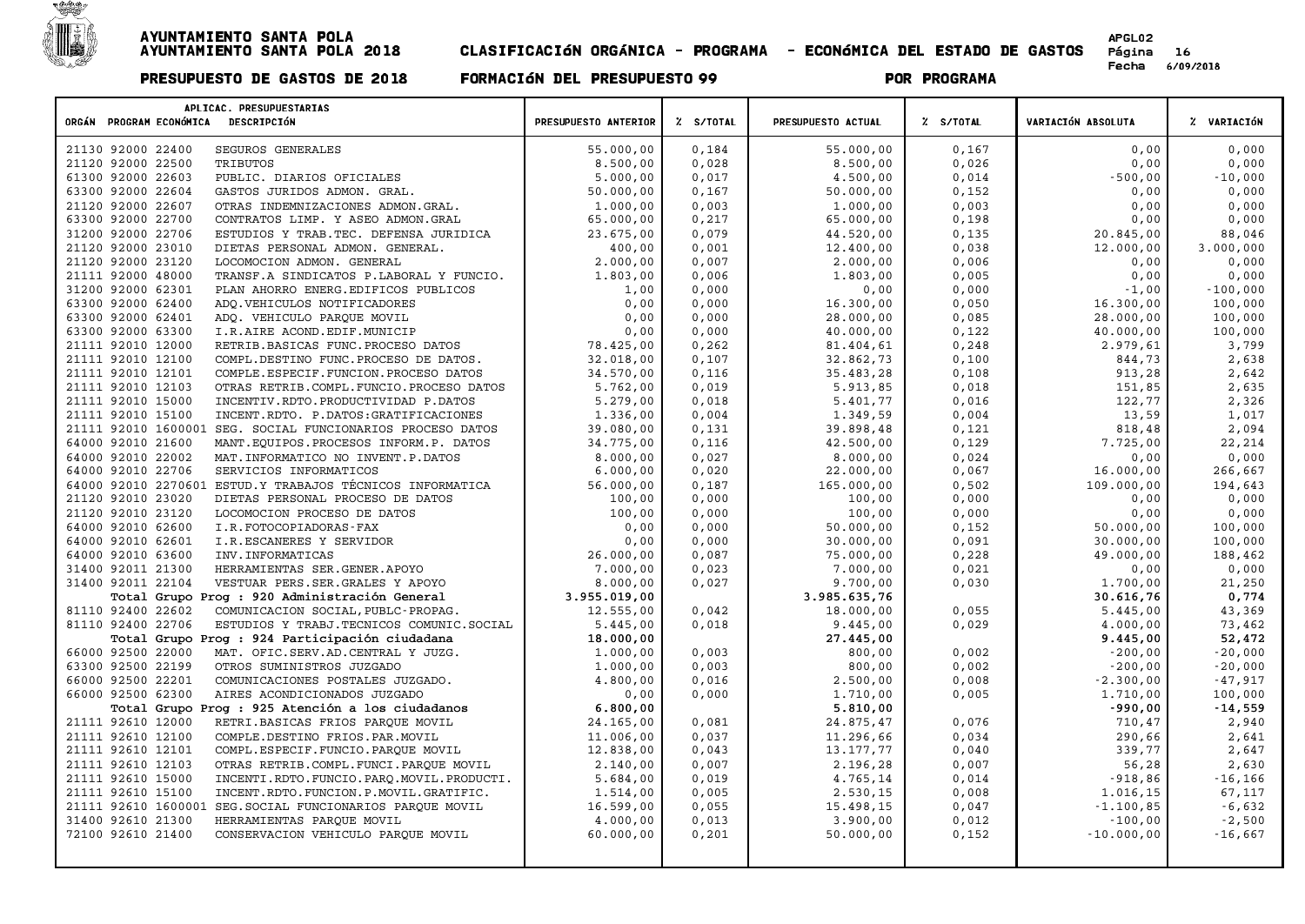

| APLICAC. PRESUPUESTARIAS<br>ORGÁN PROGRAM ECONÓMICA DESCRIPCIÓN | PRESUPUESTO ANTERIOR | Z S/TOTAL | PRESUPUESTO ACTUAL | % S/TOTAL | VARIACIÓN ABSOLUTA | % VARIACIÓN |
|-----------------------------------------------------------------|----------------------|-----------|--------------------|-----------|--------------------|-------------|
| SEGUROS GENERALES<br>21130 92000 22400                          | 55.000,00            | 0,184     | 55.000,00          | 0,167     | 0,00               | 0,000       |
| 21120 92000 22500<br>TRIBUTOS                                   | 8.500,00             | 0,028     | 8.500,00           | 0,026     | 0,00               | 0,000       |
| 61300 92000 22603<br>PUBLIC. DIARIOS OFICIALES                  | 5.000,00             | 0,017     | 4.500,00           | 0,014     | $-500,00$          | $-10,000$   |
| 63300 92000 22604<br>GASTOS JURIDOS ADMON. GRAL.                | 50.000,00            | 0,167     | 50.000,00          | 0,152     | 0,00               | 0,000       |
| 21120 92000 22607<br>OTRAS INDEMNIZACIONES ADMON.GRAL.          | 1,000,00             | 0,003     | 1,000,00           | 0,003     | 0,00               | 0,000       |
| 63300 92000 22700<br>CONTRATOS LIMP. Y ASEO ADMON.GRAL          | 65.000,00            | 0,217     | 65.000,00          | 0,198     | 0,00               | 0,000       |
| 31200 92000 22706<br>ESTUDIOS Y TRAB. TEC. DEFENSA JURIDICA     | 23.675,00            | 0,079     | 44.520,00          | 0,135     | 20.845,00          | 88,046      |
| 21120 92000 23010<br>DIETAS PERSONAL ADMON. GENERAL.            | 400,00               | 0,001     | 12,400,00          | 0,038     | 12.000,00          | 3.000,000   |
| 21120 92000 23120<br>LOCOMOCION ADMON. GENERAL                  | 2.000,00             | 0,007     | 2.000,00           | 0,006     | 0,00               | 0,000       |
| 21111 92000 48000<br>TRANSF.A SINDICATOS P.LABORAL Y FUNCIO.    | 1.803,00             | 0,006     | 1.803,00           | 0,005     | 0,00               | 0,000       |
| 31200 92000 62301<br>PLAN AHORRO ENERG. EDIFICOS PUBLICOS       | 1,00                 | 0,000     | 0,00               | 0,000     | $-1,00$            | $-100,000$  |
| 63300 92000 62400<br>ADQ.VEHICULOS NOTIFICADORES                | 0,00                 | 0,000     | 16.300,00          | 0,050     | 16.300,00          | 100,000     |
| 63300 92000 62401<br>ADO. VEHICULO PAROUE MOVIL                 | 0,00                 | 0,000     | 28.000,00          | 0,085     | 28.000,00          | 100,000     |
| 63300 92000 63300<br>I.R.AIRE ACOND.EDIF.MUNICIP                | 0,00                 | 0,000     | 40.000,00          | 0,122     | 40.000,00          | 100,000     |
| 21111 92010 12000<br>RETRIB.BASICAS FUNC.PROCESO DATOS          | 78.425,00            | 0,262     | 81,404,61          | 0, 248    | 2.979,61           | 3,799       |
| 21111 92010 12100<br>COMPL.DESTINO FUNC.PROCESO DE DATOS.       | 32.018,00            | 0,107     | 32.862,73          | 0,100     | 844,73             | 2,638       |
| 21111 92010 12101<br>COMPLE.ESPECIF.FUNCION.PROCESO DATOS       | 34.570,00            | 0,116     | 35.483,28          | 0,108     | 913,28             | 2,642       |
| 21111 92010 12103<br>OTRAS RETRIB.COMPL.FUNCIO.PROCESO DATOS    | 5.762,00             | 0,019     | 5.913,85           | 0,018     | 151,85             | 2,635       |
| 21111 92010 15000<br>INCENTIV.RDTO.PRODUCTIVIDAD P.DATOS        | 5.279,00             | 0,018     | 5.401,77           | 0,016     | 122,77             | 2,326       |
| 21111 92010 15100<br>INCENT.RDTO. P.DATOS:GRATIFICACIONES       | 1.336,00             | 0,004     | 1.349,59           | 0,004     | 13,59              | 1,017       |
| 21111 92010 1600001<br>SEG. SOCIAL FUNCIONARIOS PROCESO DATOS   | 39.080,00            | 0,131     | 39.898,48          | 0,121     | 818,48             | 2,094       |
| 64000 92010 21600<br>MANT. EQUIPOS. PROCESOS INFORM. P. DATOS   | 34.775,00            | 0,116     | 42.500,00          | 0,129     | 7.725,00           | 22,214      |
| 64000 92010 22002<br>MAT. INFORMATICO NO INVENT. P. DATOS       | 8,000,00             | 0,027     | 8.000,00           | 0,024     | 0,00               | 0,000       |
| 64000 92010 22706<br>SERVICIOS INFORMATICOS                     | 6.000,00             | 0,020     | 22.000,00          | 0,067     | 16.000,00          | 266,667     |
| 64000 92010 2270601 ESTUD.Y TRABAJOS TÉCNICOS INFORMATICA       | 56.000,00            | 0,187     | 165.000,00         | 0,502     | 109.000,00         | 194,643     |
| 21120 92010 23020<br>DIETAS PERSONAL PROCESO DE DATOS           | 100,00               | 0,000     | 100,00             | 0,000     | 0,00               | 0,000       |
| 21120 92010 23120<br>LOCOMOCION PROCESO DE DATOS                | 100,00               | 0.000     | 100,00             | 0,000     | 0,00               | 0,000       |
| 64000 92010 62600<br>I.R.FOTOCOPIADORAS-FAX                     | 0,00                 | 0,000     | 50.000,00          | 0,152     | 50.000,00          | 100,000     |
| 64000 92010 62601<br>I.R.ESCANERES Y SERVIDOR                   | 0.00                 | 0.000     | 30.000,00          | 0.091     | 30.000,00          | 100,000     |
| 64000 92010 63600<br>INV. INFORMATICAS                          | 26.000,00            | 0,087     | 75.000,00          | 0,228     | 49.000,00          | 188,462     |
| 31400 92011 21300<br>HERRAMIENTAS SER.GENER.APOYO               | 7.000,00             | 0,023     | 7.000,00           | 0,021     | 0,00               | 0,000       |
| 31400 92011 22104<br>VESTUAR PERS.SER.GRALES Y APOYO            | 8.000,00             | 0,027     | 9.700,00           | 0,030     | 1.700,00           | 21,250      |
| Total Grupo Prog : 920 Administración General                   | 3.955.019,00         |           | 3.985.635,76       |           | 30.616,76          | 0,774       |
| 81110 92400 22602<br>COMUNICACION SOCIAL, PUBLC-PROPAG.         | 12.555,00            | 0,042     | 18.000,00          | 0,055     | 5.445,00           | 43,369      |
| 81110 92400 22706<br>ESTUDIOS Y TRABJ. TECNICOS COMUNIC. SOCIAL | 5.445,00             | 0,018     | 9.445,00           | 0,029     | 4.000,00           | 73,462      |
| Total Grupo Prog : 924 Participación ciudadana                  | 18.000,00            |           | 27.445,00          |           | 9.445,00           | 52,472      |
| 66000 92500 22000<br>MAT. OFIC.SERV.AD.CENTRAL Y JUZG.          | 1,000,00             | 0,003     | 800,00             | 0,002     | $-200,00$          | $-20,000$   |
| 63300 92500 22199<br>OTROS SUMINISTROS JUZGADO                  | 1,000,00             | 0,003     | 800,00             | 0,002     | $-200,00$          | $-20,000$   |
| 66000 92500 22201<br>COMUNICACIONES POSTALES JUZGADO.           | 4.800,00             | 0,016     | 2.500,00           | 0,008     | $-2.300,00$        | $-47,917$   |
| 66000 92500 62300<br>AIRES ACONDICIONADOS JUZGADO               | 0,00                 | 0,000     | 1.710,00           | 0,005     | 1.710,00           | 100,000     |
| Total Grupo Prog : 925 Atención a los ciudadanos                | 6.800,00             |           | 5.810,00           |           | $-990,00$          | $-14,559$   |
| 21111 92610 12000<br>RETRI.BASICAS FRIOS PARQUE MOVIL           | 24.165,00            | 0,081     | 24.875,47          | 0,076     | 710,47             | 2,940       |
| 21111 92610 12100<br>COMPLE.DESTINO FRIOS.PAR.MOVIL             | 11.006,00            | 0,037     | 11.296,66          | 0,034     | 290,66             | 2,641       |
| 21111 92610 12101<br>COMPL.ESPECIF.FUNCIO.PARQUE MOVIL          | 12.838,00            | 0,043     | 13.177,77          | 0,040     | 339,77             | 2,647       |
| 21111 92610 12103<br>OTRAS RETRIB.COMPL.FUNCI.PAROUE MOVIL      | 2.140,00             | 0,007     | 2.196,28           | 0,007     | 56,28              | 2,630       |
| 21111 92610 15000<br>INCENTI.RDTO.FUNCIO.PARQ.MOVIL.PRODUCTI.   | 5.684,00             | 0,019     | 4.765,14           | 0,014     | $-918,86$          | $-16, 166$  |
| 21111 92610 15100<br>INCENT.RDTO.FUNCION.P.MOVIL.GRATIFIC.      | 1,514,00             | 0,005     | 2.530,15           | 0,008     | 1.016,15           | 67,117      |
| 21111 92610 1600001 SEG. SOCIAL FUNCIONARIOS PARQUE MOVIL       | 16.599,00            | 0,055     | 15.498,15          | 0,047     | $-1.100, 85$       | $-6,632$    |
| 31400 92610 21300<br>HERRAMIENTAS PARQUE MOVIL                  | 4.000,00             | 0,013     | 3.900,00           | 0,012     | $-100,00$          | $-2,500$    |
| 72100 92610 21400<br>CONSERVACION VEHICULO PARQUE MOVIL         | 60.000,00            | 0,201     | 50.000,00          | 0,152     | $-10.000,00$       | $-16,667$   |
|                                                                 |                      |           |                    |           |                    |             |
|                                                                 |                      |           |                    |           |                    |             |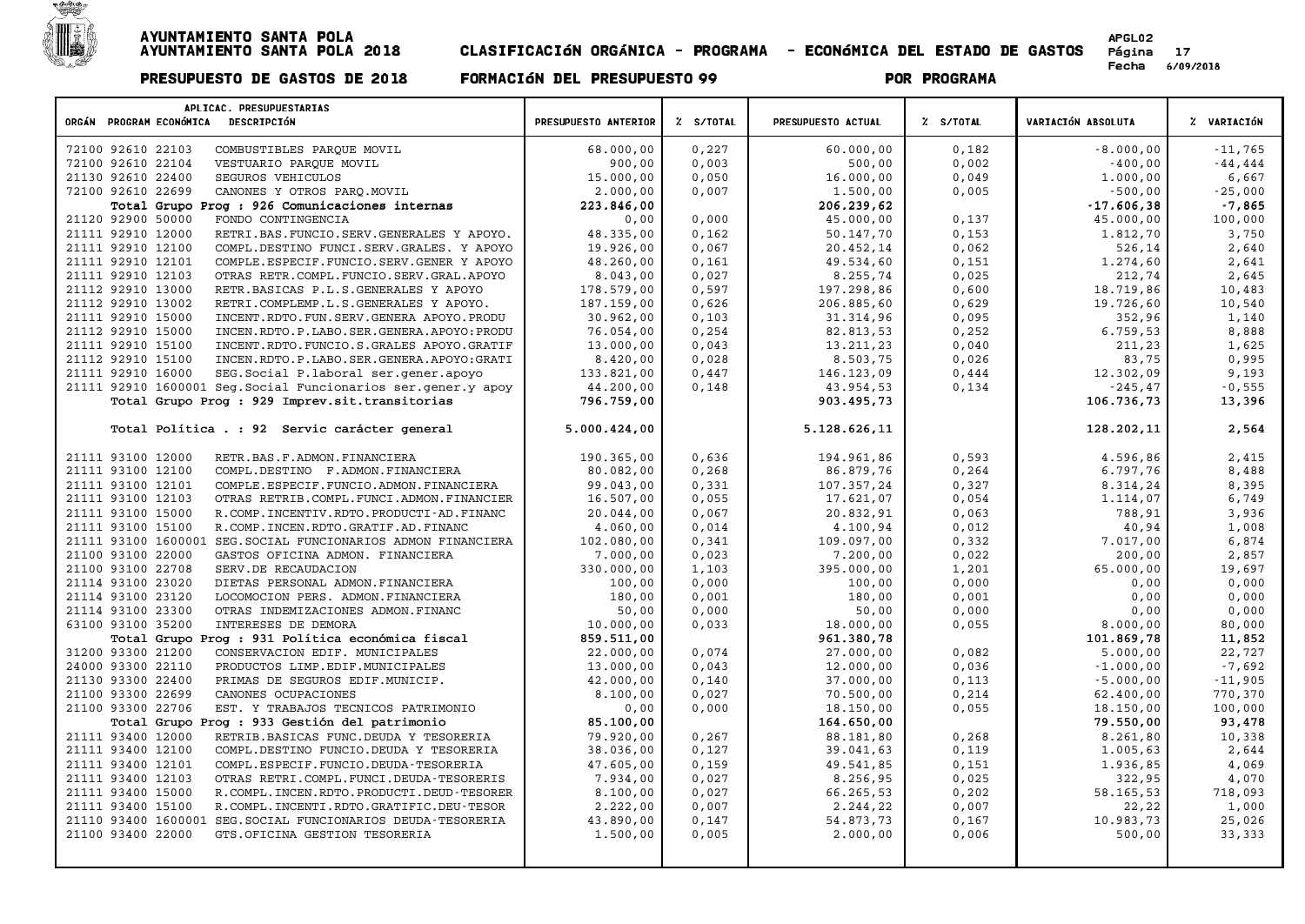

| APLICAC. PRESUPUESTARIAS<br>ORGÁN PROGRAM ECONÓMICA DESCRIPCIÓN      | PRESUPUESTO ANTERIOR | Z S/TOTAL | PRESUPUESTO ACTUAL | % S/TOTAL | VARIACIÓN ABSOLUTA | Z VARIACIÓN |
|----------------------------------------------------------------------|----------------------|-----------|--------------------|-----------|--------------------|-------------|
|                                                                      |                      |           |                    |           |                    |             |
| 72100 92610 22103<br>COMBUSTIBLES PARQUE MOVIL                       | 68.000,00            | 0,227     | 60.000,00          | 0,182     | $-8.000,00$        | $-11,765$   |
| 72100 92610 22104<br>VESTUARIO PARQUE MOVIL                          | 900,00               | 0,003     | 500,00             | 0,002     | $-400,00$          | $-44, 444$  |
| 21130 92610 22400<br>SEGUROS VEHICULOS                               | 15.000,00            | 0,050     | 16.000,00          | 0,049     | 1,000,00           | 6,667       |
| 72100 92610 22699<br>CANONES Y OTROS PARQ. MOVIL                     | 2.000,00             | 0,007     | 1.500,00           | 0,005     | $-500,00$          | $-25,000$   |
| Total Grupo Prog : 926 Comunicaciones internas                       | 223.846,00           |           | 206.239,62         |           | $-17.606,38$       | $-7,865$    |
| 21120 92900 50000<br>FONDO CONTINGENCIA                              | 0,00                 | 0,000     | 45.000,00          | 0,137     | 45.000,00          | 100,000     |
| 21111 92910 12000<br>RETRI.BAS.FUNCIO.SERV.GENERALES Y APOYO.        | 48.335,00            | 0,162     | 50.147,70          | 0,153     | 1.812,70           | 3,750       |
| 21111 92910 12100<br>COMPL.DESTINO FUNCI.SERV.GRALES. Y APOYO        | 19.926,00            | 0,067     | 20.452,14          | 0,062     | 526,14             | 2,640       |
| 21111 92910 12101<br>COMPLE.ESPECIF.FUNCIO.SERV.GENER Y APOYO        | 48.260,00            | 0,161     | 49.534,60          | 0,151     | 1.274,60           | 2,641       |
| 21111 92910 12103<br>OTRAS RETR.COMPL.FUNCIO.SERV.GRAL.APOYO         | 8.043,00             | 0,027     | 8.255,74           | 0,025     | 212,74             | 2,645       |
| 21112 92910 13000<br>RETR. BASICAS P.L.S. GENERALES Y APOYO          | 178.579,00           | 0,597     | 197.298,86         | 0,600     | 18.719,86          | 10,483      |
| 21112 92910 13002<br>RETRI.COMPLEMP.L.S.GENERALES Y APOYO.           | 187.159,00           | 0,626     | 206.885,60         | 0,629     | 19.726,60          | 10,540      |
| 21111 92910 15000<br>INCENT.RDTO.FUN.SERV.GENERA APOYO.PRODU         | 30.962,00            | 0,103     | 31.314,96          | 0,095     | 352,96             | 1,140       |
| 21112 92910 15000<br>INCEN.RDTO.P.LABO.SER.GENERA.APOYO:PRODU        | 76.054,00            | 0,254     | 82.813,53          | 0,252     | 6.759, 53          | 8,888       |
| 21111 92910 15100<br>INCENT.RDTO.FUNCIO.S.GRALES APOYO.GRATIF        | 13.000,00            | 0,043     | 13.211,23          | 0,040     | 211,23             | 1,625       |
| 21112 92910 15100<br>INCEN.RDTO.P.LABO.SER.GENERA.APOYO:GRATI        | 8.420,00             | 0,028     | 8.503,75           | 0,026     | 83,75              | 0,995       |
| 21111 92910 16000<br>SEG. Social P. laboral ser. gener. apoyo        | 133.821,00           | 0,447     | 146.123,09         | 0,444     | 12.302,09          | 9,193       |
| 21111 92910 1600001 Seg. Social Funcionarios ser. gener. y apoy      | 44.200,00            | 0,148     | 43.954,53          | 0,134     | $-245, 47$         | $-0,555$    |
| Total Grupo Prog : 929 Imprev.sit.transitorias                       | 796.759,00           |           | 903.495,73         |           | 106.736,73         | 13,396      |
|                                                                      |                      |           |                    |           |                    |             |
| Total Política . : 92 Servic carácter general                        | 5.000.424,00         |           | 5.128.626,11       |           | 128.202,11         | 2,564       |
| 21111 93100 12000<br>RETR. BAS. F. ADMON. FINANCIERA                 | 190.365,00           | 0,636     | 194.961,86         | 0,593     | 4.596,86           | 2,415       |
| 21111 93100 12100<br>COMPL.DESTINO F.ADMON.FINANCIERA                | 80.082,00            | 0,268     | 86.879,76          | 0, 264    | 6.797,76           | 8,488       |
| 21111 93100 12101<br>COMPLE. ESPECIF. FUNCIO. ADMON. FINANCIERA      | 99.043,00            | 0,331     | 107.357,24         | 0,327     | 8.314,24           | 8,395       |
| 21111 93100 12103<br>OTRAS RETRIB.COMPL.FUNCI.ADMON.FINANCIER        | 16.507,00            | 0,055     | 17.621,07          | 0,054     | 1.114,07           | 6,749       |
| 21111 93100 15000<br>R. COMP. INCENTIV. RDTO. PRODUCTI-AD. FINANC    | 20.044.00            | 0.067     | 20.832,91          | 0,063     | 788,91             | 3,936       |
| 21111 93100 15100<br>R.COMP.INCEN.RDTO.GRATIF.AD.FINANC              | 4.060,00             | 0,014     | 4.100,94           | 0,012     | 40,94              | 1,008       |
| 21111 93100 1600001 SEG. SOCIAL FUNCIONARIOS ADMON FINANCIERA        | 102.080,00           | 0,341     | 109.097,00         | 0,332     | 7.017,00           | 6,874       |
| 21100 93100 22000<br>GASTOS OFICINA ADMON. FINANCIERA                | 7.000,00             | 0,023     | 7.200,00           | 0,022     | 200,00             | 2,857       |
| 21100 93100 22708<br>SERV.DE RECAUDACION                             | 330.000,00           | 1,103     | 395.000,00         | 1,201     | 65.000,00          | 19,697      |
| 21114 93100 23020<br>DIETAS PERSONAL ADMON. FINANCIERA               | 100,00               | 0,000     | 100,00             | 0,000     | 0,00               | 0,000       |
| 21114 93100 23120<br>LOCOMOCION PERS. ADMON.FINANCIERA               | 180,00               | 0,001     | 180,00             | 0,001     | 0,00               | 0,000       |
| 21114 93100 23300<br>OTRAS INDEMIZACIONES ADMON. FINANC              | 50,00                | 0,000     | 50,00              | 0,000     | 0,00               | 0,000       |
| 63100 93100 35200<br>INTERESES DE DEMORA                             | 10.000,00            | 0,033     | 18.000,00          | 0,055     | 8.000,00           | 80,000      |
| Total Grupo Prog : 931 Política económica fiscal                     | 859.511,00           |           | 961.380,78         |           | 101.869,78         | 11,852      |
| 31200 93300 21200<br>CONSERVACION EDIF. MUNICIPALES                  | 22.000,00            | 0,074     | 27.000,00          | 0,082     | 5.000,00           | 22,727      |
| 24000 93300 22110<br>PRODUCTOS LIMP.EDIF.MUNICIPALES                 | 13.000,00            | 0,043     | 12.000,00          | 0,036     | $-1.000,00$        | $-7,692$    |
| 21130 93300 22400<br>PRIMAS DE SEGUROS EDIF. MUNICIP.                | 42.000,00            | 0,140     | 37.000,00          | 0,113     | $-5.000,00$        | $-11,905$   |
| 21100 93300 22699<br>CANONES OCUPACIONES                             | 8.100,00             | 0,027     | 70.500,00          | 0,214     | 62.400,00          | 770,370     |
| 21100 93300 22706<br>EST. Y TRABAJOS TECNICOS PATRIMONIO             | 0,00                 | 0,000     | 18.150,00          | 0,055     | 18.150,00          | 100,000     |
| Total Grupo Prog : 933 Gestión del patrimonio                        | 85.100,00            |           | 164.650,00         |           | 79.550,00          | 93,478      |
| 21111 93400 12000<br>RETRIB.BASICAS FUNC.DEUDA Y TESORERIA           | 79.920,00            | 0, 267    | 88.181,80          | 0,268     | 8.261,80           | 10,338      |
| 21111 93400 12100<br>COMPL.DESTINO FUNCIO.DEUDA Y TESORERIA          | 38.036,00            | 0,127     | 39.041,63          | 0,119     | 1.005,63           | 2,644       |
| 21111 93400 12101<br>COMPL.ESPECIF.FUNCIO.DEUDA-TESORERIA            | 47.605,00            | 0,159     | 49.541,85          | 0,151     | 1.936,85           | 4,069       |
| 21111 93400 12103<br>OTRAS RETRI.COMPL.FUNCI.DEUDA-TESORERIS         | 7.934,00             | 0,027     | 8.256,95           | 0,025     | 322,95             | 4,070       |
| 21111 93400 15000<br>R. COMPL. INCEN. RDTO. PRODUCTI. DEUD - TESORER | 8.100,00             | 0,027     | 66.265,53          | 0,202     | 58.165,53          | 718,093     |
| 21111 93400 15100<br>R. COMPL. INCENTI. RDTO. GRATIFIC. DEU - TESOR  | 2.222,00             | 0,007     | 2.244,22           | 0,007     | 22,22              | 1,000       |
| 21110 93400 1600001 SEG. SOCIAL FUNCIONARIOS DEUDA-TESORERIA         | 43.890,00            | 0,147     | 54.873,73          | 0,167     | 10.983,73          | 25,026      |
| 21100 93400 22000<br>GTS.OFICINA GESTION TESORERIA                   | 1,500,00             | 0,005     | 2.000,00           | 0,006     | 500,00             | 33,333      |
|                                                                      |                      |           |                    |           |                    |             |
|                                                                      |                      |           |                    |           |                    |             |